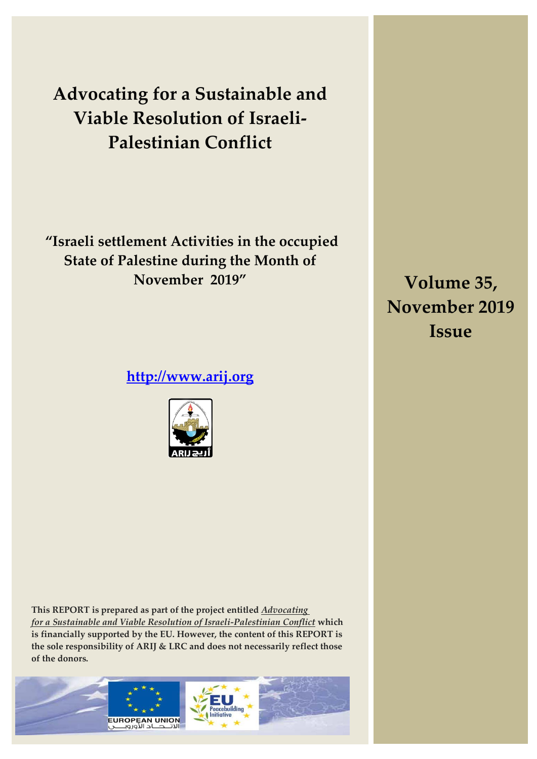**Advocating for a Sustainable and Viable Resolution of Israeli-Palestinian Conflict**

**"Israeli settlement Activities in the occupied State of Palestine during the Month of November 2019"**

**[http://www.arij.org](http://www.arij.org/)**



**Volume 35, November 2019 Issue**

**This REPORT is prepared as part of the project entitled** *Advocating for a Sustainable and Viable Resolution of Israeli-Palestinian Conflict* **which is financially supported by the EU. However, the content of this REPORT is the sole responsibility of ARIJ & LRC and does not necessarily reflect those of the donors.** 

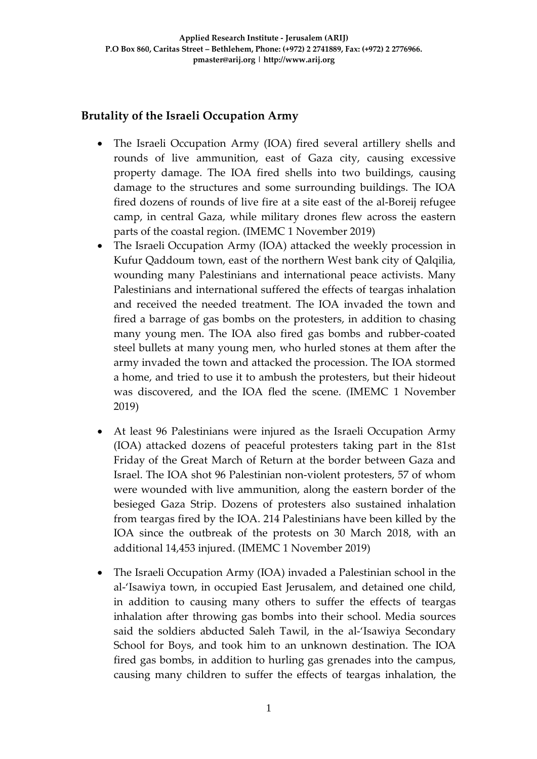# **Brutality of the Israeli Occupation Army**

- The Israeli Occupation Army (IOA) fired several artillery shells and rounds of live ammunition, east of Gaza city, causing excessive property damage. The IOA fired shells into two buildings, causing damage to the structures and some surrounding buildings. The IOA fired dozens of rounds of live fire at a site east of the al-Boreij refugee camp, in central Gaza, while military drones flew across the eastern parts of the coastal region. (IMEMC 1 November 2019)
- The Israeli Occupation Army (IOA) attacked the weekly procession in Kufur Qaddoum town, east of the northern West bank city of Qalqilia, wounding many Palestinians and international peace activists. Many Palestinians and international suffered the effects of teargas inhalation and received the needed treatment. The IOA invaded the town and fired a barrage of gas bombs on the protesters, in addition to chasing many young men. The IOA also fired gas bombs and rubber-coated steel bullets at many young men, who hurled stones at them after the army invaded the town and attacked the procession. The IOA stormed a home, and tried to use it to ambush the protesters, but their hideout was discovered, and the IOA fled the scene. (IMEMC 1 November 2019)
- At least 96 Palestinians were injured as the Israeli Occupation Army (IOA) attacked dozens of peaceful protesters taking part in the 81st Friday of the Great March of Return at the border between Gaza and Israel. The IOA shot 96 Palestinian non-violent protesters, 57 of whom were wounded with live ammunition, along the eastern border of the besieged Gaza Strip. Dozens of protesters also sustained inhalation from teargas fired by the IOA. 214 Palestinians have been killed by the IOA since the outbreak of the protests on 30 March 2018, with an additional 14,453 injured. (IMEMC 1 November 2019)
- The Israeli Occupation Army (IOA) invaded a Palestinian school in the al-'Isawiya town, in occupied East Jerusalem, and detained one child, in addition to causing many others to suffer the effects of teargas inhalation after throwing gas bombs into their school. Media sources said the soldiers abducted Saleh Tawil, in the al-'Isawiya Secondary School for Boys, and took him to an unknown destination. The IOA fired gas bombs, in addition to hurling gas grenades into the campus, causing many children to suffer the effects of teargas inhalation, the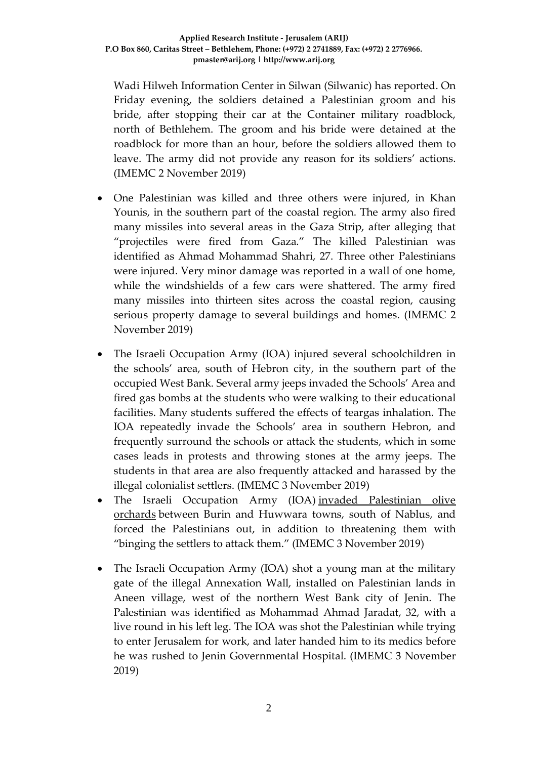Wadi Hilweh Information Center in Silwan (Silwanic) has reported. On Friday evening, the soldiers detained a Palestinian groom and his bride, after stopping their car at the Container military roadblock, north of Bethlehem. The groom and his bride were detained at the roadblock for more than an hour, before the soldiers allowed them to leave. The army did not provide any reason for its soldiers' actions. (IMEMC 2 November 2019)

- One Palestinian was killed and three others were injured, in Khan Younis, in the southern part of the coastal region. The army also fired many missiles into several areas in the Gaza Strip, after alleging that "projectiles were fired from Gaza." The killed Palestinian was identified as Ahmad Mohammad Shahri, 27. Three other Palestinians were injured. Very minor damage was reported in a wall of one home, while the windshields of a few cars were shattered. The army fired many missiles into thirteen sites across the coastal region, causing serious property damage to several buildings and homes. (IMEMC 2 November 2019)
- The Israeli Occupation Army (IOA) injured several schoolchildren in the schools' area, south of Hebron city, in the southern part of the occupied West Bank. Several army jeeps invaded the Schools' Area and fired gas bombs at the students who were walking to their educational facilities. Many students suffered the effects of teargas inhalation. The IOA repeatedly invade the Schools' area in southern Hebron, and frequently surround the schools or attack the students, which in some cases leads in protests and throwing stones at the army jeeps. The students in that area are also frequently attacked and harassed by the illegal colonialist settlers. (IMEMC 3 November 2019)
- The Israeli Occupation Army (IOA) invaded Palestinian olive [orchards](https://imemc.org/article/soldiers-force-palestinians-out-of-their-olive-orchards-in-nablus/) between Burin and Huwwara towns, south of Nablus, and forced the Palestinians out, in addition to threatening them with "binging the settlers to attack them." (IMEMC 3 November 2019)
- The Israeli Occupation Army (IOA) shot a young man at the military gate of the illegal Annexation Wall, installed on Palestinian lands in Aneen village, west of the northern West Bank city of Jenin. The Palestinian was identified as Mohammad Ahmad Jaradat, 32, with a live round in his left leg. The IOA was shot the Palestinian while trying to enter Jerusalem for work, and later handed him to its medics before he was rushed to Jenin Governmental Hospital. (IMEMC 3 November 2019)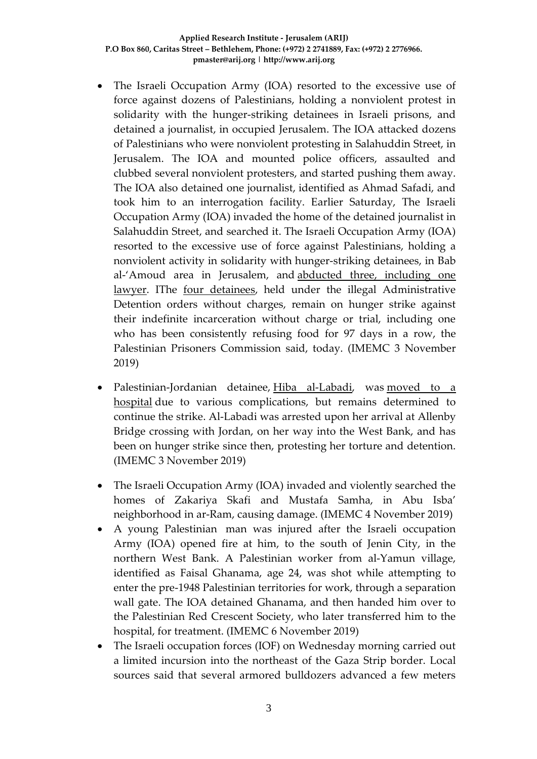- The Israeli Occupation Army (IOA) resorted to the excessive use of force against dozens of Palestinians, holding a nonviolent protest in solidarity with the hunger-striking detainees in Israeli prisons, and detained a journalist, in occupied Jerusalem. The IOA attacked dozens of Palestinians who were nonviolent protesting in Salahuddin Street, in Jerusalem. The IOA and mounted police officers, assaulted and clubbed several nonviolent protesters, and started pushing them away. The IOA also detained one journalist, identified as Ahmad Safadi, and took him to an interrogation facility. Earlier Saturday, The Israeli Occupation Army (IOA) invaded the home of the detained journalist in Salahuddin Street, and searched it. The Israeli Occupation Army (IOA) resorted to the excessive use of force against Palestinians, holding a nonviolent activity in solidarity with hunger-striking detainees, in Bab al-'Amoud area in Jerusalem, and [abducted three, including one](https://imemc.org/article/army-abducts-three-palestinians-during-solidarity-activity-with-hunger-striking-detainees-in-jerusalem/)  [lawyer.](https://imemc.org/article/army-abducts-three-palestinians-during-solidarity-activity-with-hunger-striking-detainees-in-jerusalem/) IThe [four detainees,](http://imemc.org/article/four-administrative-detainees-still-on-hunger-strike/) held under the illegal Administrative Detention orders without charges, remain on hunger strike against their indefinite incarceration without charge or trial, including one who has been consistently refusing food for 97 days in a row, the Palestinian Prisoners Commission said, today. (IMEMC 3 November 2019)
- Palestinian-Jordanian detainee, [Hiba al-Labadi,](https://imemc.org/article/palestinian-woman-prisoner-on-hunger-strike-for-35-days-moved-to-hospital/) was moved to a [hospital](https://imemc.org/article/female-jordanian-hunger-striker-transferred-to-hospital/) due to various complications, but remains determined to continue the strike. Al-Labadi was arrested upon her arrival at Allenby Bridge crossing with Jordan, on her way into the West Bank, and has been on hunger strike since then, protesting her torture and detention. (IMEMC 3 November 2019)
- The Israeli Occupation Army (IOA) invaded and violently searched the homes of Zakariya Skafi and Mustafa Samha, in Abu Isba' neighborhood in ar-Ram, causing damage. (IMEMC 4 November 2019)
- A young Palestinian man was injured after the Israeli occupation Army (IOA) opened fire at him, to the south of Jenin City, in the northern West Bank. A Palestinian worker from al-Yamun village, identified as Faisal Ghanama, age 24, was shot while attempting to enter the pre-1948 Palestinian territories for work, through a separation wall gate. The IOA detained Ghanama, and then handed him over to the Palestinian Red Crescent Society, who later transferred him to the hospital, for treatment. (IMEMC 6 November 2019)
- The Israeli occupation forces (IOF) on Wednesday morning carried out a limited incursion into the northeast of the Gaza Strip border. Local sources said that several armored bulldozers advanced a few meters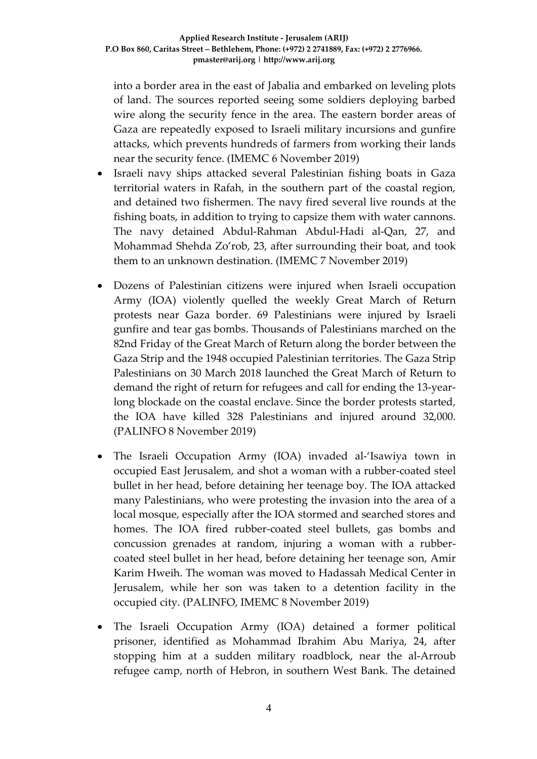into a border area in the east of Jabalia and embarked on leveling plots of land. The sources reported seeing some soldiers deploying barbed wire along the security fence in the area. The eastern border areas of Gaza are repeatedly exposed to Israeli military incursions and gunfire attacks, which prevents hundreds of farmers from working their lands near the security fence. (IMEMC 6 November 2019)

- Israeli navy ships attacked several Palestinian fishing boats in Gaza territorial waters in Rafah, in the southern part of the coastal region, and detained two fishermen. The navy fired several live rounds at the fishing boats, in addition to trying to capsize them with water cannons. The navy detained Abdul-Rahman Abdul-Hadi al-Qan, 27, and Mohammad Shehda Zo'rob, 23, after surrounding their boat, and took them to an unknown destination. (IMEMC 7 November 2019)
- Dozens of Palestinian citizens were injured when Israeli occupation Army (IOA) violently quelled the weekly Great March of Return protests near Gaza border. 69 Palestinians were injured by Israeli gunfire and tear gas bombs. Thousands of Palestinians marched on the 82nd Friday of the Great March of Return along the border between the Gaza Strip and the 1948 occupied Palestinian territories. The Gaza Strip Palestinians on 30 March 2018 launched the Great March of Return to demand the right of return for refugees and call for ending the 13-yearlong blockade on the coastal enclave. Since the border protests started, the IOA have killed 328 Palestinians and injured around 32,000. (PALINFO 8 November 2019)
- The Israeli Occupation Army (IOA) invaded al-'Isawiya town in occupied East Jerusalem, and shot a woman with a rubber-coated steel bullet in her head, before detaining her teenage boy. The IOA attacked many Palestinians, who were protesting the invasion into the area of a local mosque, especially after the IOA stormed and searched stores and homes. The IOA fired rubber-coated steel bullets, gas bombs and concussion grenades at random, injuring a woman with a rubbercoated steel bullet in her head, before detaining her teenage son, Amir Karim Hweih. The woman was moved to Hadassah Medical Center in Jerusalem, while her son was taken to a detention facility in the occupied city. (PALINFO, IMEMC 8 November 2019)
- The Israeli Occupation Army (IOA) detained a former political prisoner, identified as Mohammad Ibrahim Abu Mariya, 24, after stopping him at a sudden military roadblock, near the al-Arroub refugee camp, north of Hebron, in southern West Bank. The detained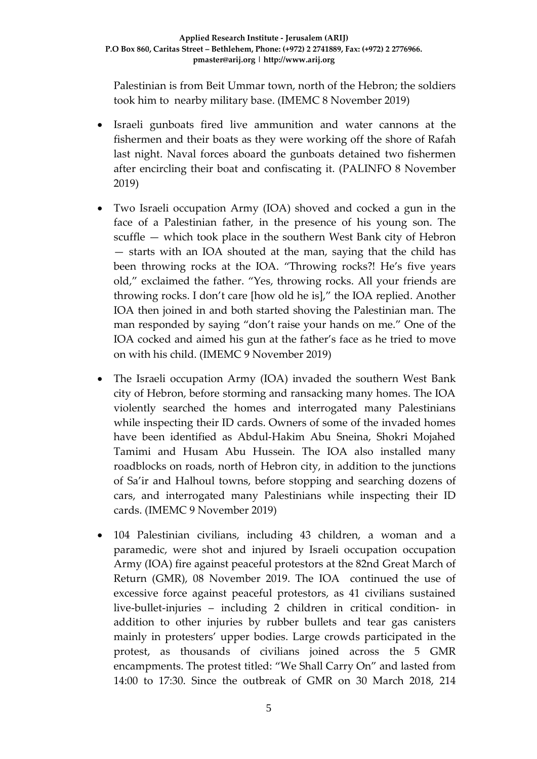Palestinian is from Beit Ummar town, north of the Hebron; the soldiers took him to nearby military base. (IMEMC 8 November 2019)

- Israeli gunboats fired live ammunition and water cannons at the fishermen and their boats as they were working off the shore of Rafah last night. Naval forces aboard the gunboats detained two fishermen after encircling their boat and confiscating it. (PALINFO 8 November 2019)
- Two Israeli occupation Army (IOA) shoved and cocked a gun in the face of a Palestinian father, in the presence of his young son. The scuffle — which took place in the southern West Bank city of Hebron — starts with an IOA shouted at the man, saying that the child has been throwing rocks at the IOA. "Throwing rocks?! He's five years old," exclaimed the father. "Yes, throwing rocks. All your friends are throwing rocks. I don't care [how old he is]," the IOA replied. Another IOA then joined in and both started shoving the Palestinian man. The man responded by saying "don't raise your hands on me." One of the IOA cocked and aimed his gun at the father's face as he tried to move on with his child. (IMEMC 9 November 2019)
- The Israeli occupation Army (IOA) invaded the southern West Bank city of Hebron, before storming and ransacking many homes. The IOA violently searched the homes and interrogated many Palestinians while inspecting their ID cards. Owners of some of the invaded homes have been identified as Abdul-Hakim Abu Sneina, Shokri Mojahed Tamimi and Husam Abu Hussein. The IOA also installed many roadblocks on roads, north of Hebron city, in addition to the junctions of Sa'ir and Halhoul towns, before stopping and searching dozens of cars, and interrogated many Palestinians while inspecting their ID cards. (IMEMC 9 November 2019)
- 104 Palestinian civilians, including 43 children, a woman and a paramedic, were shot and injured by Israeli occupation occupation Army (IOA) fire against peaceful protestors at the 82nd Great March of Return (GMR), 08 November 2019. The IOA continued the use of excessive force against peaceful protestors, as 41 civilians sustained live-bullet-injuries – including 2 children in critical condition- in addition to other injuries by rubber bullets and tear gas canisters mainly in protesters' upper bodies. Large crowds participated in the protest, as thousands of civilians joined across the 5 GMR encampments. The protest titled: "We Shall Carry On" and lasted from 14:00 to 17:30. Since the outbreak of GMR on 30 March 2018, 214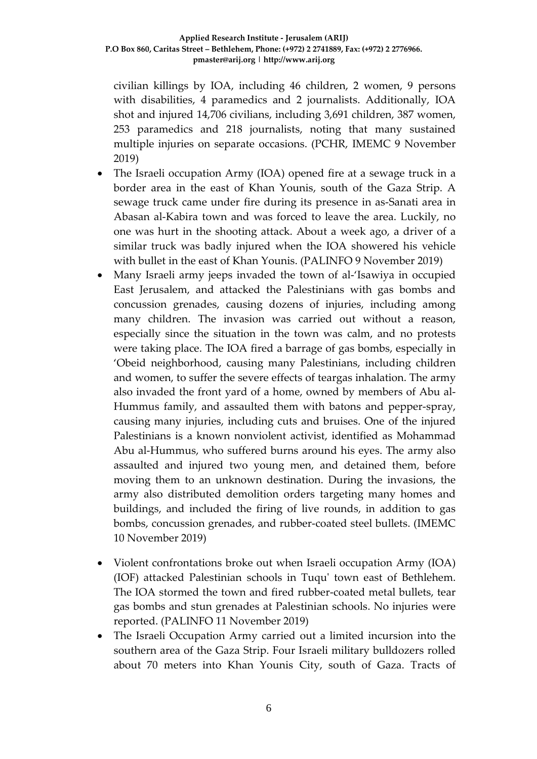civilian killings by IOA, including 46 children, 2 women, 9 persons with disabilities, 4 paramedics and 2 journalists. Additionally, IOA shot and injured 14,706 civilians, including 3,691 children, 387 women, 253 paramedics and 218 journalists, noting that many sustained multiple injuries on separate occasions. (PCHR, IMEMC 9 November 2019)

- The Israeli occupation Army (IOA) opened fire at a sewage truck in a border area in the east of Khan Younis, south of the Gaza Strip. A sewage truck came under fire during its presence in as-Sanati area in Abasan al-Kabira town and was forced to leave the area. Luckily, no one was hurt in the shooting attack. About a week ago, a driver of a similar truck was badly injured when the IOA showered his vehicle with bullet in the east of Khan Younis. (PALINFO 9 November 2019)
- Many Israeli army jeeps invaded the town of al-'Isawiya in occupied East Jerusalem, and attacked the Palestinians with gas bombs and concussion grenades, causing dozens of injuries, including among many children. The invasion was carried out without a reason, especially since the situation in the town was calm, and no protests were taking place. The IOA fired a barrage of gas bombs, especially in 'Obeid neighborhood, causing many Palestinians, including children and women, to suffer the severe effects of teargas inhalation. The army also invaded the front yard of a home, owned by members of Abu al-Hummus family, and assaulted them with batons and pepper-spray, causing many injuries, including cuts and bruises. One of the injured Palestinians is a known nonviolent activist, identified as Mohammad Abu al-Hummus, who suffered burns around his eyes. The army also assaulted and injured two young men, and detained them, before moving them to an unknown destination. During the invasions, the army also distributed demolition orders targeting many homes and buildings, and included the firing of live rounds, in addition to gas bombs, concussion grenades, and rubber-coated steel bullets. (IMEMC 10 November 2019)
- Violent confrontations broke out when Israeli occupation Army (IOA) (IOF) attacked Palestinian schools in Tuqu' town east of Bethlehem. The IOA stormed the town and fired rubber-coated metal bullets, tear gas bombs and stun grenades at Palestinian schools. No injuries were reported. (PALINFO 11 November 2019)
- The Israeli Occupation Army carried out a limited incursion into the southern area of the Gaza Strip. Four Israeli military bulldozers rolled about 70 meters into Khan Younis City, south of Gaza. Tracts of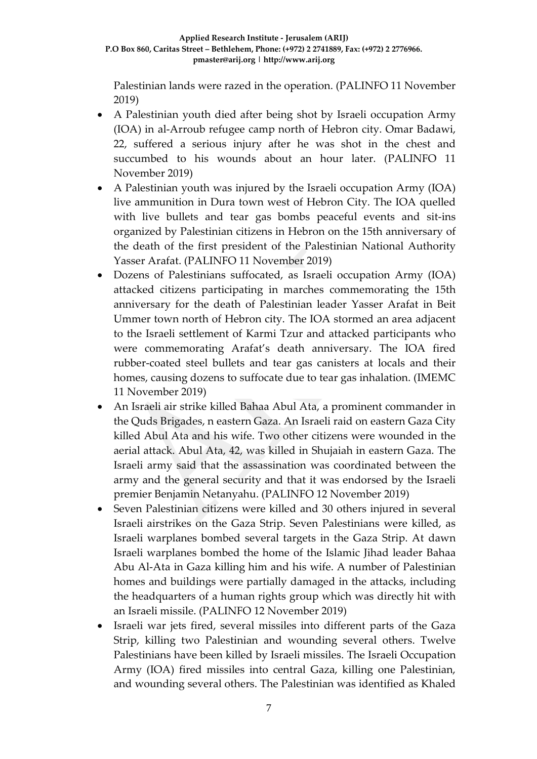Palestinian lands were razed in the operation. (PALINFO 11 November 2019)

- A Palestinian youth died after being shot by Israeli occupation Army (IOA) in al-Arroub refugee camp north of Hebron city. Omar Badawi, 22, suffered a serious injury after he was shot in the chest and succumbed to his wounds about an hour later. (PALINFO 11 November 2019)
- A Palestinian youth was injured by the Israeli occupation Army (IOA) live ammunition in Dura town west of Hebron City. The IOA quelled with live bullets and tear gas bombs peaceful events and sit-ins organized by Palestinian citizens in Hebron on the 15th anniversary of the death of the first president of the Palestinian National Authority Yasser Arafat. (PALINFO 11 November 2019)
- Dozens of Palestinians suffocated, as Israeli occupation Army (IOA) attacked citizens participating in marches commemorating the 15th anniversary for the death of Palestinian leader Yasser Arafat in Beit Ummer town north of Hebron city. The IOA stormed an area adjacent to the Israeli settlement of Karmi Tzur and attacked participants who were commemorating Arafat's death anniversary. The IOA fired rubber-coated steel bullets and tear gas canisters at locals and their homes, causing dozens to suffocate due to tear gas inhalation. (IMEMC 11 November 2019)
- An Israeli air strike killed Bahaa Abul Ata, a prominent commander in the Quds Brigades, n eastern Gaza. An Israeli raid on eastern Gaza City killed Abul Ata and his wife. Two other citizens were wounded in the aerial attack. Abul Ata, 42, was killed in Shujaiah in eastern Gaza. The Israeli army said that the assassination was coordinated between the army and the general security and that it was endorsed by the Israeli premier Benjamin Netanyahu. (PALINFO 12 November 2019)
- Seven Palestinian citizens were killed and 30 others injured in several Israeli airstrikes on the Gaza Strip. Seven Palestinians were killed, as Israeli warplanes bombed several targets in the Gaza Strip. At dawn Israeli warplanes bombed the home of the Islamic Jihad leader Bahaa Abu Al-Ata in Gaza killing him and his wife. A number of Palestinian homes and buildings were partially damaged in the attacks, including the headquarters of a human rights group which was directly hit with an Israeli missile. (PALINFO 12 November 2019)
- Israeli war jets fired, several missiles into different parts of the Gaza Strip, killing two Palestinian and wounding several others. Twelve Palestinians have been killed by Israeli missiles. The Israeli Occupation Army (IOA) fired missiles into central Gaza, killing one Palestinian, and wounding several others. The Palestinian was identified as Khaled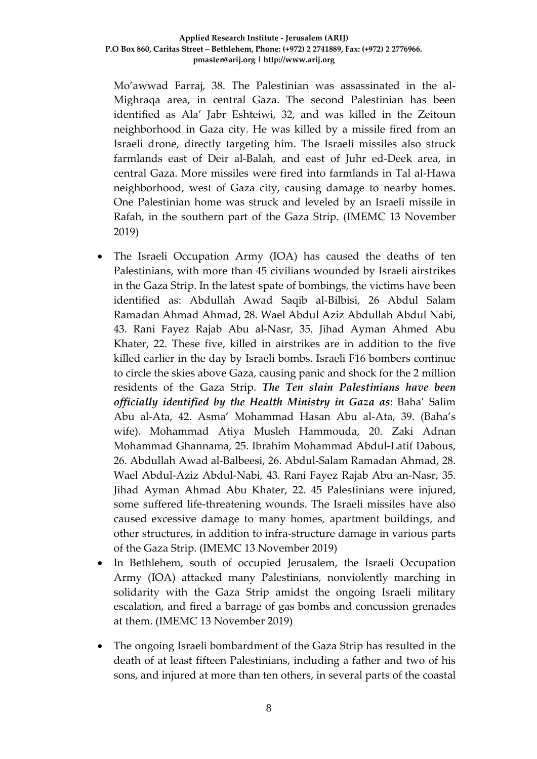Mo'awwad Farraj, 38. The Palestinian was assassinated in the al-Mighraqa area, in central Gaza. The second Palestinian has been identified as Ala' Jabr Eshteiwi, 32, and was killed in the Zeitoun neighborhood in Gaza city. He was killed by a missile fired from an Israeli drone, directly targeting him. The Israeli missiles also struck farmlands east of Deir al-Balah, and east of Juhr ed-Deek area, in central Gaza. More missiles were fired into farmlands in Tal al-Hawa neighborhood, west of Gaza city, causing damage to nearby homes. One Palestinian home was struck and leveled by an Israeli missile in Rafah, in the southern part of the Gaza Strip. (IMEMC 13 November 2019)

- The Israeli Occupation Army (IOA) has caused the deaths of ten Palestinians, with more than 45 civilians wounded by Israeli airstrikes in the Gaza Strip. In the latest spate of bombings, the victims have been identified as: Abdullah Awad Saqib al-Bilbisi, 26 Abdul Salam Ramadan Ahmad Ahmad, 28. Wael Abdul Aziz Abdullah Abdul Nabi, 43. Rani Fayez Rajab Abu al-Nasr, 35. Jihad Ayman Ahmed Abu Khater, 22. These five, killed in airstrikes are in addition to the five killed earlier in the day by Israeli bombs. Israeli F16 bombers continue to circle the skies above Gaza, causing panic and shock for the 2 million residents of the Gaza Strip. *The Ten slain Palestinians have been officially identified by the Health Ministry in Gaza as*: Baha' Salim Abu al-Ata, 42. Asma' Mohammad Hasan Abu al-Ata, 39. (Baha's wife). Mohammad Atiya Musleh Hammouda, 20. Zaki Adnan Mohammad Ghannama, 25. Ibrahim Mohammad Abdul-Latif Dabous, 26. Abdullah Awad al-Balbeesi, 26. Abdul-Salam Ramadan Ahmad, 28. Wael Abdul-Aziz Abdul-Nabi, 43. Rani Fayez Rajab Abu an-Nasr, 35. Jihad Ayman Ahmad Abu Khater, 22. 45 Palestinians were injured, some suffered life-threatening wounds. The Israeli missiles have also caused excessive damage to many homes, apartment buildings, and other structures, in addition to infra-structure damage in various parts of the Gaza Strip. (IMEMC 13 November 2019)
- In Bethlehem, south of occupied Jerusalem, the Israeli Occupation Army (IOA) attacked many Palestinians, nonviolently marching in solidarity with the Gaza Strip amidst the ongoing Israeli military escalation, and fired a barrage of gas bombs and concussion grenades at them. (IMEMC 13 November 2019)
- The ongoing Israeli bombardment of the Gaza Strip has resulted in the death of at least fifteen Palestinians, including a father and two of his sons, and injured at more than ten others, in several parts of the coastal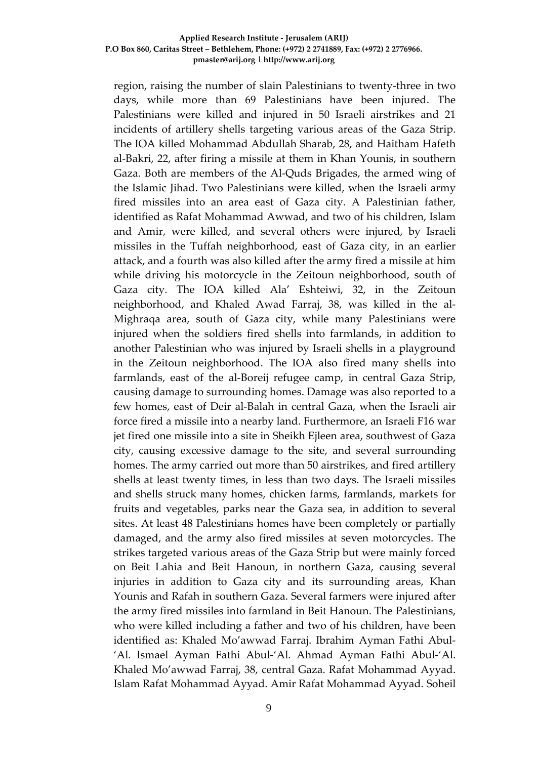#### **Applied Research Institute - Jerusalem (ARIJ) P.O Box 860, Caritas Street – Bethlehem, Phone: (+972) 2 2741889, Fax: (+972) 2 2776966. pmaster@arij.org | http://www.arij.org**

region, raising the number of slain Palestinians to twenty-three in two days, while more than 69 Palestinians have been injured. The Palestinians were killed and injured in 50 Israeli airstrikes and 21 incidents of artillery shells targeting various areas of the Gaza Strip. The IOA killed Mohammad Abdullah Sharab, 28, and Haitham Hafeth al-Bakri, 22, after firing a missile at them in Khan Younis, in southern Gaza. Both are members of the Al-Quds Brigades, the armed wing of the Islamic Jihad. Two Palestinians were killed, when the Israeli army fired missiles into an area east of Gaza city. A Palestinian father, identified as Rafat Mohammad Awwad, and two of his children, Islam and Amir, were killed, and several others were injured, by Israeli missiles in the Tuffah neighborhood, east of Gaza city, in an earlier attack, and a fourth was also killed after the army fired a missile at him while driving his motorcycle in the Zeitoun neighborhood, south of Gaza city. The IOA killed Ala' Eshteiwi, 32, in the Zeitoun neighborhood, and Khaled Awad Farraj, 38, was killed in the al-Mighraqa area, south of Gaza city, while many Palestinians were injured when the soldiers fired shells into farmlands, in addition to another Palestinian who was injured by Israeli shells in a playground in the Zeitoun neighborhood. The IOA also fired many shells into farmlands, east of the al-Boreij refugee camp, in central Gaza Strip, causing damage to surrounding homes. Damage was also reported to a few homes, east of Deir al-Balah in central Gaza, when the Israeli air force fired a missile into a nearby land. Furthermore, an Israeli F16 war jet fired one missile into a site in Sheikh Ejleen area, southwest of Gaza city, causing excessive damage to the site, and several surrounding homes. The army carried out more than 50 airstrikes, and fired artillery shells at least twenty times, in less than two days. The Israeli missiles and shells struck many homes, chicken farms, farmlands, markets for fruits and vegetables, parks near the Gaza sea, in addition to several sites. At least 48 Palestinians homes have been completely or partially damaged, and the army also fired missiles at seven motorcycles. The strikes targeted various areas of the Gaza Strip but were mainly forced on Beit Lahia and Beit Hanoun, in northern Gaza, causing several injuries in addition to Gaza city and its surrounding areas, Khan Younis and Rafah in southern Gaza. Several farmers were injured after the army fired missiles into farmland in Beit Hanoun. The Palestinians, who were killed including a father and two of his children, have been identified as: Khaled Mo'awwad Farraj. Ibrahim Ayman Fathi Abul- 'Al. Ismael Ayman Fathi Abul-'Al. Ahmad Ayman Fathi Abul-'Al. Khaled Mo'awwad Farraj, 38, central Gaza. Rafat Mohammad Ayyad. Islam Rafat Mohammad Ayyad. Amir Rafat Mohammad Ayyad. Soheil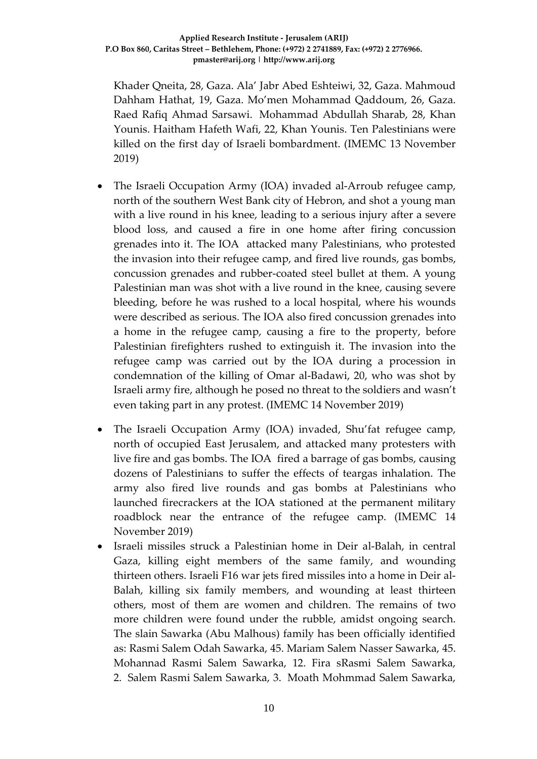## **Applied Research Institute - Jerusalem (ARIJ) P.O Box 860, Caritas Street – Bethlehem, Phone: (+972) 2 2741889, Fax: (+972) 2 2776966. pmaster@arij.org | http://www.arij.org**

Khader Qneita, 28, Gaza. Ala' Jabr Abed Eshteiwi, 32, Gaza. Mahmoud Dahham Hathat, 19, Gaza. Mo'men Mohammad Qaddoum, 26, Gaza. Raed Rafiq Ahmad Sarsawi. Mohammad Abdullah Sharab, 28, Khan Younis. Haitham Hafeth Wafi, 22, Khan Younis. [Ten Palestinians](https://imemc.org/article/tuesday-army-kills-four-palestinians-injures-25-in-gaza/) were killed on the first day of Israeli bombardment. (IMEMC 13 November 2019)

- The Israeli Occupation Army (IOA) invaded al-Arroub refugee camp, north of the southern West Bank city of Hebron, and shot a young man with a live round in his knee, leading to a serious injury after a severe blood loss, and caused a fire in one home after firing concussion grenades into it. The IOA attacked many Palestinians, who protested the invasion into their refugee camp, and fired live rounds, gas bombs, concussion grenades and rubber-coated steel bullet at them. A young Palestinian man was shot with a live round in the knee, causing severe bleeding, before he was rushed to a local hospital, where his wounds were described as serious. The IOA also fired concussion grenades into a home in the refugee camp, causing a fire to the property, before Palestinian firefighters rushed to extinguish it. The invasion into the refugee camp was carried out by the IOA during a procession in condemnation of the killing of Omar al-Badawi, 20, who was shot by Israeli army fire, although he posed no threat to the soldiers and wasn't even taking part in any protest. (IMEMC 14 November 2019)
- The Israeli Occupation Army (IOA) invaded, Shu'fat refugee camp, north of occupied East Jerusalem, and attacked many protesters with live fire and gas bombs. The IOA fired a barrage of gas bombs, causing dozens of Palestinians to suffer the effects of teargas inhalation. The army also fired live rounds and gas bombs at Palestinians who launched firecrackers at the IOA stationed at the permanent military roadblock near the entrance of the refugee camp. (IMEMC 14 November 2019)
- Israeli missiles struck a Palestinian home in Deir al-Balah, in central Gaza, killing eight members of the same family, and wounding thirteen others. Israeli F16 war jets fired missiles into a home in Deir al-Balah, killing six family members, and wounding at least thirteen others, most of them are women and children. The remains of two more children were found under the rubble, amidst ongoing search. The slain Sawarka (Abu Malhous) family has been officially identified as: Rasmi Salem Odah Sawarka, 45. Mariam Salem Nasser Sawarka, 45. Mohannad Rasmi Salem Sawarka, 12. Fira sRasmi Salem Sawarka, 2. Salem Rasmi Salem Sawarka, 3. Moath Mohmmad Salem Sawarka,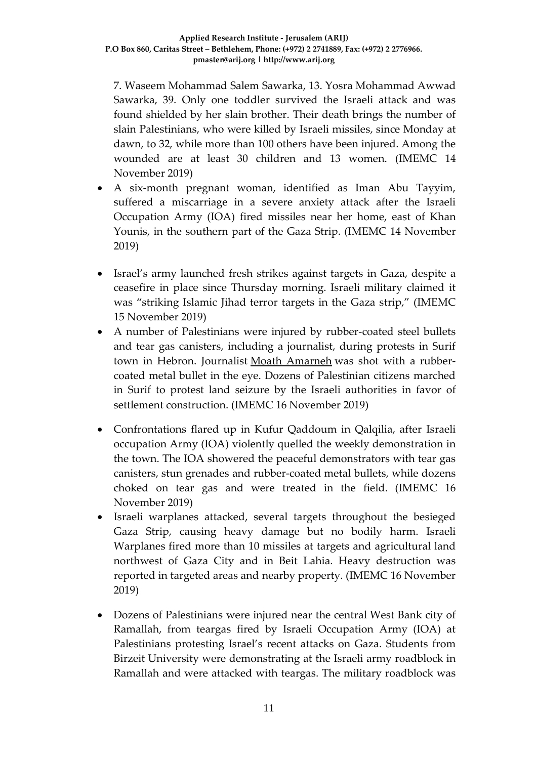7. Waseem Mohammad Salem Sawarka, 13. Yosra Mohammad Awwad Sawarka, 39. Only one toddler survived the Israeli attack and was found shielded by her slain brother. Their death brings the number of slain Palestinians, who were killed by Israeli missiles, since Monday at dawn, to 32, while more than 100 others have been injured. Among the wounded are at least 30 children and 13 women. (IMEMC 14 November 2019)

- A six-month pregnant woman, identified as Iman Abu Tayyim, suffered a miscarriage in a severe anxiety attack after the Israeli Occupation Army (IOA) fired missiles near her home, east of Khan Younis, in the southern part of the Gaza Strip. (IMEMC 14 November 2019)
- Israel's army launched fresh strikes against targets in Gaza, despite a ceasefire in place since Thursday morning. Israeli military claimed it was "striking Islamic Jihad terror targets in the Gaza strip," (IMEMC 15 November 2019)
- A number of Palestinians were injured by rubber-coated steel bullets and tear gas canisters, including a journalist, during protests in Surif town in Hebron. Journalist [Moath Amarneh](http://imemc.org/article/journalist-advocates-condemn-israels-shooting-of-photojournalist/) was shot with a rubbercoated metal bullet in the eye. Dozens of Palestinian citizens marched in Surif to protest land seizure by the Israeli authorities in favor of settlement construction. (IMEMC 16 November 2019)
- Confrontations flared up in Kufur Qaddoum in Qalqilia, after Israeli occupation Army (IOA) violently quelled the weekly demonstration in the town. The IOA showered the peaceful demonstrators with tear gas canisters, stun grenades and rubber-coated metal bullets, while dozens choked on tear gas and were treated in the field. (IMEMC 16 November 2019)
- Israeli warplanes attacked, several targets throughout the besieged Gaza Strip, causing heavy damage but no bodily harm. Israeli Warplanes fired more than 10 missiles at targets and agricultural land northwest of Gaza City and in Beit Lahia. Heavy destruction was reported in targeted areas and nearby property. (IMEMC 16 November 2019)
- Dozens of Palestinians were injured near the central West Bank city of Ramallah, from teargas fired by Israeli Occupation Army (IOA) at Palestinians protesting Israel's recent attacks on Gaza. Students from Birzeit University were demonstrating at the Israeli army roadblock in Ramallah and were attacked with teargas. The military roadblock was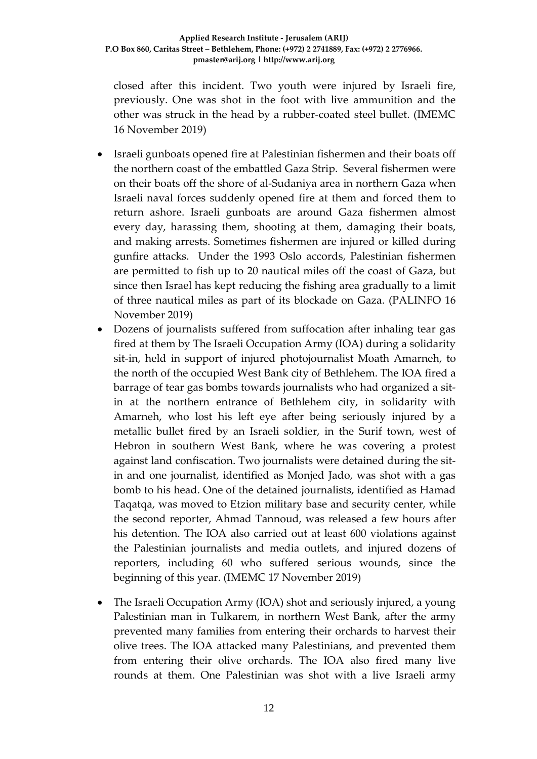## **Applied Research Institute - Jerusalem (ARIJ) P.O Box 860, Caritas Street – Bethlehem, Phone: (+972) 2 2741889, Fax: (+972) 2 2776966. pmaster@arij.org | http://www.arij.org**

closed after this incident. Two youth were injured by Israeli fire, previously. One was shot in the foot with live ammunition and the other was struck in the head by a rubber-coated steel bullet. (IMEMC 16 November 2019)

- Israeli gunboats opened fire at Palestinian fishermen and their boats off the northern coast of the embattled Gaza Strip. Several fishermen were on their boats off the shore of al-Sudaniya area in northern Gaza when Israeli naval forces suddenly opened fire at them and forced them to return ashore. Israeli gunboats are around Gaza fishermen almost every day, harassing them, shooting at them, damaging their boats, and making arrests. Sometimes fishermen are injured or killed during gunfire attacks. Under the 1993 Oslo accords, Palestinian fishermen are permitted to fish up to 20 nautical miles off the coast of Gaza, but since then Israel has kept reducing the fishing area gradually to a limit of three nautical miles as part of its blockade on Gaza. (PALINFO 16 November 2019)
- Dozens of journalists suffered from suffocation after inhaling tear gas fired at them by The Israeli Occupation Army (IOA) during a solidarity sit-in, held in support of injured photojournalist Moath Amarneh, to the north of the occupied West Bank city of Bethlehem. The IOA fired a barrage of tear gas bombs towards journalists who had organized a sitin at the northern entrance of Bethlehem city, in solidarity with Amarneh, who lost his left eye after being seriously injured by a metallic bullet fired by an Israeli soldier, in the Surif town, west of Hebron in southern West Bank, where he was covering a protest against land confiscation. Two journalists were detained during the sitin and one journalist, identified as Monjed Jado, was shot with a gas bomb to his head. One of the detained journalists, identified as Hamad Taqatqa, was moved to Etzion military base and security center, while the second reporter, Ahmad Tannoud, was released a few hours after his detention. The IOA also carried out at least 600 violations against the Palestinian journalists and media outlets, and injured dozens of reporters, including 60 who suffered serious wounds, since the beginning of this year. (IMEMC 17 November 2019)
- The Israeli Occupation Army (IOA) shot and seriously injured, a young Palestinian man in Tulkarem, in northern West Bank, after the army prevented many families from entering their orchards to harvest their olive trees. The IOA attacked many Palestinians, and prevented them from entering their olive orchards. The IOA also fired many live rounds at them. One Palestinian was shot with a live Israeli army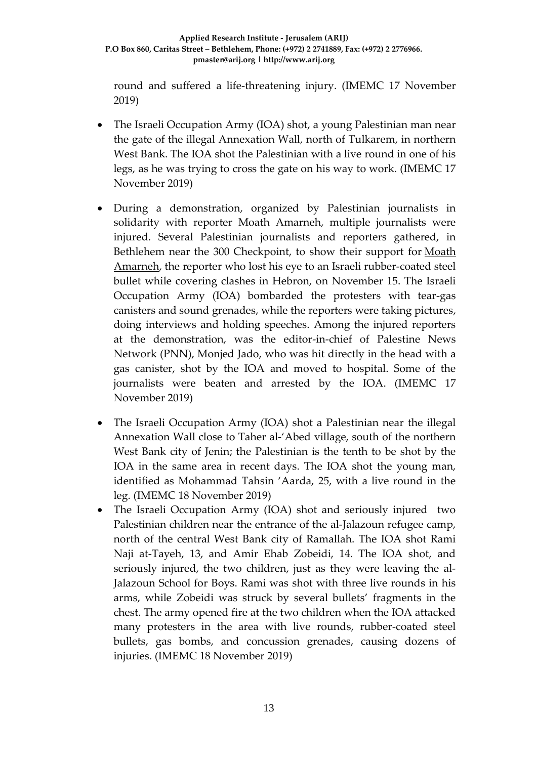round and suffered a life-threatening injury. (IMEMC 17 November 2019)

- The Israeli Occupation Army (IOA) shot, a young Palestinian man near the gate of the illegal Annexation Wall, north of Tulkarem, in northern West Bank. The IOA shot the Palestinian with a live round in one of his legs, as he was trying to cross the gate on his way to work. (IMEMC 17 November 2019)
- During a demonstration, organized by Palestinian journalists in solidarity with reporter Moath Amarneh, multiple journalists were injured. Several Palestinian journalists and reporters gathered, in Bethlehem near the 300 Checkpoint, to show their support for [Moath](http://imemc.org/article/journalist-advocates-condemn-israels-shooting-of-photojournalist/)  [Amarneh,](http://imemc.org/article/journalist-advocates-condemn-israels-shooting-of-photojournalist/) the reporter who lost his eye to an Israeli rubber-coated steel bullet while covering clashes in Hebron, on November 15. The Israeli Occupation Army (IOA) bombarded the protesters with tear-gas canisters and sound grenades, while the reporters were taking pictures, doing interviews and holding speeches. Among the injured reporters at the demonstration, was the editor-in-chief of Palestine News Network (PNN), Monjed Jado, who was hit directly in the head with a gas canister, shot by the IOA and moved to hospital. Some of the journalists were beaten and arrested by the IOA. (IMEMC 17 November 2019)
- The Israeli Occupation Army (IOA) shot a Palestinian near the illegal Annexation Wall close to Taher al-'Abed village, south of the northern West Bank city of Jenin; the Palestinian is the tenth to be shot by the IOA in the same area in recent days. The IOA shot the young man, identified as Mohammad Tahsin 'Aarda, 25, with a live round in the leg. (IMEMC 18 November 2019)
- The Israeli Occupation Army (IOA) shot and seriously injured two Palestinian children near the entrance of the al-Jalazoun refugee camp, north of the central West Bank city of Ramallah. The IOA shot Rami Naji at-Tayeh, 13, and Amir Ehab Zobeidi, 14. The IOA shot, and seriously injured, the two children, just as they were leaving the al-Jalazoun School for Boys. Rami was shot with three live rounds in his arms, while Zobeidi was struck by several bullets' fragments in the chest. The army opened fire at the two children when the IOA attacked many protesters in the area with live rounds, rubber-coated steel bullets, gas bombs, and concussion grenades, causing dozens of injuries. (IMEMC 18 November 2019)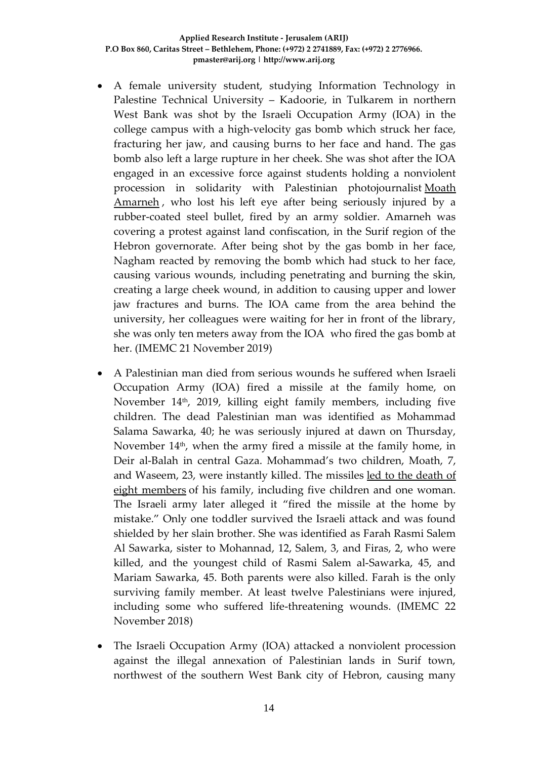- A female university student, studying Information Technology in Palestine Technical University – Kadoorie, in Tulkarem in northern West Bank was shot by the Israeli Occupation Army (IOA) in the college campus with a high-velocity gas bomb which struck her face, fracturing her jaw, and causing burns to her face and hand. The gas bomb also left a large rupture in her cheek. She was shot after the IOA engaged in an excessive force against students holding a nonviolent procession in solidarity with Palestinian photojournalist [Moath](https://imemc.org/article/journalist-advocates-condemn-israels-shooting-of-photojournalist/)  [Amarneh](https://imemc.org/article/journalist-advocates-condemn-israels-shooting-of-photojournalist/) , who lost his left eye after being seriously injured by a rubber-coated steel bullet, fired by an army soldier. Amarneh was covering a protest against land confiscation, in the Surif region of the Hebron governorate. After being shot by the gas bomb in her face, Nagham reacted by removing the bomb which had stuck to her face, causing various wounds, including penetrating and burning the skin, creating a large cheek wound, in addition to causing upper and lower jaw fractures and burns. The IOA came from the area behind the university, her colleagues were waiting for her in front of the library, she was only ten meters away from the IOA who fired the gas bomb at her. (IMEMC 21 November 2019)
- A Palestinian man died from serious wounds he suffered when Israeli Occupation Army (IOA) fired a missile at the family home, on November 14th, 2019, killing eight family members, including five children. The dead Palestinian man was identified as Mohammad Salama Sawarka, 40; he was seriously injured at dawn on Thursday, November  $14<sup>th</sup>$ , when the army fired a missile at the family home, in Deir al-Balah in central Gaza. Mohammad's two children, Moath, 7, and Waseem, 23, were instantly killed. The missiles [led to the death of](https://imemc.org/article/israeli-missiles-kill-six-family-members-in-deir-al-balah-injure-13/)  [eight members](https://imemc.org/article/israeli-missiles-kill-six-family-members-in-deir-al-balah-injure-13/) of his family, including five children and one woman. The Israeli army later alleged it "fired the missile at the home by mistake." Only one toddler survived the Israeli attack and was found shielded by her slain brother. She was identified as Farah Rasmi Salem Al Sawarka, sister to Mohannad, 12, Salem, 3, and Firas, 2, who were killed, and the youngest child of Rasmi Salem al-Sawarka, 45, and Mariam Sawarka, 45. Both parents were also killed. Farah is the only surviving family member. At least twelve Palestinians were injured, including some who suffered life-threatening wounds. (IMEMC 22 November 2018)
- The Israeli Occupation Army (IOA) attacked a nonviolent procession against the illegal annexation of Palestinian lands in Surif town, northwest of the southern West Bank city of Hebron, causing many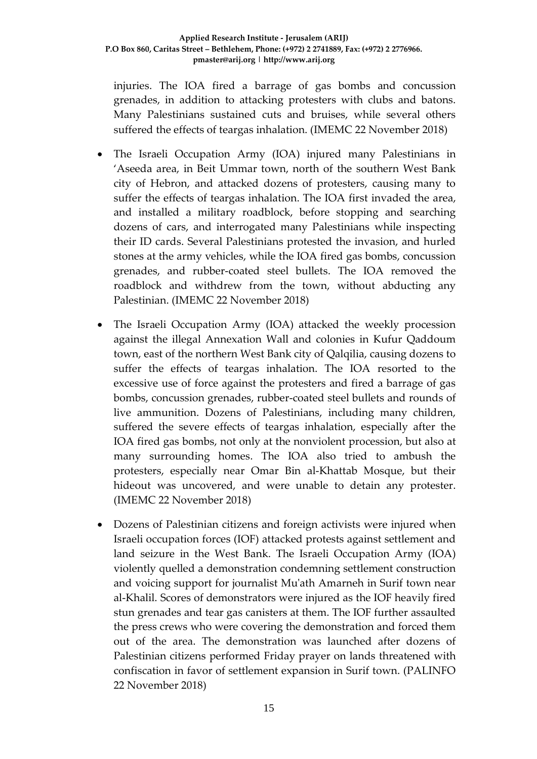injuries. The IOA fired a barrage of gas bombs and concussion grenades, in addition to attacking protesters with clubs and batons. Many Palestinians sustained cuts and bruises, while several others suffered the effects of teargas inhalation. (IMEMC 22 November 2018)

- The Israeli Occupation Army (IOA) injured many Palestinians in 'Aseeda area, in Beit Ummar town, north of the southern West Bank city of Hebron, and attacked dozens of protesters, causing many to suffer the effects of teargas inhalation. The IOA first invaded the area, and installed a military roadblock, before stopping and searching dozens of cars, and interrogated many Palestinians while inspecting their ID cards. Several Palestinians protested the invasion, and hurled stones at the army vehicles, while the IOA fired gas bombs, concussion grenades, and rubber-coated steel bullets. The IOA removed the roadblock and withdrew from the town, without abducting any Palestinian. (IMEMC 22 November 2018)
- The Israeli Occupation Army (IOA) attacked the weekly procession against the illegal Annexation Wall and colonies in Kufur Qaddoum town, east of the northern West Bank city of Qalqilia, causing dozens to suffer the effects of teargas inhalation. The IOA resorted to the excessive use of force against the protesters and fired a barrage of gas bombs, concussion grenades, rubber-coated steel bullets and rounds of live ammunition. Dozens of Palestinians, including many children, suffered the severe effects of teargas inhalation, especially after the IOA fired gas bombs, not only at the nonviolent procession, but also at many surrounding homes. The IOA also tried to ambush the protesters, especially near Omar Bin al-Khattab Mosque, but their hideout was uncovered, and were unable to detain any protester. (IMEMC 22 November 2018)
- Dozens of Palestinian citizens and foreign activists were injured when Israeli occupation forces (IOF) attacked protests against settlement and land seizure in the West Bank. The Israeli Occupation Army (IOA) violently quelled a demonstration condemning settlement construction and voicing support for journalist Mu'ath Amarneh in Surif town near al-Khalil. Scores of demonstrators were injured as the IOF heavily fired stun grenades and tear gas canisters at them. The IOF further assaulted the press crews who were covering the demonstration and forced them out of the area. The demonstration was launched after dozens of Palestinian citizens performed Friday prayer on lands threatened with confiscation in favor of settlement expansion in Surif town. (PALINFO 22 November 2018)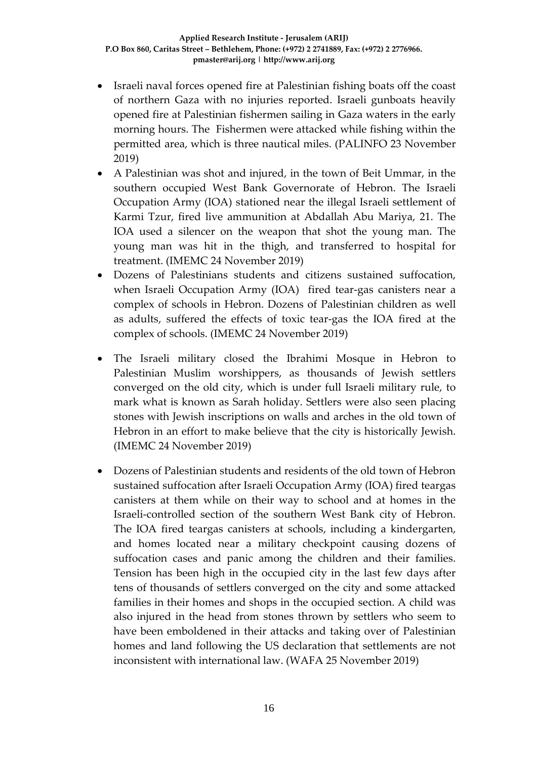- Israeli naval forces opened fire at Palestinian fishing boats off the coast of northern Gaza with no injuries reported. Israeli gunboats heavily opened fire at Palestinian fishermen sailing in Gaza waters in the early morning hours. The Fishermen were attacked while fishing within the permitted area, which is three nautical miles. (PALINFO 23 November 2019)
- A Palestinian was shot and injured, in the town of Beit Ummar, in the southern occupied West Bank Governorate of Hebron. The Israeli Occupation Army (IOA) stationed near the illegal Israeli settlement of Karmi Tzur, fired live ammunition at Abdallah Abu Mariya, 21. The IOA used a silencer on the weapon that shot the young man. The young man was hit in the thigh, and transferred to hospital for treatment. (IMEMC 24 November 2019)
- Dozens of Palestinians students and citizens sustained suffocation, when Israeli Occupation Army (IOA) fired tear-gas canisters near a complex of schools in Hebron. Dozens of Palestinian children as well as adults, suffered the effects of toxic tear-gas the IOA fired at the complex of schools. (IMEMC 24 November 2019)
- The Israeli military closed the Ibrahimi Mosque in Hebron to Palestinian Muslim worshippers, as thousands of Jewish settlers converged on the old city, which is under full Israeli military rule, to mark what is known as Sarah holiday. Settlers were also seen placing stones with Jewish inscriptions on walls and arches in the old town of Hebron in an effort to make believe that the city is historically Jewish. (IMEMC 24 November 2019)
- Dozens of Palestinian students and residents of the old town of Hebron sustained suffocation after Israeli Occupation Army (IOA) fired teargas canisters at them while on their way to school and at homes in the Israeli-controlled section of the southern West Bank city of Hebron. The IOA fired teargas canisters at schools, including a kindergarten, and homes located near a military checkpoint causing dozens of suffocation cases and panic among the children and their families. Tension has been high in the occupied city in the last few days after tens of thousands of settlers converged on the city and some attacked families in their homes and shops in the occupied section. A child was also injured in the head from stones thrown by settlers who seem to have been emboldened in their attacks and taking over of Palestinian homes and land following the US declaration that settlements are not inconsistent with international law. (WAFA 25 November 2019)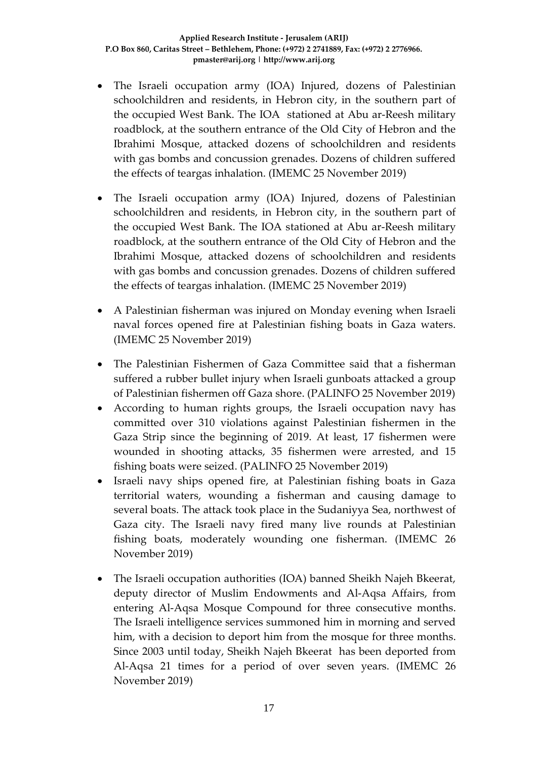- The Israeli occupation army (IOA) Injured, dozens of Palestinian schoolchildren and residents, in Hebron city, in the southern part of the occupied West Bank. The IOA stationed at Abu ar-Reesh military roadblock, at the southern entrance of the Old City of Hebron and the Ibrahimi Mosque, attacked dozens of schoolchildren and residents with gas bombs and concussion grenades. Dozens of children suffered the effects of teargas inhalation. (IMEMC 25 November 2019)
- The Israeli occupation army (IOA) Injured, dozens of Palestinian schoolchildren and residents, in Hebron city, in the southern part of the occupied West Bank. The IOA stationed at Abu ar-Reesh military roadblock, at the southern entrance of the Old City of Hebron and the Ibrahimi Mosque, attacked dozens of schoolchildren and residents with gas bombs and concussion grenades. Dozens of children suffered the effects of teargas inhalation. (IMEMC 25 November 2019)
- A Palestinian fisherman was injured on Monday evening when Israeli naval forces opened fire at Palestinian fishing boats in Gaza waters. (IMEMC 25 November 2019)
- The Palestinian Fishermen of Gaza Committee said that a fisherman suffered a rubber bullet injury when Israeli gunboats attacked a group of Palestinian fishermen off Gaza shore. (PALINFO 25 November 2019)
- According to human rights groups, the Israeli occupation navy has committed over 310 violations against Palestinian fishermen in the Gaza Strip since the beginning of 2019. At least, 17 fishermen were wounded in shooting attacks, 35 fishermen were arrested, and 15 fishing boats were seized. (PALINFO 25 November 2019)
- Israeli navy ships opened fire, at Palestinian fishing boats in Gaza territorial waters, wounding a fisherman and causing damage to several boats. The attack took place in the Sudaniyya Sea, northwest of Gaza city. The Israeli navy fired many live rounds at Palestinian fishing boats, moderately wounding one fisherman. (IMEMC 26 November 2019)
- The Israeli occupation authorities (IOA) banned Sheikh Najeh Bkeerat, deputy director of Muslim Endowments and Al-Aqsa Affairs, from entering Al-Aqsa Mosque Compound for three consecutive months. The Israeli intelligence services summoned him in morning and served him, with a decision to deport him from the mosque for three months. Since 2003 until today, Sheikh Najeh Bkeerat has been deported from Al-Aqsa 21 times for a period of over seven years. (IMEMC 26 November 2019)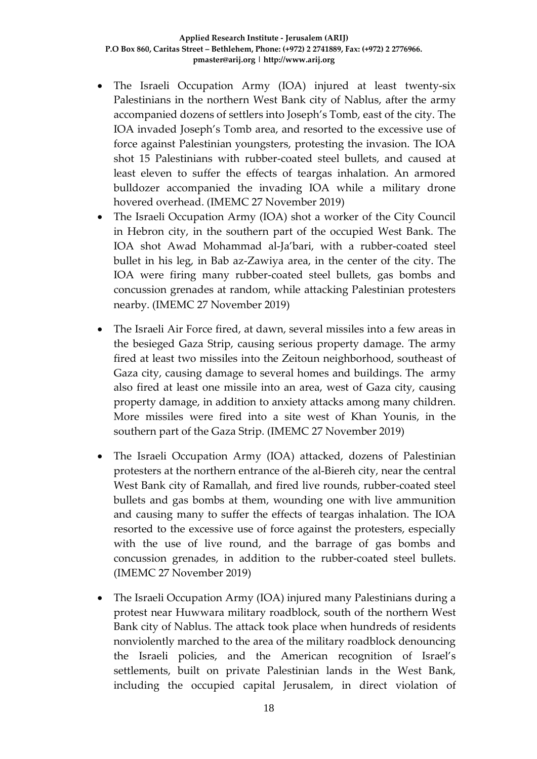- The Israeli Occupation Army (IOA) injured at least twenty-six Palestinians in the northern West Bank city of Nablus, after the army accompanied dozens of settlers into Joseph's Tomb, east of the city. The IOA invaded Joseph's Tomb area, and resorted to the excessive use of force against Palestinian youngsters, protesting the invasion. The IOA shot 15 Palestinians with rubber-coated steel bullets, and caused at least eleven to suffer the effects of teargas inhalation. An armored bulldozer accompanied the invading IOA while a military drone hovered overhead. (IMEMC 27 November 2019)
- The Israeli Occupation Army (IOA) shot a worker of the City Council in Hebron city, in the southern part of the occupied West Bank. The IOA shot Awad Mohammad al-Ja'bari, with a rubber-coated steel bullet in his leg, in Bab az-Zawiya area, in the center of the city. The IOA were firing many rubber-coated steel bullets, gas bombs and concussion grenades at random, while attacking Palestinian protesters nearby. (IMEMC 27 November 2019)
- The Israeli Air Force fired, at dawn, several missiles into a few areas in the besieged Gaza Strip, causing serious property damage. The army fired at least two missiles into the Zeitoun neighborhood, southeast of Gaza city, causing damage to several homes and buildings. The army also fired at least one missile into an area, west of Gaza city, causing property damage, in addition to anxiety attacks among many children. More missiles were fired into a site west of Khan Younis, in the southern part of the Gaza Strip. (IMEMC 27 November 2019)
- The Israeli Occupation Army (IOA) attacked, dozens of Palestinian protesters at the northern entrance of the al-Biereh city, near the central West Bank city of Ramallah, and fired live rounds, rubber-coated steel bullets and gas bombs at them, wounding one with live ammunition and causing many to suffer the effects of teargas inhalation. The IOA resorted to the excessive use of force against the protesters, especially with the use of live round, and the barrage of gas bombs and concussion grenades, in addition to the rubber-coated steel bullets. (IMEMC 27 November 2019)
- The Israeli Occupation Army (IOA) injured many Palestinians during a protest near Huwwara military roadblock, south of the northern West Bank city of Nablus. The attack took place when hundreds of residents nonviolently marched to the area of the military roadblock denouncing the Israeli policies, and the American recognition of Israel's settlements, built on private Palestinian lands in the West Bank, including the occupied capital Jerusalem, in direct violation of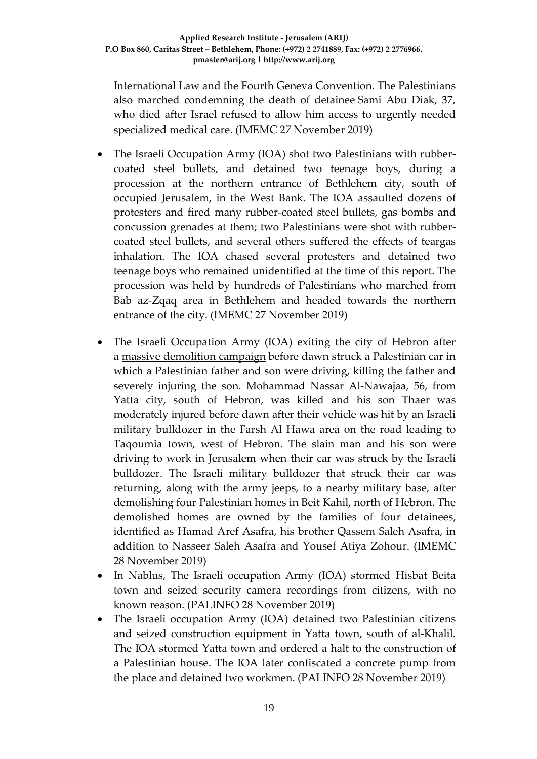International Law and the Fourth Geneva Convention. The Palestinians also marched condemning the death of detainee [Sami Abu Diak,](https://imemc.org/article/after-being-denied-specialized-medical-care-detainee-dies-in-israeli-prison/) 37, who died after Israel refused to allow him access to urgently needed specialized medical care. (IMEMC 27 November 2019)

- The Israeli Occupation Army (IOA) shot two Palestinians with rubbercoated steel bullets, and detained two teenage boys, during a procession at the northern entrance of Bethlehem city, south of occupied Jerusalem, in the West Bank. The IOA assaulted dozens of protesters and fired many rubber-coated steel bullets, gas bombs and concussion grenades at them; two Palestinians were shot with rubbercoated steel bullets, and several others suffered the effects of teargas inhalation. The IOA chased several protesters and detained two teenage boys who remained unidentified at the time of this report. The procession was held by hundreds of Palestinians who marched from Bab az-Zqaq area in Bethlehem and headed towards the northern entrance of the city. (IMEMC 27 November 2019)
- The Israeli Occupation Army (IOA) exiting the city of Hebron after a [massive demolition campaign](https://imemc.org/article/israeli-soldiers-demolish-four-homes-in-hebron/) before dawn struck a Palestinian car in which a Palestinian father and son were driving, killing the father and severely injuring the son. Mohammad Nassar Al-Nawajaa, 56, from Yatta city, south of Hebron, was killed and his son Thaer was moderately injured before dawn after their vehicle was hit by an Israeli military bulldozer in the Farsh Al Hawa area on the road leading to Taqoumia town, west of Hebron. The slain man and his son were driving to work in Jerusalem when their car was struck by the Israeli bulldozer. The Israeli military bulldozer that struck their car was returning, along with the army jeeps, to a nearby military base, after demolishing four Palestinian homes in Beit Kahil, north of Hebron. The demolished homes are owned by the families of four detainees, identified as Hamad Aref Asafra, his brother Qassem Saleh Asafra, in addition to Nasseer Saleh Asafra and Yousef Atiya Zohour. (IMEMC 28 November 2019)
- In Nablus, The Israeli occupation Army (IOA) stormed Hisbat Beita town and seized security camera recordings from citizens, with no known reason. (PALINFO 28 November 2019)
- The Israeli occupation Army (IOA) detained two Palestinian citizens and seized construction equipment in Yatta town, south of al-Khalil. The IOA stormed Yatta town and ordered a halt to the construction of a Palestinian house. The IOA later confiscated a concrete pump from the place and detained two workmen. (PALINFO 28 November 2019)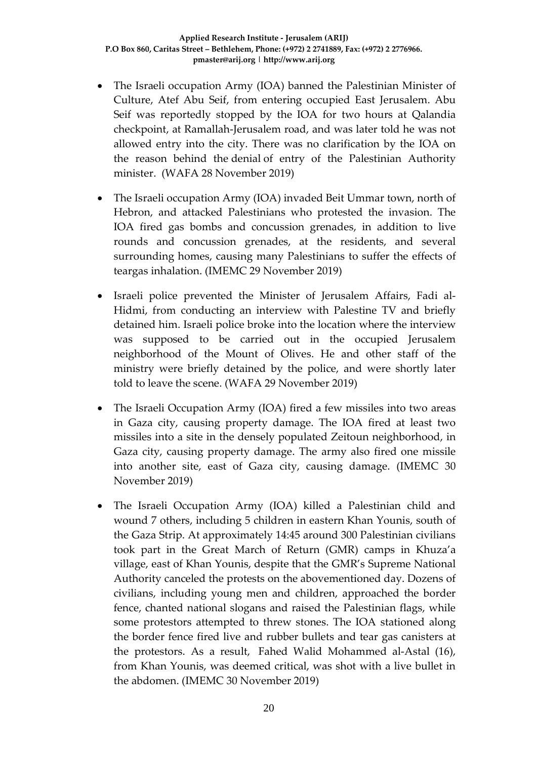- The Israeli occupation Army (IOA) banned the Palestinian Minister of Culture, Atef Abu Seif, from entering occupied East Jerusalem. Abu Seif was reportedly stopped by the IOA for two hours at Qalandia checkpoint, at Ramallah-Jerusalem road, and was later told he was not allowed entry into the city. There was no clarification by the IOA on the reason behind the denial of entry of the Palestinian Authority minister. (WAFA 28 November 2019)
- The Israeli occupation Army (IOA) invaded Beit Ummar town, north of Hebron, and attacked Palestinians who protested the invasion. The IOA fired gas bombs and concussion grenades, in addition to live rounds and concussion grenades, at the residents, and several surrounding homes, causing many Palestinians to suffer the effects of teargas inhalation. (IMEMC 29 November 2019)
- Israeli police prevented the Minister of Jerusalem Affairs, Fadi al-Hidmi, from conducting an interview with Palestine TV and briefly detained him. Israeli police broke into the location where the interview was supposed to be carried out in the occupied Jerusalem neighborhood of the Mount of Olives. He and other staff of the ministry were briefly detained by the police, and were shortly later told to leave the scene. (WAFA 29 November 2019)
- The Israeli Occupation Army (IOA) fired a few missiles into two areas in Gaza city, causing property damage. The IOA fired at least two missiles into a site in the densely populated Zeitoun neighborhood, in Gaza city, causing property damage. The army also fired one missile into another site, east of Gaza city, causing damage. (IMEMC 30 November 2019)
- The Israeli Occupation Army (IOA) killed a Palestinian child and wound 7 others, including 5 children in eastern Khan Younis, south of the Gaza Strip. At approximately 14:45 around 300 Palestinian civilians took part in the Great March of Return (GMR) camps in Khuza'a village, east of Khan Younis, despite that the GMR's Supreme National Authority canceled the protests on the abovementioned day. Dozens of civilians, including young men and children, approached the border fence, chanted national slogans and raised the Palestinian flags, while some protestors attempted to threw stones. The IOA stationed along the border fence fired live and rubber bullets and tear gas canisters at the protestors. As a result, Fahed Walid Mohammed al-Astal (16), from Khan Younis, was deemed critical, was shot with a live bullet in the abdomen. (IMEMC 30 November 2019)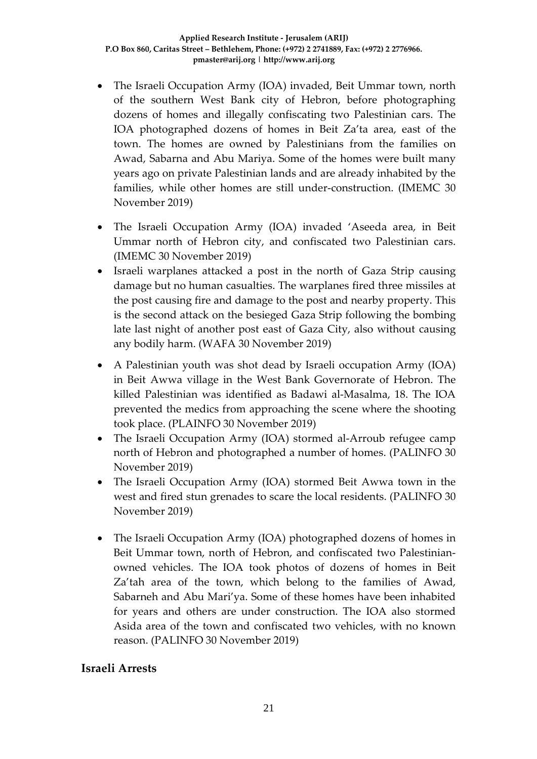- The Israeli Occupation Army (IOA) invaded, Beit Ummar town, north of the southern West Bank city of Hebron, before photographing dozens of homes and illegally confiscating two Palestinian cars. The IOA photographed dozens of homes in Beit Za'ta area, east of the town. The homes are owned by Palestinians from the families on Awad, Sabarna and Abu Mariya. Some of the homes were built many years ago on private Palestinian lands and are already inhabited by the families, while other homes are still under-construction. (IMEMC 30 November 2019)
- The Israeli Occupation Army (IOA) invaded 'Aseeda area, in Beit Ummar north of Hebron city, and confiscated two Palestinian cars. (IMEMC 30 November 2019)
- Israeli warplanes attacked a post in the north of Gaza Strip causing damage but no human casualties. The warplanes fired three missiles at the post causing fire and damage to the post and nearby property. This is the second attack on the besieged Gaza Strip following the bombing late last night of another post east of Gaza City, also without causing any bodily harm. (WAFA 30 November 2019)
- A Palestinian youth was shot dead by Israeli occupation Army (IOA) in Beit Awwa village in the West Bank Governorate of Hebron. The killed Palestinian was identified as Badawi al-Masalma, 18. The IOA prevented the medics from approaching the scene where the shooting took place. (PLAINFO 30 November 2019)
- The Israeli Occupation Army (IOA) stormed al-Arroub refugee camp north of Hebron and photographed a number of homes. (PALINFO 30 November 2019)
- The Israeli Occupation Army (IOA) stormed Beit Awwa town in the west and fired stun grenades to scare the local residents. (PALINFO 30 November 2019)
- The Israeli Occupation Army (IOA) photographed dozens of homes in Beit Ummar town, north of Hebron, and confiscated two Palestinianowned vehicles. The IOA took photos of dozens of homes in Beit Za'tah area of the town, which belong to the families of Awad, Sabarneh and Abu Mari'ya. Some of these homes have been inhabited for years and others are under construction. The IOA also stormed Asida area of the town and confiscated two vehicles, with no known reason. (PALINFO 30 November 2019)

# **Israeli Arrests**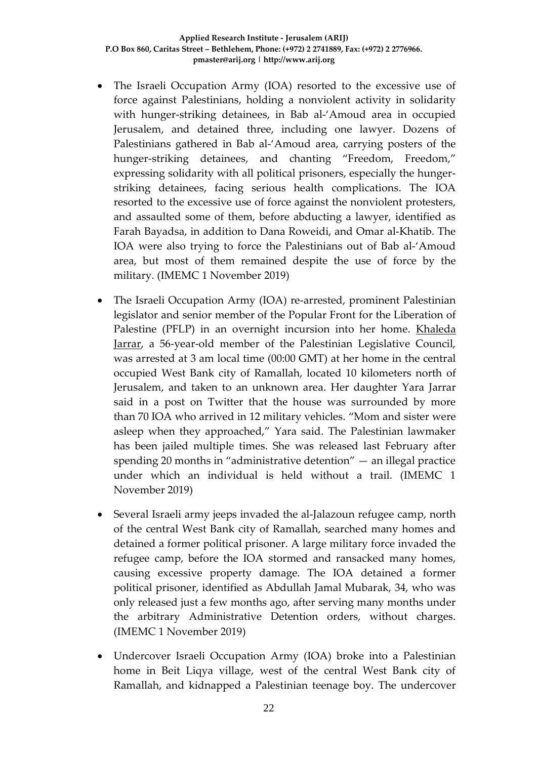- The Israeli Occupation Army (IOA) resorted to the excessive use of force against Palestinians, holding a nonviolent activity in solidarity with hunger-striking detainees, in Bab al-'Amoud area in occupied Jerusalem, and detained three, including one lawyer. Dozens of Palestinians gathered in Bab al-'Amoud area, carrying posters of the hunger-striking detainees, and chanting "Freedom, Freedom," expressing solidarity with all political prisoners, especially the hungerstriking detainees, facing serious health complications. The IOA resorted to the excessive use of force against the nonviolent protesters, and assaulted some of them, before abducting a lawyer, identified as Farah Bayadsa, in addition to Dana Roweidi, and Omar al-Khatib. The IOA were also trying to force the Palestinians out of Bab al-'Amoud area, but most of them remained despite the use of force by the military. (IMEMC 1 November 2019)
- The Israeli Occupation Army (IOA) re-arrested, prominent Palestinian legislator and senior member of the Popular Front for the Liberation of Palestine (PFLP) in an overnight incursion into her home. [Khaleda](http://imemc.org/article/soldiers-abduct-twelve-palestinians-in-west-bank/)  [Jarrar,](http://imemc.org/article/soldiers-abduct-twelve-palestinians-in-west-bank/) a 56-year-old member of the Palestinian Legislative Council, was arrested at 3 am local time (00:00 GMT) at her home in the central occupied West Bank city of Ramallah, located 10 kilometers north of Jerusalem, and taken to an unknown area. Her daughter Yara Jarrar said in a post on Twitter that the house was surrounded by more than 70 IOA who arrived in 12 military vehicles. "Mom and sister were asleep when they approached," Yara said. The Palestinian lawmaker has been jailed multiple times. She was released last February after spending 20 months in "administrative detention" — an illegal practice under which an individual is held without a trail. (IMEMC 1 November 2019)
- Several Israeli army jeeps invaded the al-Jalazoun refugee camp, north of the central West Bank city of Ramallah, searched many homes and detained a former political prisoner. A large military force invaded the refugee camp, before the IOA stormed and ransacked many homes, causing excessive property damage. The IOA detained a former political prisoner, identified as Abdullah Jamal Mubarak, 34, who was only released just a few months ago, after serving many months under the arbitrary Administrative Detention orders, without charges. (IMEMC 1 November 2019)
- Undercover Israeli Occupation Army (IOA) broke into a Palestinian home in Beit Liqya village, west of the central West Bank city of Ramallah, and kidnapped a Palestinian teenage boy. The undercover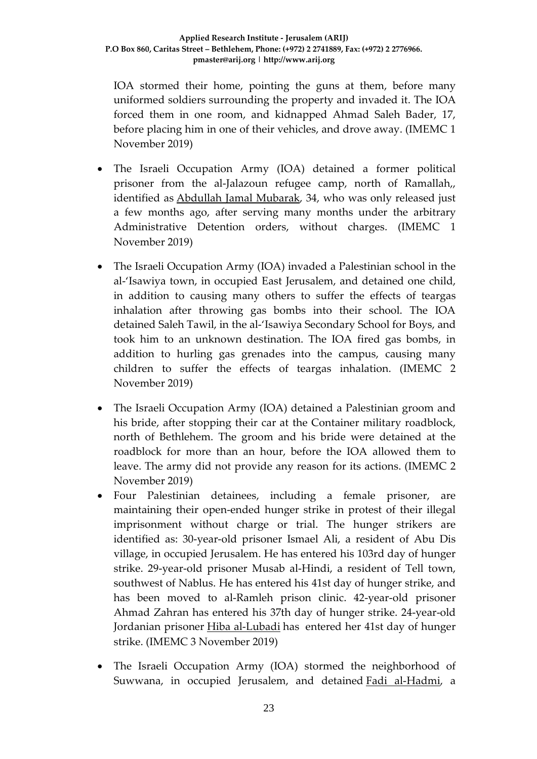IOA stormed their home, pointing the guns at them, before many uniformed soldiers surrounding the property and invaded it. The IOA forced them in one room, and kidnapped Ahmad Saleh Bader, 17, before placing him in one of their vehicles, and drove away. (IMEMC 1 November 2019)

- The Israeli Occupation Army (IOA) detained a former political prisoner from the al-Jalazoun refugee camp, north of Ramallah,, identified as [Abdullah Jamal Mubarak,](https://imemc.org/article/soldiers-abduct-a-former-political-prisoner-near-ramallah/) 34, who was only released just a few months ago, after serving many months under the arbitrary Administrative Detention orders, without charges. (IMEMC 1 November 2019)
- The Israeli Occupation Army (IOA) invaded a Palestinian school in the al-'Isawiya town, in occupied East Jerusalem, and detained one child, in addition to causing many others to suffer the effects of teargas inhalation after throwing gas bombs into their school. The IOA detained Saleh Tawil, in the al-'Isawiya Secondary School for Boys, and took him to an unknown destination. The IOA fired gas bombs, in addition to hurling gas grenades into the campus, causing many children to suffer the effects of teargas inhalation. (IMEMC 2 November 2019)
- The Israeli Occupation Army (IOA) detained a Palestinian groom and his bride, after stopping their car at the Container military roadblock, north of Bethlehem. The groom and his bride were detained at the roadblock for more than an hour, before the IOA allowed them to leave. The army did not provide any reason for its actions. (IMEMC 2 November 2019)
- Four Palestinian detainees, including a female prisoner, are maintaining their open-ended hunger strike in protest of their illegal imprisonment without charge or trial. The hunger strikers are identified as: 30-year-old prisoner Ismael Ali, a resident of Abu Dis village, in occupied Jerusalem. He has entered his 103rd day of hunger strike. 29-year-old prisoner Musab al-Hindi, a resident of Tell town, southwest of Nablus. He has entered his 41st day of hunger strike, and has been moved to al-Ramleh prison clinic. 42-year-old prisoner Ahmad Zahran has entered his 37th day of hunger strike. 24-year-old Jordanian prisoner [Hiba al-Lubadi](https://imemc.org/article/female-jordanian-hunger-striker-transferred-to-hospital/) has entered her 41st day of hunger strike. (IMEMC 3 November 2019)
- The Israeli Occupation Army (IOA) stormed the neighborhood of Suwwana, in occupied Jerusalem, and detained **Fadi al-Hadmi**, a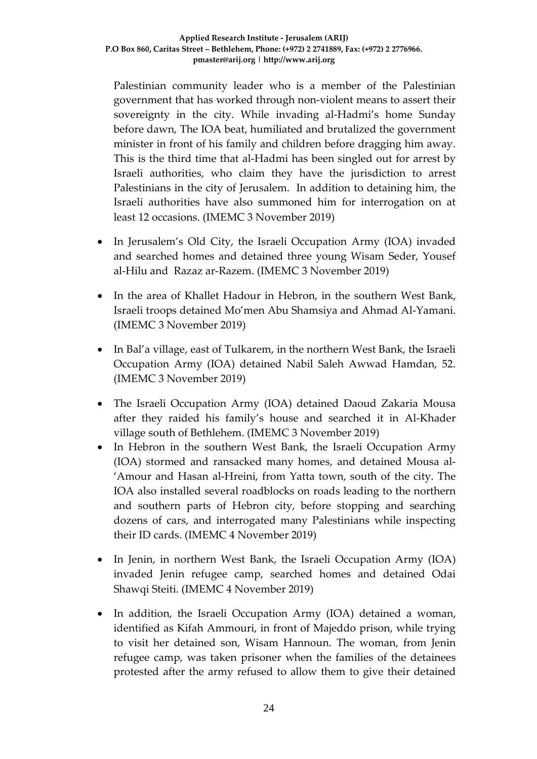Palestinian community leader who is a member of the Palestinian government that has worked through non-violent means to assert their sovereignty in the city. While invading al-Hadmi's home Sunday before dawn, The IOA beat, humiliated and brutalized the government minister in front of his family and children before dragging him away. This is the third time that al-Hadmi has been singled out for arrest by Israeli authorities, who claim they have the jurisdiction to arrest Palestinians in the city of Jerusalem. In addition to detaining him, the Israeli authorities have also summoned him for interrogation on at least 12 occasions. (IMEMC 3 November 2019)

- In Jerusalem's Old City, the Israeli Occupation Army (IOA) invaded and searched homes and detained three young Wisam Seder, Yousef al-Hilu and Razaz ar-Razem. (IMEMC 3 November 2019)
- In the area of Khallet Hadour in Hebron, in the southern West Bank, Israeli troops detained Mo'men Abu Shamsiya and Ahmad Al-Yamani. (IMEMC 3 November 2019)
- In Bal'a village, east of Tulkarem, in the northern West Bank, the Israeli Occupation Army (IOA) detained Nabil Saleh Awwad Hamdan, 52. (IMEMC 3 November 2019)
- The Israeli Occupation Army (IOA) detained Daoud Zakaria Mousa after they raided his family's house and searched it in Al-Khader village south of Bethlehem. (IMEMC 3 November 2019)
- In Hebron in the southern West Bank, the Israeli Occupation Army (IOA) stormed and ransacked many homes, and detained Mousa al- 'Amour and Hasan al-Hreini, from Yatta town, south of the city. The IOA also installed several roadblocks on roads leading to the northern and southern parts of Hebron city, before stopping and searching dozens of cars, and interrogated many Palestinians while inspecting their ID cards. (IMEMC 4 November 2019)
- In Jenin, in northern West Bank, the Israeli Occupation Army (IOA) invaded Jenin refugee camp, searched homes and detained Odai Shawqi Steiti. (IMEMC 4 November 2019)
- In addition, the Israeli Occupation Army (IOA) detained a woman, identified as Kifah Ammouri, in front of Majeddo prison, while trying to visit her detained son, Wisam Hannoun. The woman, from Jenin refugee camp, was taken prisoner when the families of the detainees protested after the army refused to allow them to give their detained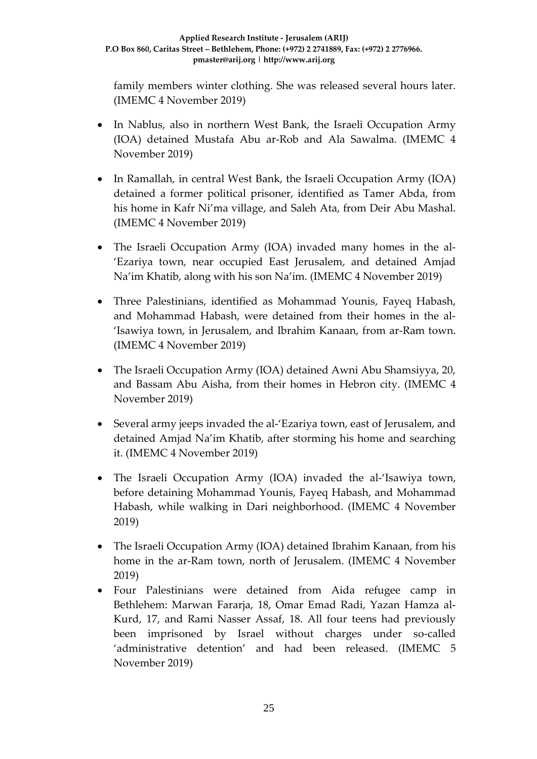family members winter clothing. She was released several hours later. (IMEMC 4 November 2019)

- In Nablus, also in northern West Bank, the Israeli Occupation Army (IOA) detained Mustafa Abu ar-Rob and Ala Sawalma. (IMEMC 4 November 2019)
- In Ramallah, in central West Bank, the Israeli Occupation Army (IOA) detained a former political prisoner, identified as Tamer Abda, from his home in Kafr Ni'ma village, and Saleh Ata, from Deir Abu Mashal. (IMEMC 4 November 2019)
- The Israeli Occupation Army (IOA) invaded many homes in the al- 'Ezariya town, near occupied East Jerusalem, and detained Amjad Na'im Khatib, along with his son Na'im. (IMEMC 4 November 2019)
- Three Palestinians, identified as Mohammad Younis, Fayeq Habash, and Mohammad Habash, were detained from their homes in the al- 'Isawiya town, in Jerusalem, and Ibrahim Kanaan, from ar-Ram town. (IMEMC 4 November 2019)
- The Israeli Occupation Army (IOA) detained Awni Abu Shamsiyya, 20, and Bassam Abu Aisha, from their homes in Hebron city. (IMEMC 4 November 2019)
- Several army jeeps invaded the al-'Ezariya town, east of Jerusalem, and detained Amjad Na'im Khatib, after storming his home and searching it. (IMEMC 4 November 2019)
- The Israeli Occupation Army (IOA) invaded the al-'Isawiya town, before detaining Mohammad Younis, Fayeq Habash, and Mohammad Habash, while walking in Dari neighborhood. (IMEMC 4 November 2019)
- The Israeli Occupation Army (IOA) detained Ibrahim Kanaan, from his home in the ar-Ram town, north of Jerusalem. (IMEMC 4 November 2019)
- Four Palestinians were detained from Aida refugee camp in Bethlehem: Marwan Fararja, 18, Omar Emad Radi, Yazan Hamza al-Kurd, 17, and Rami Nasser Assaf, 18. All four teens had previously been imprisoned by Israel without charges under so-called 'administrative detention' and had been released. (IMEMC 5 November 2019)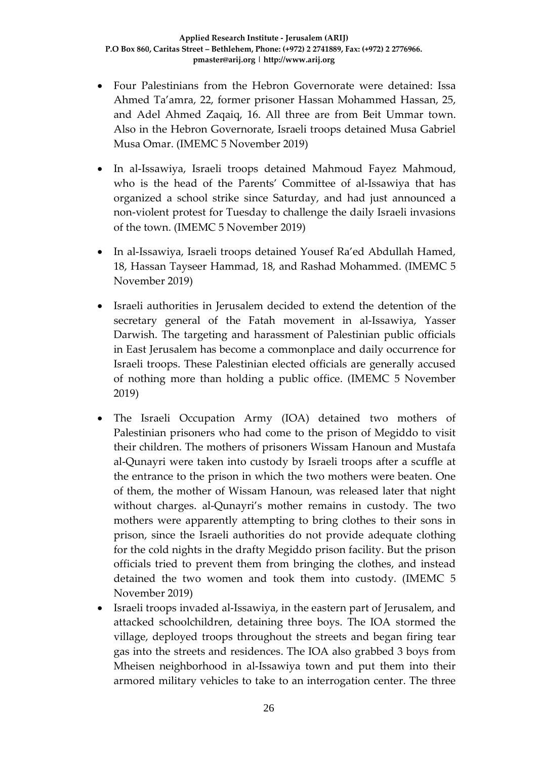- Four Palestinians from the Hebron Governorate were detained: Issa Ahmed Ta'amra, 22, former prisoner Hassan Mohammed Hassan, 25, and Adel Ahmed Zaqaiq, 16. All three are from Beit Ummar town. Also in the Hebron Governorate, Israeli troops detained Musa Gabriel Musa Omar. (IMEMC 5 November 2019)
- In al-Issawiya, Israeli troops detained Mahmoud Fayez Mahmoud, who is the head of the Parents' Committee of al-Issawiya that has organized a school strike since Saturday, and had just announced a non-violent protest for Tuesday to challenge the daily Israeli invasions of the town. (IMEMC 5 November 2019)
- In al-Issawiya, Israeli troops detained Yousef Ra'ed Abdullah Hamed, 18, Hassan Tayseer Hammad, 18, and Rashad Mohammed. (IMEMC 5 November 2019)
- Israeli authorities in Jerusalem decided to extend the detention of the secretary general of the Fatah movement in al-Issawiya, Yasser Darwish. The targeting and harassment of Palestinian public officials in East Jerusalem has become a commonplace and daily occurrence for Israeli troops. These Palestinian elected officials are generally accused of nothing more than holding a public office. (IMEMC 5 November 2019)
- The Israeli Occupation Army (IOA) detained two mothers of Palestinian prisoners who had come to the prison of Megiddo to visit their children. The mothers of prisoners Wissam Hanoun and Mustafa al-Qunayri were taken into custody by Israeli troops after a scuffle at the entrance to the prison in which the two mothers were beaten. One of them, the mother of Wissam Hanoun, was released later that night without charges. al-Qunayri's mother remains in custody. The two mothers were apparently attempting to bring clothes to their sons in prison, since the Israeli authorities do not provide adequate clothing for the cold nights in the drafty Megiddo prison facility. But the prison officials tried to prevent them from bringing the clothes, and instead detained the two women and took them into custody. (IMEMC 5 November 2019)
- Israeli troops invaded al-Issawiya, in the eastern part of Jerusalem, and attacked schoolchildren, detaining three boys. The IOA stormed the village, deployed troops throughout the streets and began firing tear gas into the streets and residences. The IOA also grabbed 3 boys from Mheisen neighborhood in al-Issawiya town and put them into their armored military vehicles to take to an interrogation center. The three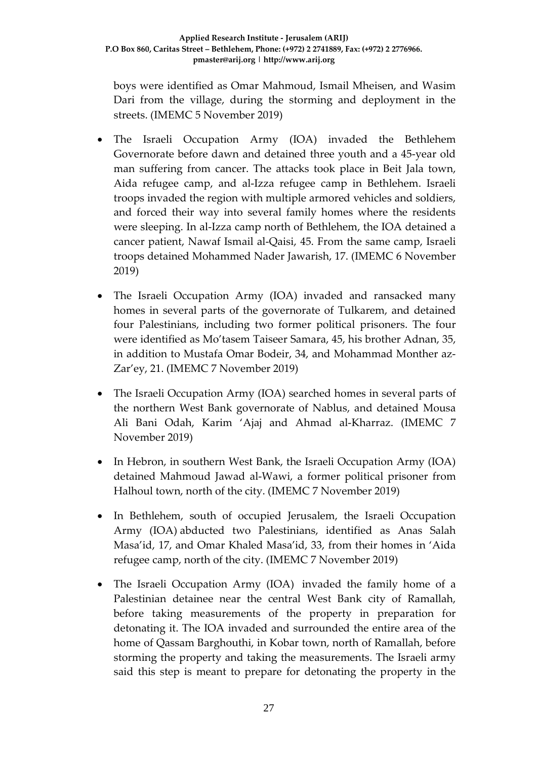boys were identified as Omar Mahmoud, Ismail Mheisen, and Wasim Dari from the village, during the storming and deployment in the streets. (IMEMC 5 November 2019)

- The Israeli Occupation Army (IOA) invaded the Bethlehem Governorate before dawn and detained three youth and a 45-year old man suffering from cancer. The attacks took place in Beit Jala town, Aida refugee camp, and al-Izza refugee camp in Bethlehem. Israeli troops invaded the region with multiple armored vehicles and soldiers, and forced their way into several family homes where the residents were sleeping. In al-Izza camp north of Bethlehem, the IOA detained a cancer patient, Nawaf Ismail al-Qaisi, 45. From the same camp, Israeli troops detained Mohammed Nader Jawarish, 17. (IMEMC 6 November 2019)
- The Israeli Occupation Army (IOA) invaded and ransacked many homes in several parts of the governorate of Tulkarem, and detained four Palestinians, including two former political prisoners. The four were identified as Mo'tasem Taiseer Samara, 45, his brother Adnan, 35, in addition to Mustafa Omar Bodeir, 34, and Mohammad Monther az-Zar'ey, 21. (IMEMC 7 November 2019)
- The Israeli Occupation Army (IOA) searched homes in several parts of the northern West Bank governorate of Nablus, and detained Mousa Ali Bani Odah, Karim 'Ajaj and Ahmad al-Kharraz. (IMEMC 7 November 2019)
- In Hebron, in southern West Bank, the Israeli Occupation Army (IOA) detained Mahmoud Jawad al-Wawi, a former political prisoner from Halhoul town, north of the city. (IMEMC 7 November 2019)
- In Bethlehem, south of occupied Jerusalem, the Israeli Occupation Army (IOA) abducted two Palestinians, identified as Anas Salah Masa'id, 17, and Omar Khaled Masa'id, 33, from their homes in 'Aida refugee camp, north of the city. (IMEMC 7 November 2019)
- The Israeli Occupation Army (IOA) invaded the family home of a Palestinian detainee near the central West Bank city of Ramallah, before taking measurements of the property in preparation for detonating it. The IOA invaded and surrounded the entire area of the home of Qassam Barghouthi, in Kobar town, north of Ramallah, before storming the property and taking the measurements. The Israeli army said this step is meant to prepare for detonating the property in the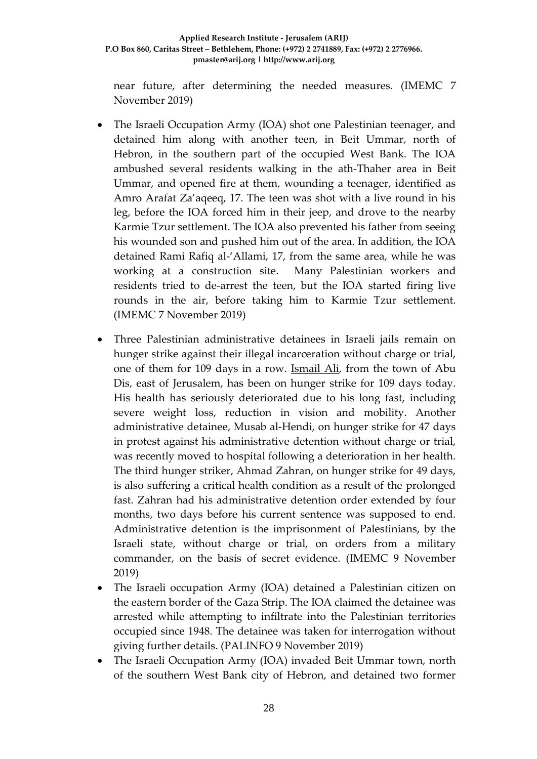## **Applied Research Institute - Jerusalem (ARIJ) P.O Box 860, Caritas Street – Bethlehem, Phone: (+972) 2 2741889, Fax: (+972) 2 2776966. pmaster@arij.org | http://www.arij.org**

near future, after determining the needed measures. (IMEMC 7 November 2019)

- The Israeli Occupation Army (IOA) shot one Palestinian teenager, and detained him along with another teen, in Beit Ummar, north of Hebron, in the southern part of the occupied West Bank. The IOA ambushed several residents walking in the ath-Thaher area in Beit Ummar, and opened fire at them, wounding a teenager, identified as Amro Arafat Za'aqeeq, 17. The teen was shot with a live round in his leg, before the IOA forced him in their jeep, and drove to the nearby Karmie Tzur settlement. The IOA also prevented his father from seeing his wounded son and pushed him out of the area. In addition, the IOA detained Rami Rafiq al-'Allami, 17, from the same area, while he was working at a construction site. Many Palestinian workers and residents tried to de-arrest the teen, but the IOA started firing live rounds in the air, before taking him to Karmie Tzur settlement. (IMEMC 7 November 2019)
- Three Palestinian administrative detainees in Israeli jails remain on hunger strike against their illegal incarceration without charge or trial, one of them for 109 days in a row. [Ismail Ali,](http://imemc.org/article/four-palestinian-detainees-still-on-hunger-strike/) from the town of Abu Dis, east of Jerusalem, has been on hunger strike for 109 days today. His health has seriously deteriorated due to his long fast, including severe weight loss, reduction in vision and mobility. Another administrative detainee, Musab al-Hendi, on hunger strike for 47 days in protest against his administrative detention without charge or trial, was recently moved to hospital following a deterioration in her health. The third hunger striker, Ahmad Zahran, on hunger strike for 49 days, is also suffering a critical health condition as a result of the prolonged fast. Zahran had his administrative detention order extended by four months, two days before his current sentence was supposed to end. Administrative detention is the imprisonment of Palestinians, by the Israeli state, without charge or trial, on orders from a military commander, on the basis of secret evidence. (IMEMC 9 November 2019)
- The Israeli occupation Army (IOA) detained a Palestinian citizen on the eastern border of the Gaza Strip. The IOA claimed the detainee was arrested while attempting to infiltrate into the Palestinian territories occupied since 1948. The detainee was taken for interrogation without giving further details. (PALINFO 9 November 2019)
- The Israeli Occupation Army (IOA) invaded Beit Ummar town, north of the southern West Bank city of Hebron, and detained two former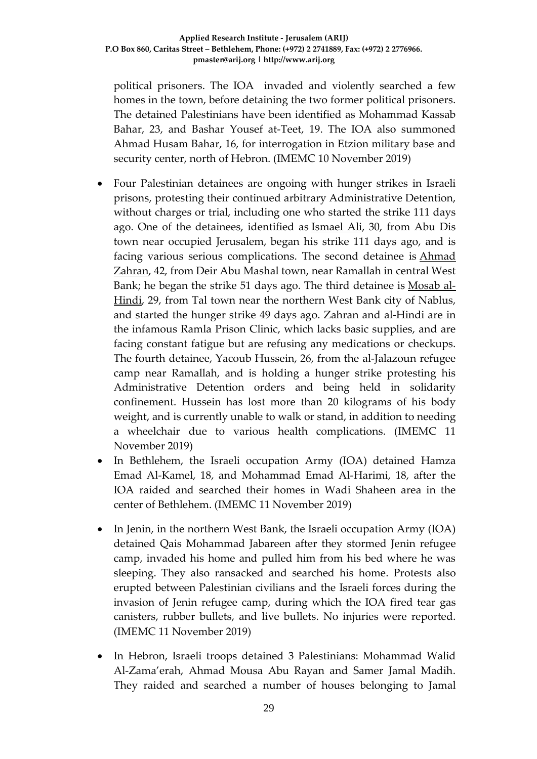political prisoners. The IOA invaded and violently searched a few homes in the town, before detaining the two former political prisoners. The detained Palestinians have been identified as Mohammad Kassab Bahar, 23, and Bashar Yousef at-Teet, 19. The IOA also summoned Ahmad Husam Bahar, 16, for interrogation in Etzion military base and security center, north of Hebron. (IMEMC 10 November 2019)

- Four Palestinian detainees are ongoing with hunger strikes in Israeli prisons, protesting their continued arbitrary Administrative Detention, without charges or trial, including one who started the strike 111 days ago. One of the detainees, identified as **Ismael Ali**, 30, from Abu Dis town near occupied Jerusalem, began his strike 111 days ago, and is facing various serious complications. The second detainee is [Ahmad](https://imemc.org/article/update-three-hunger-strikers-moved-to-solitary-confinement/)  [Zahran,](https://imemc.org/article/update-three-hunger-strikers-moved-to-solitary-confinement/) 42, from Deir Abu Mashal town, near Ramallah in central West Bank; he began the strike 51 days ago. The third detainee is [Mosab al-](https://imemc.org/article/protesting-administrative-detention-detainee-continues-hunger-strike-for-4th-day/)[Hindi,](https://imemc.org/article/protesting-administrative-detention-detainee-continues-hunger-strike-for-4th-day/) 29, from Tal town near the northern West Bank city of Nablus, and started the hunger strike 49 days ago. Zahran and al-Hindi are in the infamous Ramla Prison Clinic, which lacks basic supplies, and are facing constant fatigue but are refusing any medications or checkups. The fourth detainee, Yacoub Hussein, 26, from the al-Jalazoun refugee camp near Ramallah, and is holding a hunger strike protesting his Administrative Detention orders and being held in solidarity confinement. Hussein has lost more than 20 kilograms of his body weight, and is currently unable to walk or stand, in addition to needing a wheelchair due to various health complications. (IMEMC 11 November 2019)
- In Bethlehem, the Israeli occupation Army (IOA) detained Hamza Emad Al-Kamel, 18, and Mohammad Emad Al-Harimi, 18, after the IOA raided and searched their homes in Wadi Shaheen area in the center of Bethlehem. (IMEMC 11 November 2019)
- In Jenin, in the northern West Bank, the Israeli occupation Army (IOA) detained Qais Mohammad Jabareen after they stormed Jenin refugee camp, invaded his home and pulled him from his bed where he was sleeping. They also ransacked and searched his home. Protests also erupted between Palestinian civilians and the Israeli forces during the invasion of Jenin refugee camp, during which the IOA fired tear gas canisters, rubber bullets, and live bullets. No injuries were reported. (IMEMC 11 November 2019)
- In Hebron, Israeli troops detained 3 Palestinians: Mohammad Walid Al-Zama'erah, Ahmad Mousa Abu Rayan and Samer Jamal Madih. They raided and searched a number of houses belonging to Jamal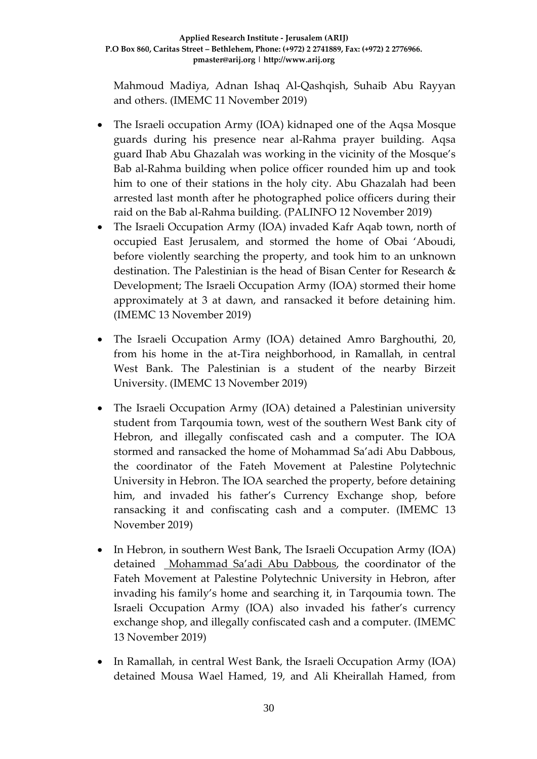Mahmoud Madiya, Adnan Ishaq Al-Qashqish, Suhaib Abu Rayyan and others. (IMEMC 11 November 2019)

- The Israeli occupation Army (IOA) kidnaped one of the Aqsa Mosque guards during his presence near al-Rahma prayer building. Aqsa guard Ihab Abu Ghazalah was working in the vicinity of the Mosque's Bab al-Rahma building when police officer rounded him up and took him to one of their stations in the holy city. Abu Ghazalah had been arrested last month after he photographed police officers during their raid on the Bab al-Rahma building. (PALINFO 12 November 2019)
- The Israeli Occupation Army (IOA) invaded Kafr Aqab town, north of occupied East Jerusalem, and stormed the home of Obai 'Aboudi, before violently searching the property, and took him to an unknown destination. The Palestinian is the head of Bisan Center for Research & Development; The Israeli Occupation Army (IOA) stormed their home approximately at 3 at dawn, and ransacked it before detaining him. (IMEMC 13 November 2019)
- The Israeli Occupation Army (IOA) detained Amro Barghouthi, 20, from his home in the at-Tira neighborhood, in Ramallah, in central West Bank. The Palestinian is a student of the nearby Birzeit University. (IMEMC 13 November 2019)
- The Israeli Occupation Army (IOA) detained a Palestinian university student from Tarqoumia town, west of the southern West Bank city of Hebron, and illegally confiscated cash and a computer. The IOA stormed and ransacked the home of Mohammad Sa'adi Abu Dabbous, the coordinator of the Fateh Movement at Palestine Polytechnic University in Hebron. The IOA searched the property, before detaining him, and invaded his father's Currency Exchange shop, before ransacking it and confiscating cash and a computer. (IMEMC 13 November 2019)
- In Hebron, in southern West Bank, The Israeli Occupation Army (IOA) detained [Mohammad Sa'adi Abu Dabbous,](https://imemc.org/article/soldiers-abduct-a-university-student-near-hebron/) the coordinator of the Fateh Movement at Palestine Polytechnic University in Hebron, after invading his family's home and searching it, in Tarqoumia town. The Israeli Occupation Army (IOA) also invaded his father's currency exchange shop, and illegally confiscated cash and a computer. (IMEMC 13 November 2019)
- In Ramallah, in central West Bank, the Israeli Occupation Army (IOA) detained Mousa Wael Hamed, 19, and Ali Kheirallah Hamed, from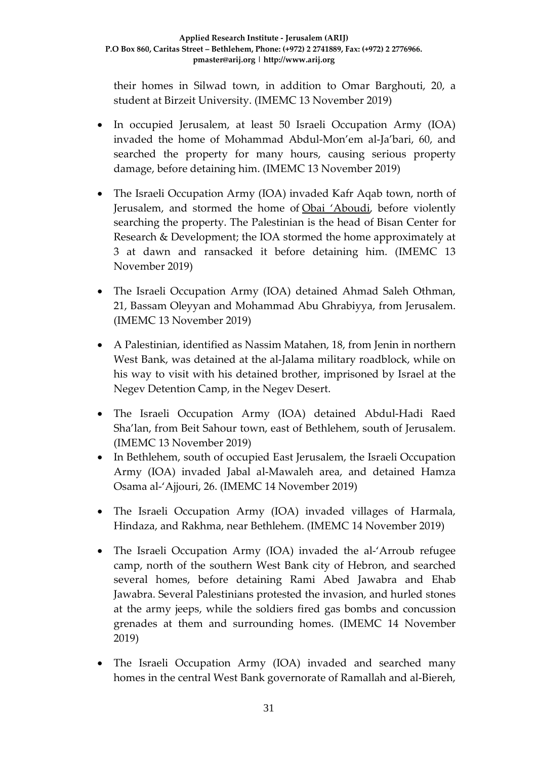their homes in Silwad town, in addition to Omar Barghouti, 20, a student at Birzeit University. (IMEMC 13 November 2019)

- In occupied Jerusalem, at least 50 Israeli Occupation Army (IOA) invaded the home of Mohammad Abdul-Mon'em al-Ja'bari, 60, and searched the property for many hours, causing serious property damage, before detaining him. (IMEMC 13 November 2019)
- The Israeli Occupation Army (IOA) invaded Kafr Aqab town, north of Jerusalem, and stormed the home of [Obai 'Aboudi,](https://imemc.org/article/army-abducts-two-palestinians-in-jerusalem-and-ramallah/) before violently searching the property. The Palestinian is the head of Bisan Center for Research & Development; the IOA stormed the home approximately at 3 at dawn and ransacked it before detaining him. (IMEMC 13 November 2019)
- The Israeli Occupation Army (IOA) detained Ahmad Saleh Othman, 21, Bassam Oleyyan and Mohammad Abu Ghrabiyya, from Jerusalem. (IMEMC 13 November 2019)
- A Palestinian, identified as Nassim Matahen, 18, from Jenin in northern West Bank, was detained at the al-Jalama military roadblock, while on his way to visit with his detained brother, imprisoned by Israel at the Negev Detention Camp, in the Negev Desert.
- The Israeli Occupation Army (IOA) detained Abdul-Hadi Raed Sha'lan, from Beit Sahour town, east of Bethlehem, south of Jerusalem. (IMEMC 13 November 2019)
- In Bethlehem, south of occupied East Jerusalem, the Israeli Occupation Army (IOA) invaded Jabal al-Mawaleh area, and detained Hamza Osama al-'Ajjouri, 26. (IMEMC 14 November 2019)
- The Israeli Occupation Army (IOA) invaded villages of Harmala, Hindaza, and Rakhma, near Bethlehem. (IMEMC 14 November 2019)
- The Israeli Occupation Army (IOA) invaded the al-'Arroub refugee camp, north of the southern West Bank city of Hebron, and searched several homes, before detaining Rami Abed Jawabra and Ehab Jawabra. Several Palestinians protested the invasion, and hurled stones at the army jeeps, while the soldiers fired gas bombs and concussion grenades at them and surrounding homes. (IMEMC 14 November 2019)
- The Israeli Occupation Army (IOA) invaded and searched many homes in the central West Bank governorate of Ramallah and al-Biereh,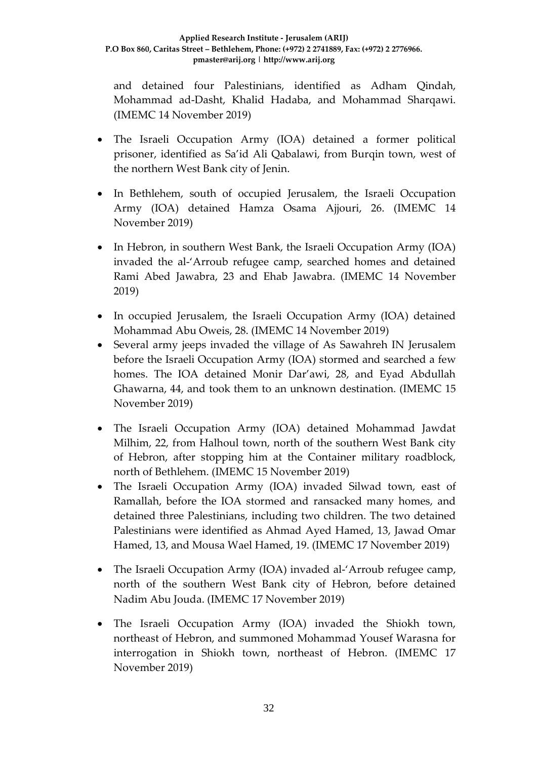and detained four Palestinians, identified as Adham Qindah, Mohammad ad-Dasht, Khalid Hadaba, and Mohammad Sharqawi. (IMEMC 14 November 2019)

- The Israeli Occupation Army (IOA) detained a former political prisoner, identified as Sa'id Ali Qabalawi, from Burqin town, west of the northern West Bank city of Jenin.
- In Bethlehem, south of occupied Jerusalem, the Israeli Occupation Army (IOA) detained Hamza Osama Ajjouri, 26. (IMEMC 14 November 2019)
- In Hebron, in southern West Bank, the Israeli Occupation Army (IOA) invaded the al-'Arroub refugee camp, searched homes and detained Rami Abed Jawabra, 23 and Ehab Jawabra. (IMEMC 14 November 2019)
- In occupied Jerusalem, the Israeli Occupation Army (IOA) detained Mohammad Abu Oweis, 28. (IMEMC 14 November 2019)
- Several army jeeps invaded the village of As Sawahreh IN Jerusalem before the Israeli Occupation Army (IOA) stormed and searched a few homes. The IOA detained Monir Dar'awi, 28, and Eyad Abdullah Ghawarna, 44, and took them to an unknown destination. (IMEMC 15 November 2019)
- The Israeli Occupation Army (IOA) detained Mohammad Jawdat Milhim, 22, from Halhoul town, north of the southern West Bank city of Hebron, after stopping him at the Container military roadblock, north of Bethlehem. (IMEMC 15 November 2019)
- The Israeli Occupation Army (IOA) invaded Silwad town, east of Ramallah, before the IOA stormed and ransacked many homes, and detained three Palestinians, including two children. The two detained Palestinians were identified as Ahmad Ayed Hamed, 13, Jawad Omar Hamed, 13, and Mousa Wael Hamed, 19. (IMEMC 17 November 2019)
- The Israeli Occupation Army (IOA) invaded al-'Arroub refugee camp, north of the southern West Bank city of Hebron, before detained Nadim Abu Jouda. (IMEMC 17 November 2019)
- The Israeli Occupation Army (IOA) invaded the Shiokh town, northeast of Hebron, and summoned Mohammad Yousef Warasna for interrogation in Shiokh town, northeast of Hebron. (IMEMC 17 November 2019)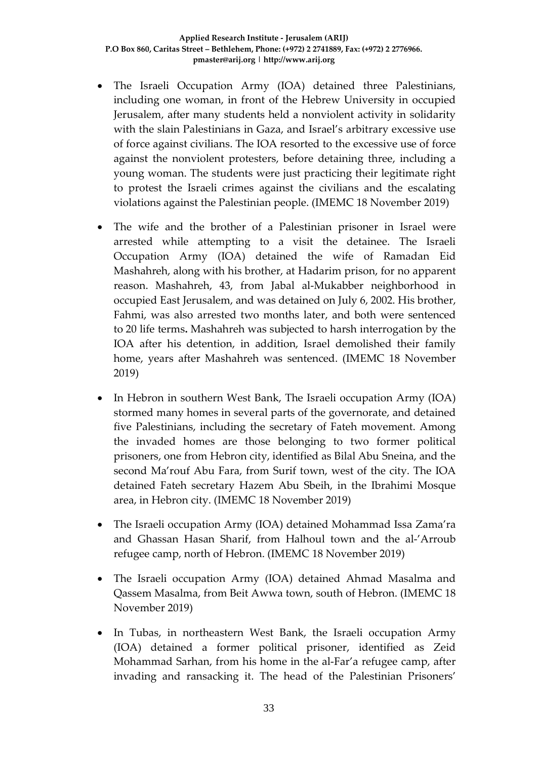- The Israeli Occupation Army (IOA) detained three Palestinians, including one woman, in front of the Hebrew University in occupied Jerusalem, after many students held a nonviolent activity in solidarity with the slain Palestinians in Gaza, and Israel's arbitrary excessive use of force against civilians. The IOA resorted to the excessive use of force against the nonviolent protesters, before detaining three, including a young woman. The students were just practicing their legitimate right to protest the Israeli crimes against the civilians and the escalating violations against the Palestinian people. (IMEMC 18 November 2019)
- The wife and the brother of a Palestinian prisoner in Israel were arrested while attempting to a visit the detainee. The Israeli Occupation Army (IOA) detained the wife of Ramadan Eid Mashahreh, along with his brother, at Hadarim prison, for no apparent reason. Mashahreh, 43, from Jabal al-Mukabber neighborhood in occupied East Jerusalem, and was detained on July 6, 2002. His brother, Fahmi, was also arrested two months later, and both were sentenced to 20 life terms**.** Mashahreh was subjected to harsh interrogation by the IOA after his detention, in addition, Israel demolished their family home, years after Mashahreh was sentenced. (IMEMC 18 November 2019)
- In Hebron in southern West Bank, The Israeli occupation Army (IOA) stormed many homes in several parts of the governorate, and detained five Palestinians, including the secretary of Fateh movement. Among the invaded homes are those belonging to two former political prisoners, one from Hebron city, identified as Bilal Abu Sneina, and the second Ma'rouf Abu Fara, from Surif town, west of the city. The IOA detained Fateh secretary Hazem Abu Sbeih, in the Ibrahimi Mosque area, in Hebron city. (IMEMC 18 November 2019)
- The Israeli occupation Army (IOA) detained Mohammad Issa Zama'ra and Ghassan Hasan Sharif, from Halhoul town and the al-'Arroub refugee camp, north of Hebron. (IMEMC 18 November 2019)
- The Israeli occupation Army (IOA) detained Ahmad Masalma and Qassem Masalma, from Beit Awwa town, south of Hebron. (IMEMC 18 November 2019)
- In Tubas, in northeastern West Bank, the Israeli occupation Army (IOA) detained a former political prisoner, identified as Zeid Mohammad Sarhan, from his home in the al-Far'a refugee camp, after invading and ransacking it. The head of the Palestinian Prisoners'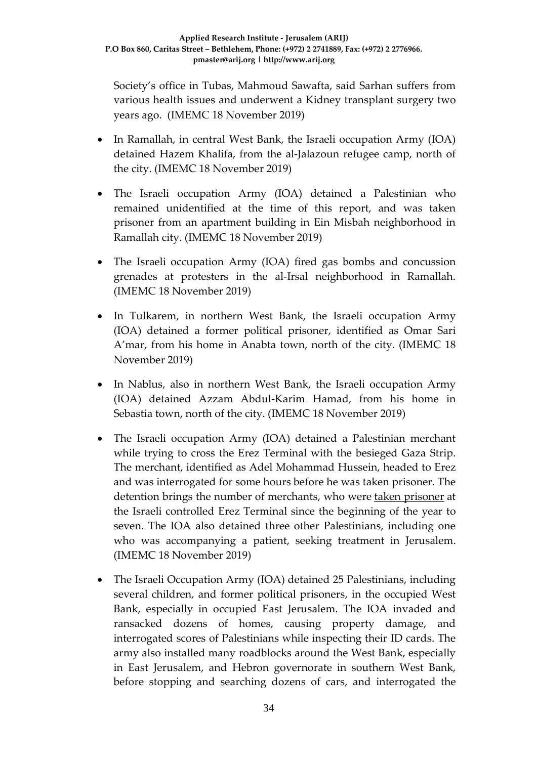Society's office in Tubas, Mahmoud Sawafta, said Sarhan suffers from various health issues and underwent a Kidney transplant surgery two years ago. (IMEMC 18 November 2019)

- In Ramallah, in central West Bank, the Israeli occupation Army (IOA) detained Hazem Khalifa, from the al-Jalazoun refugee camp, north of the city. (IMEMC 18 November 2019)
- The Israeli occupation Army (IOA) detained a Palestinian who remained unidentified at the time of this report, and was taken prisoner from an apartment building in Ein Misbah neighborhood in Ramallah city. (IMEMC 18 November 2019)
- The Israeli occupation Army (IOA) fired gas bombs and concussion grenades at protesters in the al-Irsal neighborhood in Ramallah. (IMEMC 18 November 2019)
- In Tulkarem, in northern West Bank, the Israeli occupation Army (IOA) detained a former political prisoner, identified as Omar Sari A'mar, from his home in Anabta town, north of the city. (IMEMC 18 November 2019)
- In Nablus, also in northern West Bank, the Israeli occupation Army (IOA) detained Azzam Abdul-Karim Hamad, from his home in Sebastia town, north of the city. (IMEMC 18 November 2019)
- The Israeli occupation Army (IOA) detained a Palestinian merchant while trying to cross the Erez Terminal with the besieged Gaza Strip. The merchant, identified as Adel Mohammad Hussein, headed to Erez and was interrogated for some hours before he was taken prisoner. The detention brings the number of merchants, who were [taken prisoner](https://imemc.org/article/israeli-soldiers-abduct-a-merchant-at-erez-terminal/) at the Israeli controlled Erez Terminal since the beginning of the year to seven. The IOA also detained three other Palestinians, including one who was accompanying a patient, seeking treatment in Jerusalem. (IMEMC 18 November 2019)
- The Israeli Occupation Army (IOA) detained 25 Palestinians, including several children, and former political prisoners, in the occupied West Bank, especially in occupied East Jerusalem. The IOA invaded and ransacked dozens of homes, causing property damage, and interrogated scores of Palestinians while inspecting their ID cards. The army also installed many roadblocks around the West Bank, especially in East Jerusalem, and Hebron governorate in southern West Bank, before stopping and searching dozens of cars, and interrogated the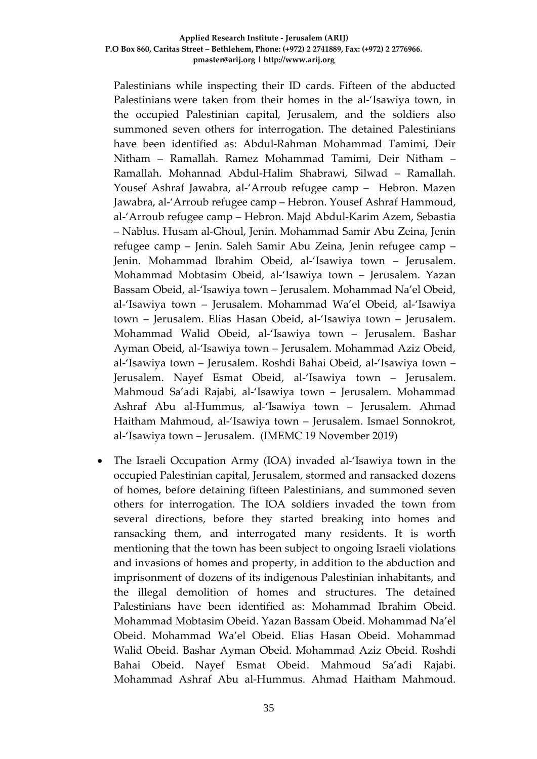#### **Applied Research Institute - Jerusalem (ARIJ) P.O Box 860, Caritas Street – Bethlehem, Phone: (+972) 2 2741889, Fax: (+972) 2 2776966. pmaster@arij.org | http://www.arij.org**

Palestinians while inspecting their ID cards. [Fifteen of the abducted](https://imemc.org/article/israeli-soldiers-abduct-15-palestinians-summon-7-for-interrogation-in-al-isawiya/)  [Palestinians](https://imemc.org/article/israeli-soldiers-abduct-15-palestinians-summon-7-for-interrogation-in-al-isawiya/) were taken from their homes in the al-'Isawiya town, in the occupied Palestinian capital, Jerusalem, and the soldiers also summoned seven others for interrogation. The detained Palestinians have been identified as: Abdul-Rahman Mohammad Tamimi, Deir Nitham – Ramallah. Ramez Mohammad Tamimi, Deir Nitham – Ramallah. Mohannad Abdul-Halim Shabrawi, Silwad – Ramallah. Yousef Ashraf Jawabra, al-'Arroub refugee camp – Hebron. Mazen Jawabra, al-'Arroub refugee camp – Hebron. Yousef Ashraf Hammoud, al-'Arroub refugee camp – Hebron. Majd Abdul-Karim Azem, Sebastia – Nablus. Husam al-Ghoul, Jenin. Mohammad Samir Abu Zeina, Jenin refugee camp – Jenin. Saleh Samir Abu Zeina, Jenin refugee camp – Jenin. Mohammad Ibrahim Obeid, al-'Isawiya town – Jerusalem. Mohammad Mobtasim Obeid, al-'Isawiya town – Jerusalem. Yazan Bassam Obeid, al-'Isawiya town – Jerusalem. Mohammad Na'el Obeid, al-'Isawiya town – Jerusalem. Mohammad Wa'el Obeid, al-'Isawiya town – Jerusalem. Elias Hasan Obeid, al-'Isawiya town – Jerusalem. Mohammad Walid Obeid, al-'Isawiya town – Jerusalem. Bashar Ayman Obeid, al-'Isawiya town – Jerusalem. Mohammad Aziz Obeid, al-'Isawiya town – Jerusalem. Roshdi Bahai Obeid, al-'Isawiya town – Jerusalem. Nayef Esmat Obeid, al-'Isawiya town – Jerusalem. Mahmoud Sa'adi Rajabi, al-'Isawiya town – Jerusalem. Mohammad Ashraf Abu al-Hummus, al-'Isawiya town – Jerusalem. Ahmad Haitham Mahmoud, al-'Isawiya town – Jerusalem. Ismael Sonnokrot, al-'Isawiya town – Jerusalem. (IMEMC 19 November 2019)

• The Israeli Occupation Army (IOA) invaded al-'Isawiya town in the occupied Palestinian capital, Jerusalem, stormed and ransacked dozens of homes, before detaining fifteen Palestinians, and summoned seven others for interrogation. The IOA soldiers invaded the town from several directions, before they started breaking into homes and ransacking them, and interrogated many residents. It is worth mentioning that the town has been subject to ongoing Israeli violations and invasions of homes and property, in addition to the abduction and imprisonment of dozens of its indigenous Palestinian inhabitants, and the illegal demolition of homes and structures. The detained Palestinians have been identified as: Mohammad Ibrahim Obeid. Mohammad Mobtasim Obeid. Yazan Bassam Obeid. Mohammad Na'el Obeid. Mohammad Wa'el Obeid. Elias Hasan Obeid. Mohammad Walid Obeid. Bashar Ayman Obeid. Mohammad Aziz Obeid. Roshdi Bahai Obeid. Nayef Esmat Obeid. Mahmoud Sa'adi Rajabi. Mohammad Ashraf Abu al-Hummus. Ahmad Haitham Mahmoud.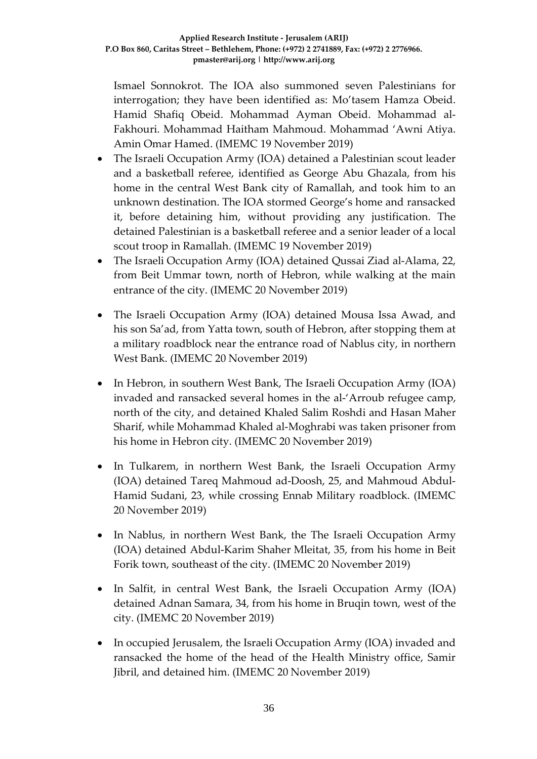Ismael Sonnokrot. The IOA also summoned seven Palestinians for interrogation; they have been identified as: Mo'tasem Hamza Obeid. Hamid Shafiq Obeid. Mohammad Ayman Obeid. Mohammad al-Fakhouri. Mohammad Haitham Mahmoud. Mohammad 'Awni Atiya. Amin Omar Hamed. (IMEMC 19 November 2019)

- The Israeli Occupation Army (IOA) detained a Palestinian scout leader and a basketball referee, identified as George Abu Ghazala, from his home in the central West Bank city of Ramallah, and took him to an unknown destination. The IOA stormed George's home and ransacked it, before detaining him, without providing any justification. The detained Palestinian is a basketball referee and a senior leader of a local scout troop in Ramallah. (IMEMC 19 November 2019)
- The Israeli Occupation Army (IOA) detained Qussai Ziad al-Alama, 22, from Beit Ummar town, north of Hebron, while walking at the main entrance of the city. (IMEMC 20 November 2019)
- The Israeli Occupation Army (IOA) detained Mousa Issa Awad, and his son Sa'ad, from Yatta town, south of Hebron, after stopping them at a military roadblock near the entrance road of Nablus city, in northern West Bank. (IMEMC 20 November 2019)
- In Hebron, in southern West Bank, The Israeli Occupation Army (IOA) invaded and ransacked several homes in the al-'Arroub refugee camp, north of the city, and detained Khaled Salim Roshdi and Hasan Maher Sharif, while Mohammad Khaled al-Moghrabi was taken prisoner from his home in Hebron city. (IMEMC 20 November 2019)
- In Tulkarem, in northern West Bank, the Israeli Occupation Army (IOA) detained Tareq Mahmoud ad-Doosh, 25, and Mahmoud Abdul-Hamid Sudani, 23, while crossing Ennab Military roadblock. (IMEMC 20 November 2019)
- In Nablus, in northern West Bank, the The Israeli Occupation Army (IOA) detained Abdul-Karim Shaher Mleitat, 35, from his home in Beit Forik town, southeast of the city. (IMEMC 20 November 2019)
- In Salfit, in central West Bank, the Israeli Occupation Army (IOA) detained Adnan Samara, 34, from his home in Bruqin town, west of the city. (IMEMC 20 November 2019)
- In occupied Jerusalem, the Israeli Occupation Army (IOA) invaded and ransacked the home of the head of the Health Ministry office, Samir Jibril, and detained him. (IMEMC 20 November 2019)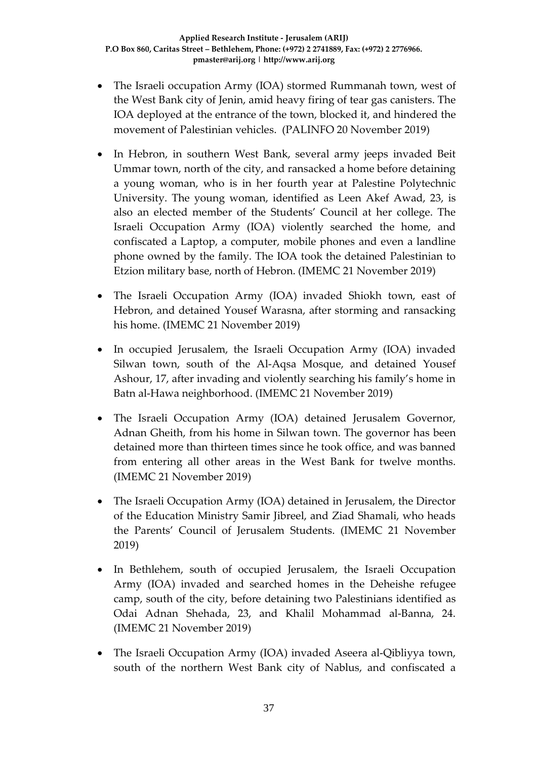- The Israeli occupation Army (IOA) stormed Rummanah town, west of the West Bank city of Jenin, amid heavy firing of tear gas canisters. The IOA deployed at the entrance of the town, blocked it, and hindered the movement of Palestinian vehicles. (PALINFO 20 November 2019)
- In Hebron, in southern West Bank, several army jeeps invaded Beit Ummar town, north of the city, and ransacked a home before detaining a young woman, who is in her fourth year at Palestine Polytechnic University. The young woman, identified as Leen Akef Awad, 23, is also an elected member of the Students' Council at her college. The Israeli Occupation Army (IOA) violently searched the home, and confiscated a Laptop, a computer, mobile phones and even a landline phone owned by the family. The IOA took the detained Palestinian to Etzion military base, north of Hebron. (IMEMC 21 November 2019)
- The Israeli Occupation Army (IOA) invaded Shiokh town, east of Hebron, and detained Yousef Warasna, after storming and ransacking his home. (IMEMC 21 November 2019)
- In occupied Jerusalem, the Israeli Occupation Army (IOA) invaded Silwan town, south of the Al-Aqsa Mosque, and detained Yousef Ashour, 17, after invading and violently searching his family's home in Batn al-Hawa neighborhood. (IMEMC 21 November 2019)
- The Israeli Occupation Army (IOA) detained Jerusalem Governor, Adnan Gheith, from his home in Silwan town. The governor has been detained more than thirteen times since he took office, and was banned from entering all other areas in the West Bank for twelve months. (IMEMC 21 November 2019)
- The Israeli Occupation Army (IOA) detained in Jerusalem, the Director of the Education Ministry Samir Jibreel, and Ziad Shamali, who heads the Parents' Council of Jerusalem Students. (IMEMC 21 November 2019)
- In Bethlehem, south of occupied Jerusalem, the Israeli Occupation Army (IOA) invaded and searched homes in the Deheishe refugee camp, south of the city, before detaining two Palestinians identified as Odai Adnan Shehada, 23, and Khalil Mohammad al-Banna, 24. (IMEMC 21 November 2019)
- The Israeli Occupation Army (IOA) invaded Aseera al-Qibliyya town, south of the northern West Bank city of Nablus, and confiscated a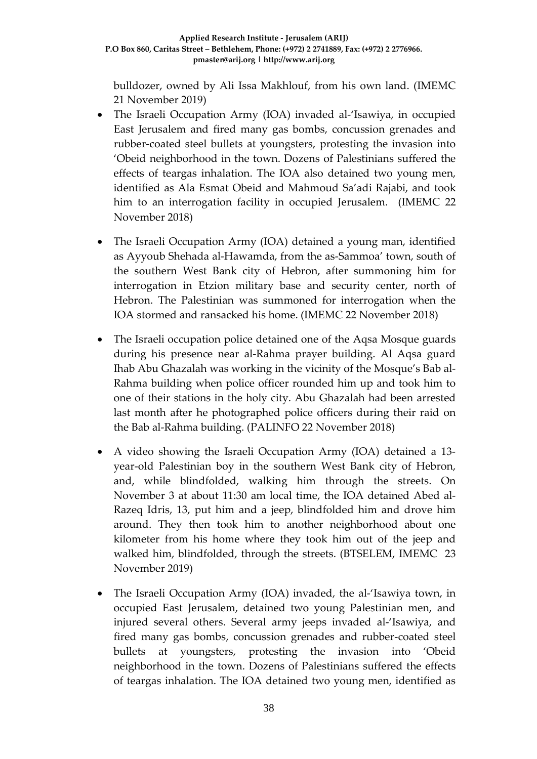bulldozer, owned by Ali Issa Makhlouf, from his own land. (IMEMC 21 November 2019)

- The Israeli Occupation Army (IOA) invaded al-'Isawiya, in occupied East Jerusalem and fired many gas bombs, concussion grenades and rubber-coated steel bullets at youngsters, protesting the invasion into 'Obeid neighborhood in the town. Dozens of Palestinians suffered the effects of teargas inhalation. The IOA also detained two young men, identified as Ala Esmat Obeid and Mahmoud Sa'adi Rajabi, and took him to an interrogation facility in occupied Jerusalem. (IMEMC 22 November 2018)
- The Israeli Occupation Army (IOA) detained a young man, identified as Ayyoub Shehada al-Hawamda, from the as-Sammoa' town, south of the southern West Bank city of Hebron, after summoning him for interrogation in Etzion military base and security center, north of Hebron. The Palestinian was summoned for interrogation when the IOA stormed and ransacked his home. (IMEMC 22 November 2018)
- The Israeli occupation police detained one of the Aqsa Mosque guards during his presence near al-Rahma prayer building. Al Aqsa guard Ihab Abu Ghazalah was working in the vicinity of the Mosque's Bab al-Rahma building when police officer rounded him up and took him to one of their stations in the holy city. Abu Ghazalah had been arrested last month after he photographed police officers during their raid on the Bab al-Rahma building. (PALINFO 22 November 2018)
- A video showing the Israeli Occupation Army (IOA) detained a 13 year-old Palestinian boy in the southern West Bank city of Hebron, and, while blindfolded, walking him through the streets. On November 3 at about 11:30 am local time, the IOA detained Abed al-Razeq Idris, 13, put him and a jeep, blindfolded him and drove him around. They then took him to another neighborhood about one kilometer from his home where they took him out of the jeep and walked him, blindfolded, through the streets. (BTSELEM, IMEMC 23 November 2019)
- The Israeli Occupation Army (IOA) invaded, the al-'Isawiya town, in occupied East Jerusalem, detained two young Palestinian men, and injured several others. Several army jeeps invaded al-'Isawiya, and fired many gas bombs, concussion grenades and rubber-coated steel bullets at youngsters, protesting the invasion into 'Obeid neighborhood in the town. Dozens of Palestinians suffered the effects of teargas inhalation. The IOA detained two young men, identified as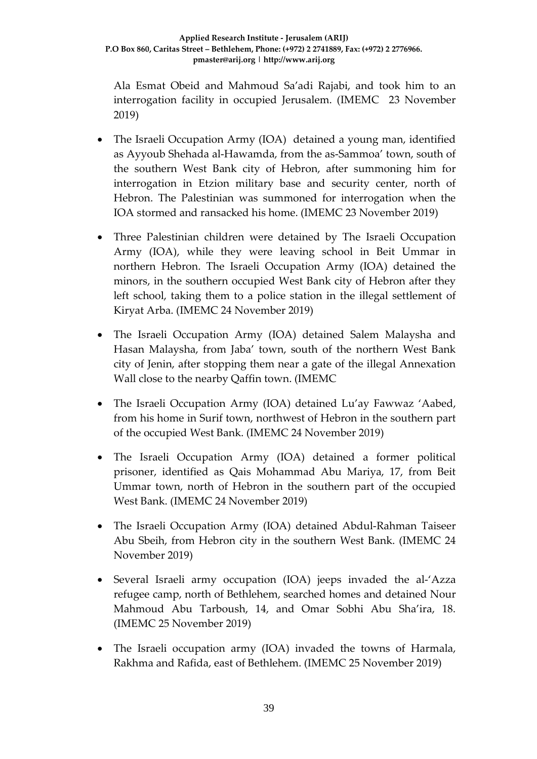Ala Esmat Obeid and Mahmoud Sa'adi Rajabi, and took him to an interrogation facility in occupied Jerusalem. (IMEMC 23 November 2019)

- The Israeli Occupation Army (IOA) detained a young man, identified as Ayyoub Shehada al-Hawamda, from the as-Sammoa' town, south of the southern West Bank city of Hebron, after summoning him for interrogation in Etzion military base and security center, north of Hebron. The Palestinian was summoned for interrogation when the IOA stormed and ransacked his home. (IMEMC 23 November 2019)
- Three Palestinian children were detained by The Israeli Occupation Army (IOA), while they were leaving school in Beit Ummar in northern Hebron. The Israeli Occupation Army (IOA) detained the minors, in the southern occupied West Bank city of Hebron after they left school, taking them to a police station in the illegal settlement of Kiryat Arba. (IMEMC 24 November 2019)
- The Israeli Occupation Army (IOA) detained Salem Malaysha and Hasan Malaysha, from Jaba' town, south of the northern West Bank city of Jenin, after stopping them near a gate of the illegal Annexation Wall close to the nearby Qaffin town. (IMEMC
- The Israeli Occupation Army (IOA) detained Lu'ay Fawwaz 'Aabed, from his home in Surif town, northwest of Hebron in the southern part of the occupied West Bank. (IMEMC 24 November 2019)
- The Israeli Occupation Army (IOA) detained a former political prisoner, identified as Qais Mohammad Abu Mariya, 17, from Beit Ummar town, north of Hebron in the southern part of the occupied West Bank. (IMEMC 24 November 2019)
- The Israeli Occupation Army (IOA) detained Abdul-Rahman Taiseer Abu Sbeih, from Hebron city in the southern West Bank. (IMEMC 24 November 2019)
- Several Israeli army occupation (IOA) jeeps invaded the al-'Azza refugee camp, north of Bethlehem, searched homes and detained Nour Mahmoud Abu Tarboush, 14, and Omar Sobhi Abu Sha'ira, 18. (IMEMC 25 November 2019)
- The Israeli occupation army (IOA) invaded the towns of Harmala, Rakhma and Rafida, east of Bethlehem. (IMEMC 25 November 2019)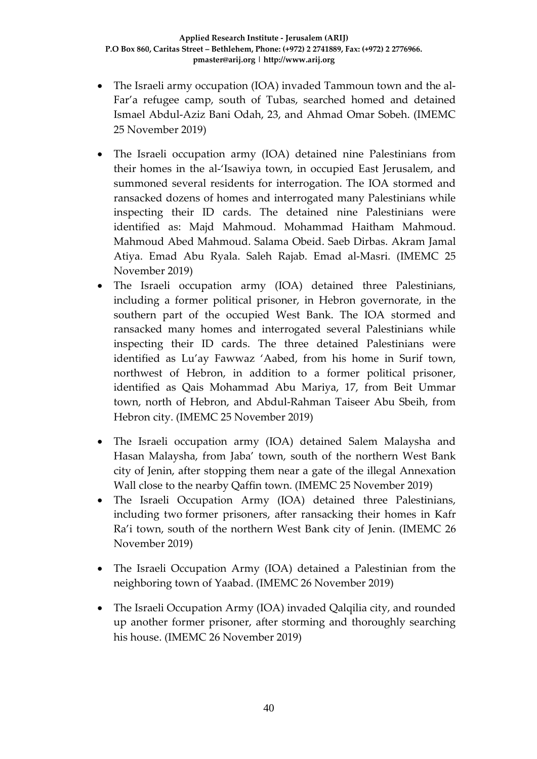- The Israeli army occupation (IOA) invaded Tammoun town and the al-Far'a refugee camp, south of Tubas, searched homed and detained Ismael Abdul-Aziz Bani Odah, 23, and Ahmad Omar Sobeh. (IMEMC 25 November 2019)
- The Israeli occupation army (IOA) detained nine Palestinians from their homes in the al-'Isawiya town, in occupied East Jerusalem, and summoned several residents for interrogation. The IOA stormed and ransacked dozens of homes and interrogated many Palestinians while inspecting their ID cards. The detained nine Palestinians were identified as: Majd Mahmoud. Mohammad Haitham Mahmoud. Mahmoud Abed Mahmoud. Salama Obeid. Saeb Dirbas. Akram Jamal Atiya. Emad Abu Ryala. Saleh Rajab. Emad al-Masri. (IMEMC 25 November 2019)
- The Israeli occupation army (IOA) detained three Palestinians, including a former political prisoner, in Hebron governorate, in the southern part of the occupied West Bank. The IOA stormed and ransacked many homes and interrogated several Palestinians while inspecting their ID cards. The three detained Palestinians were identified as Lu'ay Fawwaz 'Aabed, from his home in Surif town, northwest of Hebron, in addition to a former political prisoner, identified as Qais Mohammad Abu Mariya, 17, from Beit Ummar town, north of Hebron, and Abdul-Rahman Taiseer Abu Sbeih, from Hebron city. (IMEMC 25 November 2019)
- The Israeli occupation army (IOA) detained Salem Malaysha and Hasan Malaysha, from Jaba' town, south of the northern West Bank city of Jenin, after stopping them near a gate of the illegal Annexation Wall close to the nearby Qaffin town. (IMEMC 25 November 2019)
- The Israeli Occupation Army (IOA) detained three Palestinians, including two former prisoners, after ransacking their homes in Kafr Ra'i town, south of the northern West Bank city of Jenin. (IMEMC 26 November 2019)
- The Israeli Occupation Army (IOA) detained a Palestinian from the neighboring town of Yaabad. (IMEMC 26 November 2019)
- The Israeli Occupation Army (IOA) invaded Qalqilia city, and rounded up another former prisoner, after storming and thoroughly searching his house. (IMEMC 26 November 2019)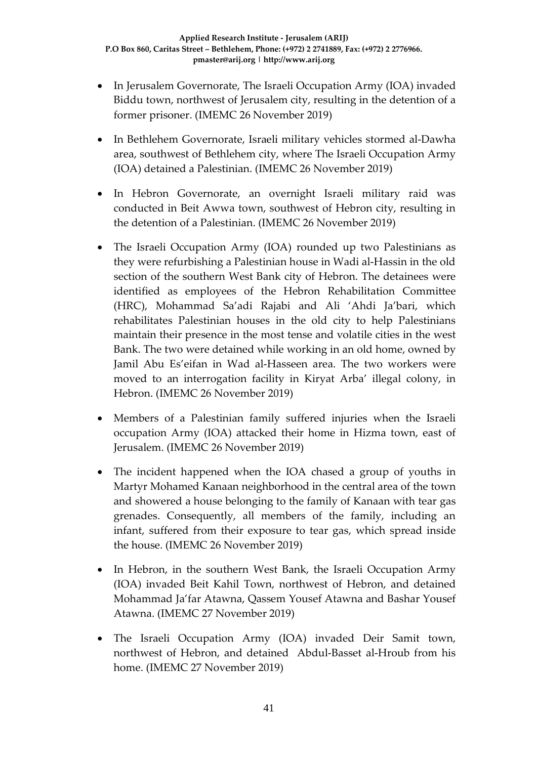- In Jerusalem Governorate, The Israeli Occupation Army (IOA) invaded Biddu town, northwest of Jerusalem city, resulting in the detention of a former prisoner. (IMEMC 26 November 2019)
- In Bethlehem Governorate, Israeli military vehicles stormed al-Dawha area, southwest of Bethlehem city, where The Israeli Occupation Army (IOA) detained a Palestinian. (IMEMC 26 November 2019)
- In Hebron Governorate, an overnight Israeli military raid was conducted in Beit Awwa town, southwest of Hebron city, resulting in the detention of a Palestinian. (IMEMC 26 November 2019)
- The Israeli Occupation Army (IOA) rounded up two Palestinians as they were refurbishing a Palestinian house in Wadi al-Hassin in the old section of the southern West Bank city of Hebron. The detainees were identified as employees of the Hebron Rehabilitation Committee (HRC), Mohammad Sa'adi Rajabi and Ali 'Ahdi Ja'bari, which rehabilitates Palestinian houses in the old city to help Palestinians maintain their presence in the most tense and volatile cities in the west Bank. The two were detained while working in an old home, owned by Jamil Abu Es'eifan in Wad al-Hasseen area. The two workers were moved to an interrogation facility in Kiryat Arba' illegal colony, in Hebron. (IMEMC 26 November 2019)
- Members of a Palestinian family suffered injuries when the Israeli occupation Army (IOA) attacked their home in Hizma town, east of Jerusalem. (IMEMC 26 November 2019)
- The incident happened when the IOA chased a group of youths in Martyr Mohamed Kanaan neighborhood in the central area of the town and showered a house belonging to the family of Kanaan with tear gas grenades. Consequently, all members of the family, including an infant, suffered from their exposure to tear gas, which spread inside the house. (IMEMC 26 November 2019)
- In Hebron, in the southern West Bank, the Israeli Occupation Army (IOA) invaded Beit Kahil Town, northwest of Hebron, and detained Mohammad Ja'far Atawna, Qassem Yousef Atawna and Bashar Yousef Atawna. (IMEMC 27 November 2019)
- The Israeli Occupation Army (IOA) invaded Deir Samit town, northwest of Hebron, and detained Abdul-Basset al-Hroub from his home. (IMEMC 27 November 2019)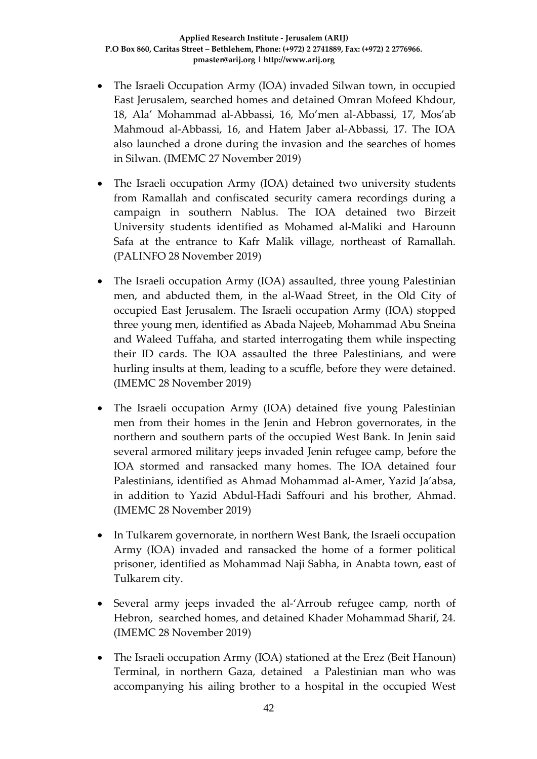- The Israeli Occupation Army (IOA) invaded Silwan town, in occupied East Jerusalem, searched homes and detained Omran Mofeed Khdour, 18, Ala' Mohammad al-Abbassi, 16, Mo'men al-Abbassi, 17, Mos'ab Mahmoud al-Abbassi, 16, and Hatem Jaber al-Abbassi, 17. The IOA also launched a drone during the invasion and the searches of homes in Silwan. (IMEMC 27 November 2019)
- The Israeli occupation Army (IOA) detained two university students from Ramallah and confiscated security camera recordings during a campaign in southern Nablus. The IOA detained two Birzeit University students identified as Mohamed al-Maliki and Harounn Safa at the entrance to Kafr Malik village, northeast of Ramallah. (PALINFO 28 November 2019)
- The Israeli occupation Army (IOA) assaulted, three young Palestinian men, and abducted them, in the al-Waad Street, in the Old City of occupied East Jerusalem. The Israeli occupation Army (IOA) stopped three young men, identified as Abada Najeeb, Mohammad Abu Sneina and Waleed Tuffaha, and started interrogating them while inspecting their ID cards. The IOA assaulted the three Palestinians, and were hurling insults at them, leading to a scuffle, before they were detained. (IMEMC 28 November 2019)
- The Israeli occupation Army (IOA) detained five young Palestinian men from their homes in the Jenin and Hebron governorates, in the northern and southern parts of the occupied West Bank. In Jenin said several armored military jeeps invaded Jenin refugee camp, before the IOA stormed and ransacked many homes. The IOA detained four Palestinians, identified as Ahmad Mohammad al-Amer, Yazid Ja'absa, in addition to Yazid Abdul-Hadi Saffouri and his brother, Ahmad. (IMEMC 28 November 2019)
- In Tulkarem governorate, in northern West Bank, the Israeli occupation Army (IOA) invaded and ransacked the home of a former political prisoner, identified as Mohammad Naji Sabha, in Anabta town, east of Tulkarem city.
- Several army jeeps invaded the al-'Arroub refugee camp, north of Hebron, searched homes, and detained Khader Mohammad Sharif, 24. (IMEMC 28 November 2019)
- The Israeli occupation Army (IOA) stationed at the Erez (Beit Hanoun) Terminal, in northern Gaza, detained a Palestinian man who was accompanying his ailing brother to a hospital in the occupied West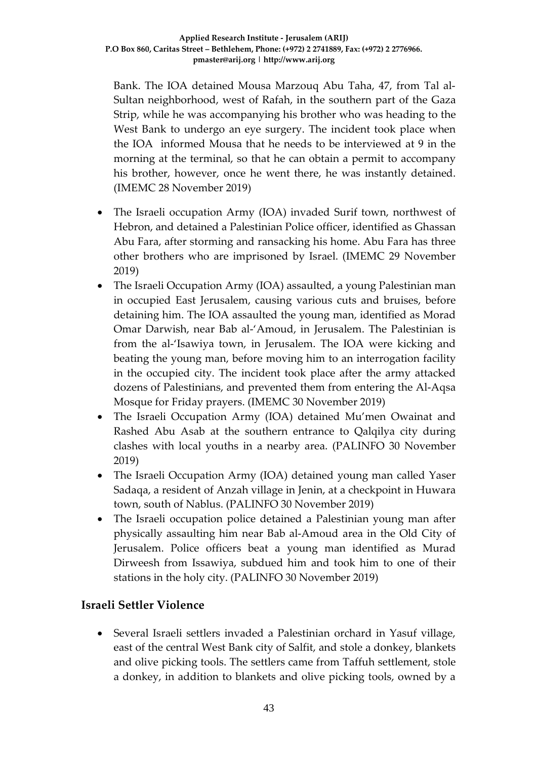Bank. The IOA detained Mousa Marzouq Abu Taha, 47, from Tal al-Sultan neighborhood, west of Rafah, in the southern part of the Gaza Strip, while he was accompanying his brother who was heading to the West Bank to undergo an eye surgery. The incident took place when the IOA informed Mousa that he needs to be interviewed at 9 in the morning at the terminal, so that he can obtain a permit to accompany his brother, however, once he went there, he was instantly detained. (IMEMC 28 November 2019)

- The Israeli occupation Army (IOA) invaded Surif town, northwest of Hebron, and detained a Palestinian Police officer, identified as Ghassan Abu Fara, after storming and ransacking his home. Abu Fara has three other brothers who are imprisoned by Israel. (IMEMC 29 November 2019)
- The Israeli Occupation Army (IOA) assaulted, a young Palestinian man in occupied East Jerusalem, causing various cuts and bruises, before detaining him. The IOA assaulted the young man, identified as Morad Omar Darwish, near Bab al-'Amoud, in Jerusalem. The Palestinian is from the al-'Isawiya town, in Jerusalem. The IOA were kicking and beating the young man, before moving him to an interrogation facility in the occupied city. The incident took place after the army attacked dozens of Palestinians, and prevented them from entering the Al-Aqsa Mosque for Friday prayers. (IMEMC 30 November 2019)
- The Israeli Occupation Army (IOA) detained Mu'men Owainat and Rashed Abu Asab at the southern entrance to Qalqilya city during clashes with local youths in a nearby area. (PALINFO 30 November 2019)
- The Israeli Occupation Army (IOA) detained young man called Yaser Sadaqa, a resident of Anzah village in Jenin, at a checkpoint in Huwara town, south of Nablus. (PALINFO 30 November 2019)
- The Israeli occupation police detained a Palestinian young man after physically assaulting him near Bab al-Amoud area in the Old City of Jerusalem. Police officers beat a young man identified as Murad Dirweesh from Issawiya, subdued him and took him to one of their stations in the holy city. (PALINFO 30 November 2019)

# **Israeli Settler Violence**

• Several Israeli settlers invaded a Palestinian orchard in Yasuf village, east of the central West Bank city of Salfit, and stole a donkey, blankets and olive picking tools. The settlers came from Taffuh settlement, stole a donkey, in addition to blankets and olive picking tools, owned by a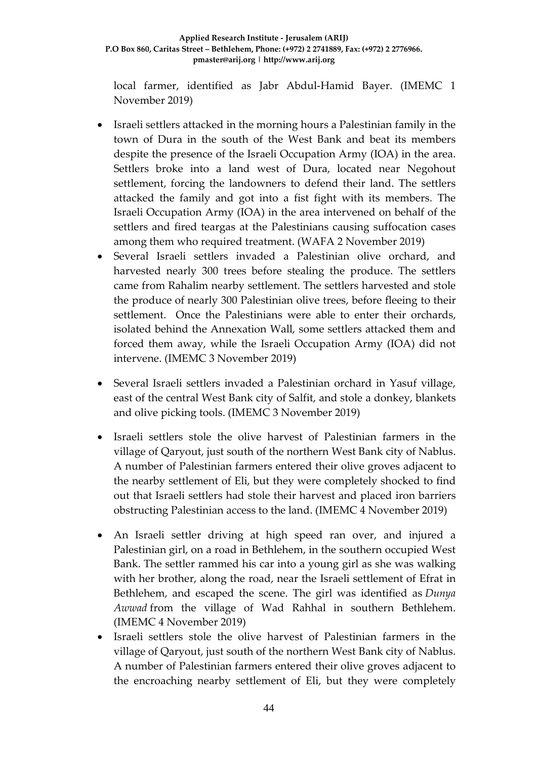local farmer, identified as Jabr Abdul-Hamid Bayer. (IMEMC 1 November 2019)

- Israeli settlers attacked in the morning hours a Palestinian family in the town of Dura in the south of the West Bank and beat its members despite the presence of the Israeli Occupation Army (IOA) in the area. Settlers broke into a land west of Dura, located near Negohout settlement, forcing the landowners to defend their land. The settlers attacked the family and got into a fist fight with its members. The Israeli Occupation Army (IOA) in the area intervened on behalf of the settlers and fired teargas at the Palestinians causing suffocation cases among them who required treatment. (WAFA 2 November 2019)
- Several Israeli settlers invaded a Palestinian olive orchard, and harvested nearly 300 trees before stealing the produce. The settlers came from Rahalim nearby settlement. The settlers harvested and stole the produce of nearly 300 Palestinian olive trees, before fleeing to their settlement. Once the Palestinians were able to enter their orchards, isolated behind the Annexation Wall, some settlers attacked them and forced them away, while the Israeli Occupation Army (IOA) did not intervene. (IMEMC 3 November 2019)
- Several Israeli settlers invaded a Palestinian orchard in Yasuf village, east of the central West Bank city of Salfit, and stole a donkey, blankets and olive picking tools. (IMEMC 3 November 2019)
- Israeli settlers stole the olive harvest of Palestinian farmers in the village of Qaryout, just south of the northern West Bank city of Nablus. A number of Palestinian farmers entered their olive groves adjacent to the nearby settlement of Eli, but they were completely shocked to find out that Israeli settlers had stole their harvest and placed iron barriers obstructing Palestinian access to the land. (IMEMC 4 November 2019)
- An Israeli settler driving at high speed ran over, and injured a Palestinian girl, on a road in Bethlehem, in the southern occupied West Bank. The settler rammed his car into a young girl as she was walking with her brother, along the road, near the Israeli settlement of Efrat in Bethlehem, and escaped the scene. The girl was identified as *Dunya Awwad* from the village of Wad Rahhal in southern Bethlehem. (IMEMC 4 November 2019)
- Israeli settlers stole the olive harvest of Palestinian farmers in the village of Qaryout, just south of the northern West Bank city of Nablus. A number of Palestinian farmers entered their olive groves adjacent to the encroaching nearby settlement of Eli, but they were completely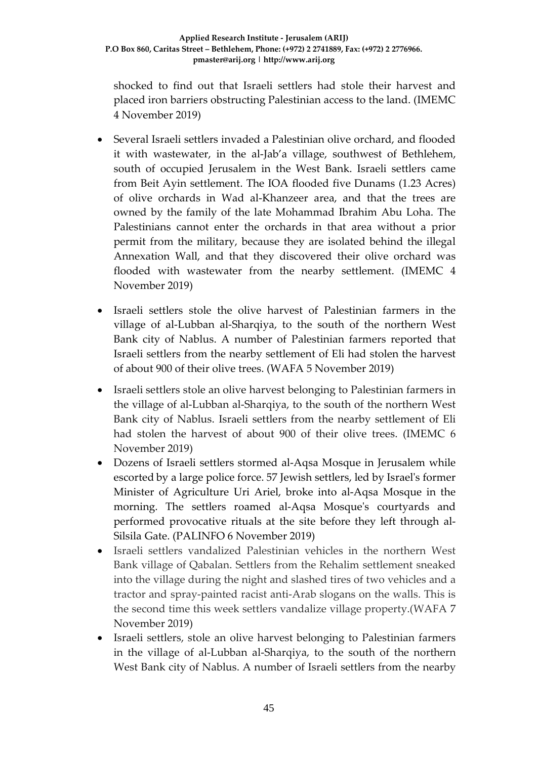shocked to find out that Israeli settlers had stole their harvest and placed iron barriers obstructing Palestinian access to the land. (IMEMC 4 November 2019)

- Several Israeli settlers invaded a Palestinian olive orchard, and flooded it with wastewater, in the al-Jab'a village, southwest of Bethlehem, south of occupied Jerusalem in the West Bank. Israeli settlers came from Beit Ayin settlement. The IOA flooded five Dunams (1.23 Acres) of olive orchards in Wad al-Khanzeer area, and that the trees are owned by the family of the late Mohammad Ibrahim Abu Loha. The Palestinians cannot enter the orchards in that area without a prior permit from the military, because they are isolated behind the illegal Annexation Wall, and that they discovered their olive orchard was flooded with wastewater from the nearby settlement. (IMEMC 4 November 2019)
- Israeli settlers stole the olive harvest of Palestinian farmers in the village of al-Lubban al-Sharqiya, to the south of the northern West Bank city of Nablus. A number of Palestinian farmers reported that Israeli settlers from the nearby settlement of Eli had stolen the harvest of about 900 of their olive trees. (WAFA 5 November 2019)
- Israeli settlers stole an olive harvest belonging to Palestinian farmers in the village of al-Lubban al-Sharqiya, to the south of the northern West Bank city of Nablus. Israeli settlers from the nearby settlement of Eli had stolen the harvest of about 900 of their olive trees. (IMEMC 6 November 2019)
- Dozens of Israeli settlers stormed al-Aqsa Mosque in Jerusalem while escorted by a large police force. 57 Jewish settlers, led by Israel's former Minister of Agriculture Uri Ariel, broke into al-Aqsa Mosque in the morning. The settlers roamed al-Aqsa Mosque's courtyards and performed provocative rituals at the site before they left through al-Silsila Gate. (PALINFO 6 November 2019)
- Israeli settlers vandalized Palestinian vehicles in the northern West Bank village of Qabalan. Settlers from the Rehalim settlement sneaked into the village during the night and slashed tires of two vehicles and a tractor and spray-painted racist anti-Arab slogans on the walls. This is the second time this week settlers vandalize village property.(WAFA 7 November 2019)
- Israeli settlers, stole an olive harvest belonging to Palestinian farmers in the village of al-Lubban al-Sharqiya, to the south of the northern West Bank city of Nablus. A number of Israeli settlers from the nearby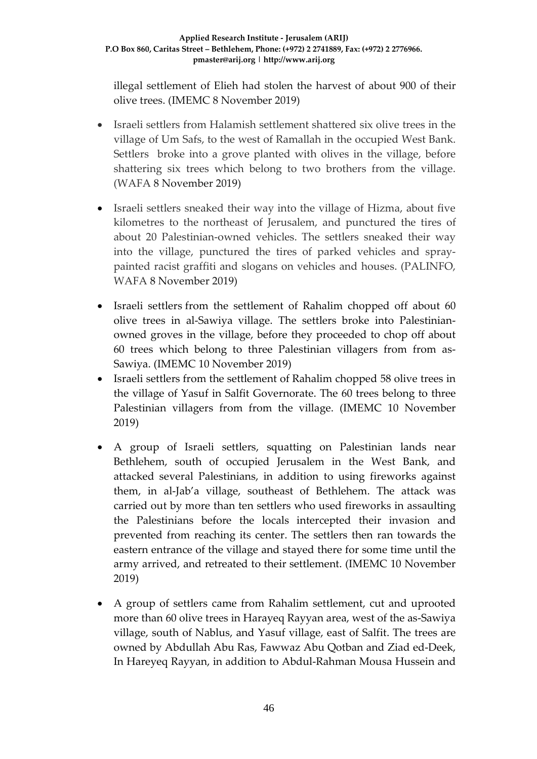illegal settlement of Elieh had stolen the harvest of about 900 of their olive trees. (IMEMC 8 November 2019)

- Israeli settlers from Halamish settlement shattered six olive trees in the village of Um Safs, to the west of Ramallah in the occupied West Bank. Settlers broke into a grove planted with olives in the village, before shattering six trees which belong to two brothers from the village. (WAFA 8 November 2019)
- Israeli settlers sneaked their way into the village of Hizma, about five kilometres to the northeast of Jerusalem, and punctured the tires of about 20 Palestinian-owned vehicles. The settlers sneaked their way into the village, punctured the tires of parked vehicles and spraypainted racist graffiti and slogans on vehicles and houses. (PALINFO, WAFA 8 November 2019)
- Israeli settlers from the settlement of Rahalim chopped off about 60 olive trees in al-Sawiya village. The settlers broke into Palestinianowned groves in the village, before they proceeded to chop off about 60 trees which belong to three Palestinian villagers from from as-Sawiya. (IMEMC 10 November 2019)
- Israeli settlers from the settlement of Rahalim chopped 58 olive trees in the village of Yasuf in Salfit Governorate. The 60 trees belong to three Palestinian villagers from from the village. (IMEMC 10 November 2019)
- A group of Israeli settlers, squatting on Palestinian lands near Bethlehem, south of occupied Jerusalem in the West Bank, and attacked several Palestinians, in addition to using fireworks against them, in al-Jab'a village, southeast of Bethlehem. The attack was carried out by more than ten settlers who used fireworks in assaulting the Palestinians before the locals intercepted their invasion and prevented from reaching its center. The settlers then ran towards the eastern entrance of the village and stayed there for some time until the army arrived, and retreated to their settlement. (IMEMC 10 November 2019)
- A group of settlers came from Rahalim settlement, cut and uprooted more than 60 olive trees in Harayeq Rayyan area, west of the as-Sawiya village, south of Nablus, and Yasuf village, east of Salfit. The trees are owned by Abdullah Abu Ras, Fawwaz Abu Qotban and Ziad ed-Deek, In Hareyeq Rayyan, in addition to Abdul-Rahman Mousa Hussein and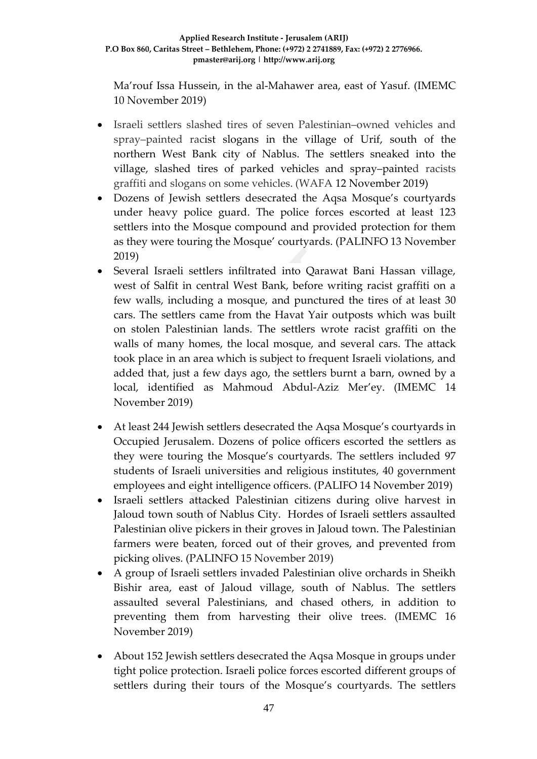Ma'rouf Issa Hussein, in the al-Mahawer area, east of Yasuf. (IMEMC 10 November 2019)

- Israeli settlers slashed tires of seven Palestinian–owned vehicles and spray–painted racist slogans in the village of Urif, south of the northern West Bank city of Nablus. The settlers sneaked into the village, slashed tires of parked vehicles and spray–painted racists graffiti and slogans on some vehicles. (WAFA 12 November 2019)
- Dozens of Jewish settlers desecrated the Aqsa Mosque's courtyards under heavy police guard. The police forces escorted at least 123 settlers into the Mosque compound and provided protection for them as they were touring the Mosque' courtyards. (PALINFO 13 November 2019)
- Several Israeli settlers infiltrated into Qarawat Bani Hassan village, west of Salfit in central West Bank, before writing racist graffiti on a few walls, including a mosque, and punctured the tires of at least 30 cars. The settlers came from the Havat Yair outposts which was built on stolen Palestinian lands. The settlers wrote racist graffiti on the walls of many homes, the local mosque, and several cars. The attack took place in an area which is subject to frequent Israeli violations, and added that, just a few days ago, the settlers burnt a barn, owned by a local, identified as Mahmoud Abdul-Aziz Mer'ey. (IMEMC 14 November 2019)
- At least 244 Jewish settlers desecrated the Aqsa Mosque's courtyards in Occupied Jerusalem. Dozens of police officers escorted the settlers as they were touring the Mosque's courtyards. The settlers included 97 students of Israeli universities and religious institutes, 40 government employees and eight intelligence officers. (PALIFO 14 November 2019)
- Israeli settlers attacked Palestinian citizens during olive harvest in Jaloud town south of Nablus City. Hordes of Israeli settlers assaulted Palestinian olive pickers in their groves in Jaloud town. The Palestinian farmers were beaten, forced out of their groves, and prevented from picking olives. (PALINFO 15 November 2019)
- A group of Israeli settlers invaded Palestinian olive orchards in Sheikh Bishir area, east of Jaloud village, south of Nablus. The settlers assaulted several Palestinians, and chased others, in addition to preventing them from harvesting their olive trees. (IMEMC 16 November 2019)
- About 152 Jewish settlers desecrated the Aqsa Mosque in groups under tight police protection. Israeli police forces escorted different groups of settlers during their tours of the Mosque's courtyards. The settlers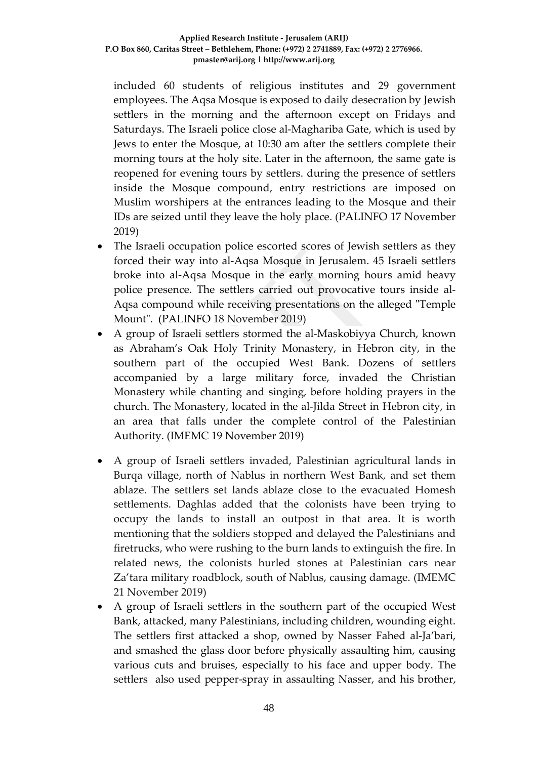included 60 students of religious institutes and 29 government employees. The Aqsa Mosque is exposed to daily desecration by Jewish settlers in the morning and the afternoon except on Fridays and Saturdays. The Israeli police close al-Maghariba Gate, which is used by Jews to enter the Mosque, at 10:30 am after the settlers complete their morning tours at the holy site. Later in the afternoon, the same gate is reopened for evening tours by settlers. during the presence of settlers inside the Mosque compound, entry restrictions are imposed on Muslim worshipers at the entrances leading to the Mosque and their IDs are seized until they leave the holy place. (PALINFO 17 November 2019)

- The Israeli occupation police escorted scores of Jewish settlers as they forced their way into al-Aqsa Mosque in Jerusalem. 45 Israeli settlers broke into al-Aqsa Mosque in the early morning hours amid heavy police presence. The settlers carried out provocative tours inside al-Aqsa compound while receiving presentations on the alleged "Temple Mount". (PALINFO 18 November 2019)
- A group of Israeli settlers stormed the al-Maskobiyya Church, known as Abraham's Oak Holy Trinity Monastery, in Hebron city, in the southern part of the occupied West Bank. Dozens of settlers accompanied by a large military force, invaded the Christian Monastery while chanting and singing, before holding prayers in the church. The Monastery, located in the al-Jilda Street in Hebron city, in an area that falls under the complete control of the Palestinian Authority. (IMEMC 19 November 2019)
- A group of Israeli settlers invaded, Palestinian agricultural lands in Burqa village, north of Nablus in northern West Bank, and set them ablaze. The settlers set lands ablaze close to the evacuated Homesh settlements. Daghlas added that the colonists have been trying to occupy the lands to install an outpost in that area. It is worth mentioning that the soldiers stopped and delayed the Palestinians and firetrucks, who were rushing to the burn lands to extinguish the fire. In related news, the colonists hurled stones at Palestinian cars near Za'tara military roadblock, south of Nablus, causing damage. (IMEMC 21 November 2019)
- A group of Israeli settlers in the southern part of the occupied West Bank, attacked, many Palestinians, including children, wounding eight. The settlers first attacked a shop, owned by Nasser Fahed al-Ja'bari, and smashed the glass door before physically assaulting him, causing various cuts and bruises, especially to his face and upper body. The settlers also used pepper-spray in assaulting Nasser, and his brother,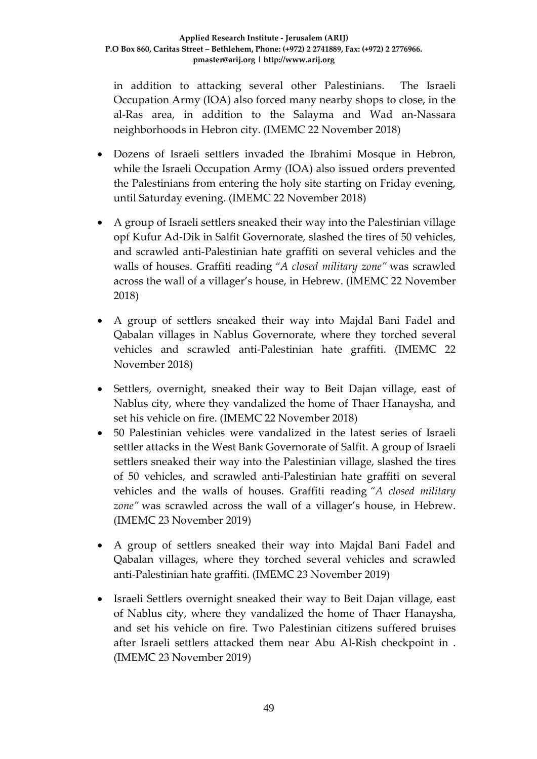in addition to attacking several other Palestinians. The Israeli Occupation Army (IOA) also forced many nearby shops to close, in the al-Ras area, in addition to the Salayma and Wad an-Nassara neighborhoods in Hebron city. (IMEMC 22 November 2018)

- Dozens of Israeli settlers invaded the Ibrahimi Mosque in Hebron, while the Israeli Occupation Army (IOA) also issued orders prevented the Palestinians from entering the holy site starting on Friday evening, until Saturday evening. (IMEMC 22 November 2018)
- A group of Israeli settlers sneaked their way into the Palestinian village opf Kufur Ad-Dik in Salfit Governorate, slashed the tires of 50 vehicles, and scrawled anti-Palestinian hate graffiti on several vehicles and the walls of houses. Graffiti reading *"A closed military zone"* was scrawled across the wall of a villager's house, in Hebrew. (IMEMC 22 November 2018)
- A group of settlers sneaked their way into Majdal Bani Fadel and Qabalan villages in Nablus Governorate, where they torched several vehicles and scrawled anti-Palestinian hate graffiti. (IMEMC 22 November 2018)
- Settlers, overnight, sneaked their way to Beit Dajan village, east of Nablus city, where they vandalized the home of Thaer Hanaysha, and set his vehicle on fire. (IMEMC 22 November 2018)
- 50 Palestinian vehicles were vandalized in the latest series of Israeli settler attacks in the West Bank Governorate of Salfit. A group of Israeli settlers sneaked their way into the Palestinian village, slashed the tires of 50 vehicles, and scrawled anti-Palestinian hate graffiti on several vehicles and the walls of houses. Graffiti reading *"A closed military zone"* was scrawled across the wall of a villager's house, in Hebrew. (IMEMC 23 November 2019)
- A group of settlers sneaked their way into Majdal Bani Fadel and Qabalan villages, where they torched several vehicles and scrawled anti-Palestinian hate graffiti. (IMEMC 23 November 2019)
- Israeli Settlers overnight sneaked their way to Beit Dajan village, east of Nablus city, where they vandalized the home of Thaer Hanaysha, and set his vehicle on fire. Two Palestinian citizens suffered bruises after Israeli settlers attacked them near Abu Al-Rish checkpoint in . (IMEMC 23 November 2019)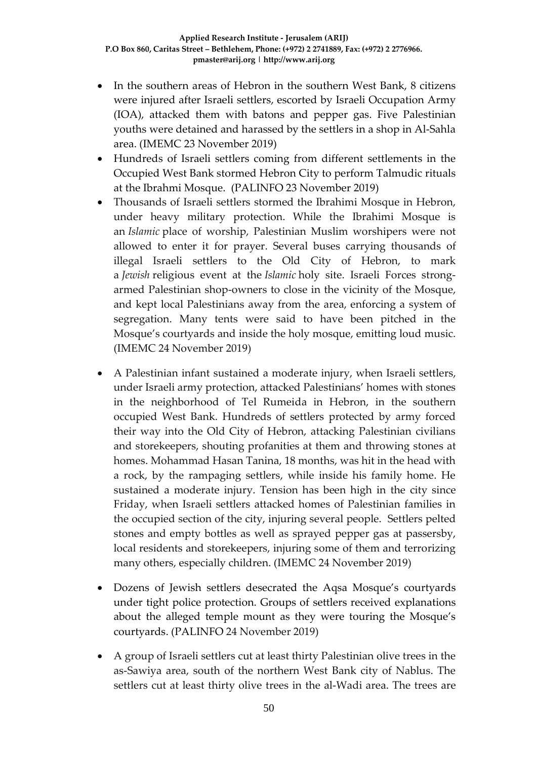- In the southern areas of Hebron in the southern West Bank, 8 citizens were injured after Israeli settlers, escorted by Israeli Occupation Army (IOA), attacked them with batons and pepper gas. Five Palestinian youths were detained and harassed by the settlers in a shop in Al-Sahla area. (IMEMC 23 November 2019)
- Hundreds of Israeli settlers coming from different settlements in the Occupied West Bank stormed Hebron City to perform Talmudic rituals at the Ibrahmi Mosque. (PALINFO 23 November 2019)
- Thousands of Israeli settlers stormed the Ibrahimi Mosque in Hebron, under heavy military protection. While the Ibrahimi Mosque is an *Islamic* place of worship, Palestinian Muslim worshipers were not allowed to enter it for prayer. Several buses carrying thousands of illegal Israeli settlers to the Old City of Hebron, to mark a *Jewish* religious event at the *Islamic* holy site. Israeli Forces strongarmed Palestinian shop-owners to close in the vicinity of the Mosque, and kept local Palestinians away from the area, enforcing a system of segregation. Many tents were said to have been pitched in the Mosque's courtyards and inside the holy mosque, emitting loud music. (IMEMC 24 November 2019)
- A Palestinian infant sustained a moderate injury, when Israeli settlers, under Israeli army protection, attacked Palestinians' homes with stones in the neighborhood of Tel Rumeida in Hebron, in the southern occupied West Bank. Hundreds of settlers protected by army forced their way into the Old City of Hebron, attacking Palestinian civilians and storekeepers, shouting profanities at them and throwing stones at homes. Mohammad Hasan Tanina, 18 months, was hit in the head with a rock, by the rampaging settlers, while inside his family home. He sustained a moderate injury. Tension has been high in the city since Friday, when Israeli settlers attacked homes of Palestinian families in the occupied section of the city, injuring several people. Settlers pelted stones and empty bottles as well as sprayed pepper gas at passersby, local residents and storekeepers, injuring some of them and terrorizing many others, especially children. (IMEMC 24 November 2019)
- Dozens of Jewish settlers desecrated the Aqsa Mosque's courtyards under tight police protection. Groups of settlers received explanations about the alleged temple mount as they were touring the Mosque's courtyards. (PALINFO 24 November 2019)
- A group of Israeli settlers cut at least thirty Palestinian olive trees in the as-Sawiya area, south of the northern West Bank city of Nablus. The settlers cut at least thirty olive trees in the al-Wadi area. The trees are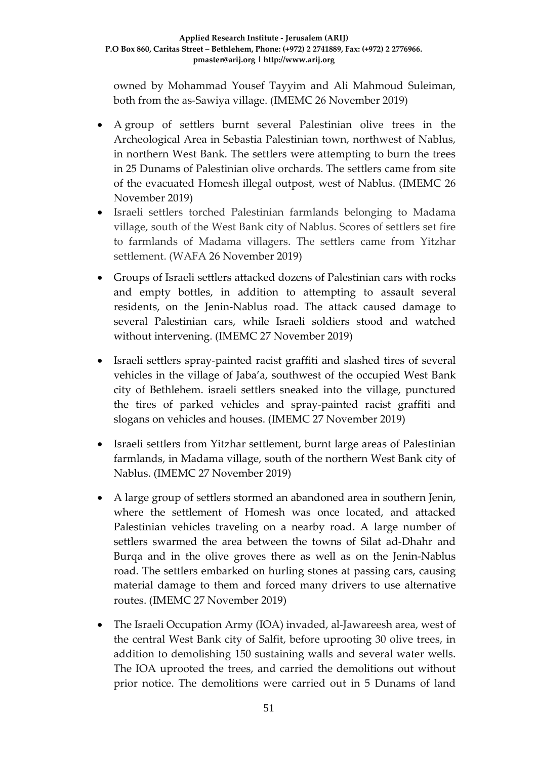owned by Mohammad Yousef Tayyim and Ali Mahmoud Suleiman, both from the as-Sawiya village. (IMEMC 26 November 2019)

- A group of settlers burnt several Palestinian olive trees in the Archeological Area in Sebastia Palestinian town, northwest of Nablus, in northern West Bank. The settlers were attempting to burn the trees in 25 Dunams of Palestinian olive orchards. The settlers came from site of the evacuated Homesh illegal outpost, west of Nablus. (IMEMC 26 November 2019)
- Israeli settlers torched Palestinian farmlands belonging to Madama village, south of the West Bank city of Nablus. Scores of settlers set fire to farmlands of Madama villagers. The settlers came from Yitzhar settlement. (WAFA 26 November 2019)
- Groups of Israeli settlers attacked dozens of Palestinian cars with rocks and empty bottles, in addition to attempting to assault several residents, on the Jenin-Nablus road. The attack caused damage to several Palestinian cars, while Israeli soldiers stood and watched without intervening. (IMEMC 27 November 2019)
- Israeli settlers spray-painted racist graffiti and slashed tires of several vehicles in the village of Jaba'a, southwest of the occupied West Bank city of Bethlehem. israeli settlers sneaked into the village, punctured the tires of parked vehicles and spray-painted racist graffiti and slogans on vehicles and houses. (IMEMC 27 November 2019)
- Israeli settlers from Yitzhar settlement, burnt large areas of Palestinian farmlands, in Madama village, south of the northern West Bank city of Nablus. (IMEMC 27 November 2019)
- A large group of settlers stormed an abandoned area in southern Jenin, where the settlement of Homesh was once located, and attacked Palestinian vehicles traveling on a nearby road. A large number of settlers swarmed the area between the towns of Silat ad-Dhahr and Burqa and in the olive groves there as well as on the Jenin-Nablus road. The settlers embarked on hurling stones at passing cars, causing material damage to them and forced many drivers to use alternative routes. (IMEMC 27 November 2019)
- The Israeli Occupation Army (IOA) invaded, al-Jawareesh area, west of the central West Bank city of Salfit, before uprooting 30 olive trees, in addition to demolishing 150 sustaining walls and several water wells. The IOA uprooted the trees, and carried the demolitions out without prior notice. The demolitions were carried out in 5 Dunams of land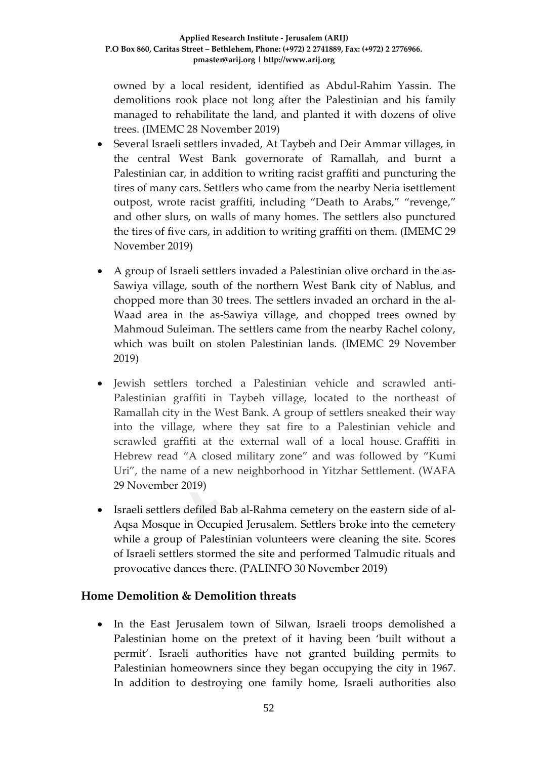owned by a local resident, identified as Abdul-Rahim Yassin. The demolitions rook place not long after the Palestinian and his family managed to rehabilitate the land, and planted it with dozens of olive trees. (IMEMC 28 November 2019)

- Several Israeli settlers invaded, At Taybeh and Deir Ammar villages, in the central West Bank governorate of Ramallah, and burnt a Palestinian car, in addition to writing racist graffiti and puncturing the tires of many cars. Settlers who came from the nearby Neria isettlement outpost, wrote racist graffiti, including "Death to Arabs," "revenge," and other slurs, on walls of many homes. The settlers also punctured the tires of five cars, in addition to writing graffiti on them. (IMEMC 29 November 2019)
- A group of Israeli settlers invaded a Palestinian olive orchard in the as-Sawiya village, south of the northern West Bank city of Nablus, and chopped more than 30 trees. The settlers invaded an orchard in the al-Waad area in the as-Sawiya village, and chopped trees owned by Mahmoud Suleiman. The settlers came from the nearby Rachel colony, which was built on stolen Palestinian lands. (IMEMC 29 November 2019)
- Jewish settlers torched a Palestinian vehicle and scrawled anti-Palestinian graffiti in Taybeh village, located to the northeast of Ramallah city in the West Bank. A group of settlers sneaked their way into the village, where they sat fire to a Palestinian vehicle and scrawled graffiti at the external wall of a local house. Graffiti in Hebrew read "A closed military zone" and was followed by "Kumi Uri", the name of a new neighborhood in Yitzhar Settlement. (WAFA 29 November 2019)
- Israeli settlers defiled Bab al-Rahma cemetery on the eastern side of al-Aqsa Mosque in Occupied Jerusalem. Settlers broke into the cemetery while a group of Palestinian volunteers were cleaning the site. Scores of Israeli settlers stormed the site and performed Talmudic rituals and provocative dances there. (PALINFO 30 November 2019)

# **Home Demolition & Demolition threats**

• In the East Jerusalem town of Silwan, Israeli troops demolished a Palestinian home on the pretext of it having been 'built without a permit'. Israeli authorities have not granted building permits to Palestinian homeowners since they began occupying the city in 1967. In addition to destroying one family home, Israeli authorities also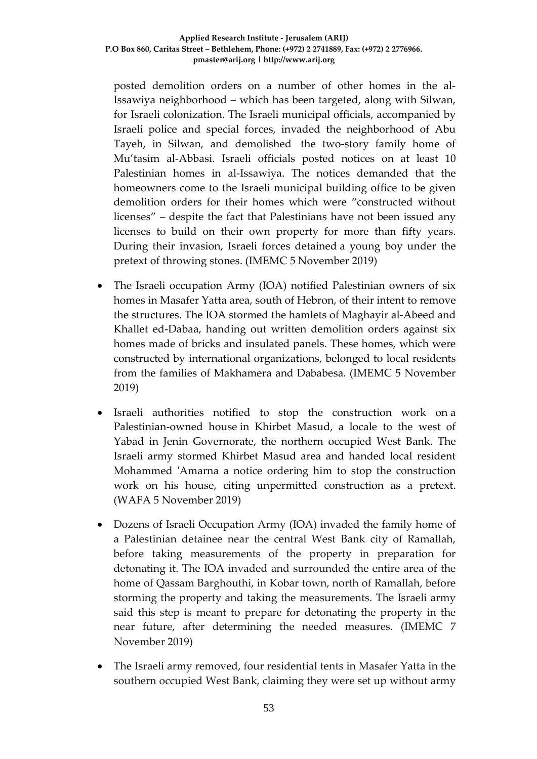posted demolition orders on a number of other homes in the al-Issawiya neighborhood – which has been targeted, along with Silwan, for Israeli colonization. The Israeli municipal officials, accompanied by Israeli police and special forces, invaded the neighborhood of Abu Tayeh, in Silwan, and demolished the two-story family home of Mu'tasim al-Abbasi. Israeli officials posted notices on at least 10 Palestinian homes in al-Issawiya. The notices demanded that the homeowners come to the Israeli municipal building office to be given demolition orders for their homes which were "constructed without licenses" – despite the fact that Palestinians have not been issued any licenses to build on their own property for more than fifty years. During their invasion, Israeli forces detained a young boy under the pretext of throwing stones. (IMEMC 5 November 2019)

- The Israeli occupation Army (IOA) notified Palestinian owners of six homes in Masafer Yatta area, south of Hebron, of their intent to remove the structures. The IOA stormed the hamlets of Maghayir al-Abeed and Khallet ed-Dabaa, handing out written demolition orders against six homes made of bricks and insulated panels. These homes, which were constructed by international organizations, belonged to local residents from the families of Makhamera and Dababesa. (IMEMC 5 November 2019)
- Israeli authorities notified to stop the construction work on a Palestinian-owned house in Khirbet Masud, a locale to the west of Yabad in Jenin Governorate, the northern occupied West Bank. The Israeli army stormed Khirbet Masud area and handed local resident Mohammed 'Amarna a notice ordering him to stop the construction work on his house, citing unpermitted construction as a pretext. (WAFA 5 November 2019)
- Dozens of Israeli Occupation Army (IOA) invaded the family home of a Palestinian detainee near the central West Bank city of Ramallah, before taking measurements of the property in preparation for detonating it. The IOA invaded and surrounded the entire area of the home of Qassam Barghouthi, in Kobar town, north of Ramallah, before storming the property and taking the measurements. The Israeli army said this step is meant to prepare for detonating the property in the near future, after determining the needed measures. (IMEMC 7 November 2019)
- The Israeli army removed, four residential tents in Masafer Yatta in the southern occupied West Bank, claiming they were set up without army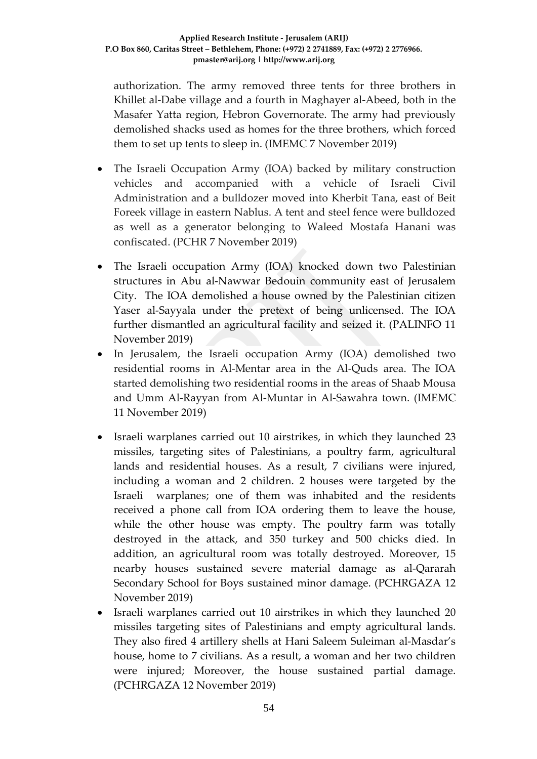authorization. The army removed three tents for three brothers in Khillet al-Dabe village and a fourth in Maghayer al-Abeed, both in the Masafer Yatta region, Hebron Governorate. The army had previously demolished shacks used as homes for the three brothers, which forced them to set up tents to sleep in. (IMEMC 7 November 2019)

- The Israeli Occupation Army (IOA) backed by military construction vehicles and accompanied with a vehicle of Israeli Civil Administration and a bulldozer moved into Kherbit Tana, east of Beit Foreek village in eastern Nablus. A tent and steel fence were bulldozed as well as a generator belonging to Waleed Mostafa Hanani was confiscated. (PCHR 7 November 2019)
- The Israeli occupation Army (IOA) knocked down two Palestinian structures in Abu al-Nawwar Bedouin community east of Jerusalem City. The IOA demolished a house owned by the Palestinian citizen Yaser al-Sayyala under the pretext of being unlicensed. The IOA further dismantled an agricultural facility and seized it. (PALINFO 11 November 2019)
- In Jerusalem, the Israeli occupation Army (IOA) demolished two residential rooms in Al-Mentar area in the Al-Quds area. The IOA started demolishing two residential rooms in the areas of Shaab Mousa and Umm Al-Rayyan from Al-Muntar in Al-Sawahra town. (IMEMC 11 November 2019)
- Israeli warplanes carried out 10 airstrikes, in which they launched 23 missiles, targeting sites of Palestinians, a poultry farm, agricultural lands and residential houses. As a result, 7 civilians were injured, including a woman and 2 children. 2 houses were targeted by the Israeli warplanes; one of them was inhabited and the residents received a phone call from IOA ordering them to leave the house, while the other house was empty. The poultry farm was totally destroyed in the attack, and 350 turkey and 500 chicks died. In addition, an agricultural room was totally destroyed. Moreover, 15 nearby houses sustained severe material damage as al-Qararah Secondary School for Boys sustained minor damage. (PCHRGAZA 12 November 2019)
- Israeli warplanes carried out 10 airstrikes in which they launched 20 missiles targeting sites of Palestinians and empty agricultural lands. They also fired 4 artillery shells at Hani Saleem Suleiman al-Masdar's house, home to 7 civilians. As a result, a woman and her two children were injured; Moreover, the house sustained partial damage. (PCHRGAZA 12 November 2019)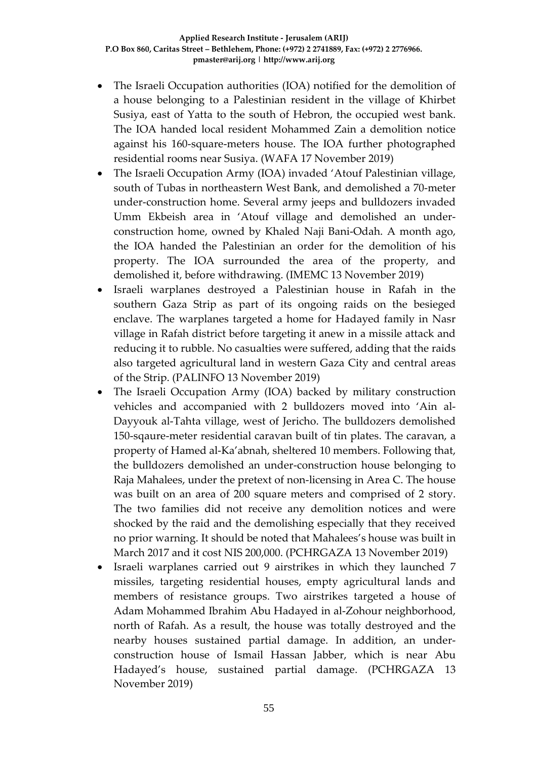- The Israeli Occupation authorities (IOA) notified for the demolition of a house belonging to a Palestinian resident in the village of Khirbet Susiya, east of Yatta to the south of Hebron, the occupied west bank. The IOA handed local resident Mohammed Zain a demolition notice against his 160-square-meters house. The IOA further photographed residential rooms near Susiya. (WAFA 17 November 2019)
- The Israeli Occupation Army (IOA) invaded 'Atouf Palestinian village, south of Tubas in northeastern West Bank, and demolished a 70-meter under-construction home. Several army jeeps and bulldozers invaded Umm Ekbeish area in 'Atouf village and demolished an underconstruction home, owned by Khaled Naji Bani-Odah. A month ago, the IOA handed the Palestinian an order for the demolition of his property. The IOA surrounded the area of the property, and demolished it, before withdrawing. (IMEMC 13 November 2019)
- Israeli warplanes destroyed a Palestinian house in Rafah in the southern Gaza Strip as part of its ongoing raids on the besieged enclave. The warplanes targeted a home for Hadayed family in Nasr village in Rafah district before targeting it anew in a missile attack and reducing it to rubble. No casualties were suffered, adding that the raids also targeted agricultural land in western Gaza City and central areas of the Strip. (PALINFO 13 November 2019)
- The Israeli Occupation Army (IOA) backed by military construction vehicles and accompanied with 2 bulldozers moved into 'Ain al-Dayyouk al-Tahta village, west of Jericho. The bulldozers demolished 150-sqaure-meter residential caravan built of tin plates. The caravan, a property of Hamed al-Ka'abnah, sheltered 10 members. Following that, the bulldozers demolished an under-construction house belonging to Raja Mahalees, under the pretext of non-licensing in Area C. The house was built on an area of 200 square meters and comprised of 2 story. The two families did not receive any demolition notices and were shocked by the raid and the demolishing especially that they received no prior warning. It should be noted that Mahalees's house was built in March 2017 and it cost NIS 200,000. (PCHRGAZA 13 November 2019)
- Israeli warplanes carried out 9 airstrikes in which they launched 7 missiles, targeting residential houses, empty agricultural lands and members of resistance groups. Two airstrikes targeted a house of Adam Mohammed Ibrahim Abu Hadayed in al-Zohour neighborhood, north of Rafah. As a result, the house was totally destroyed and the nearby houses sustained partial damage. In addition, an underconstruction house of Ismail Hassan Jabber, which is near Abu Hadayed's house, sustained partial damage. (PCHRGAZA 13 November 2019)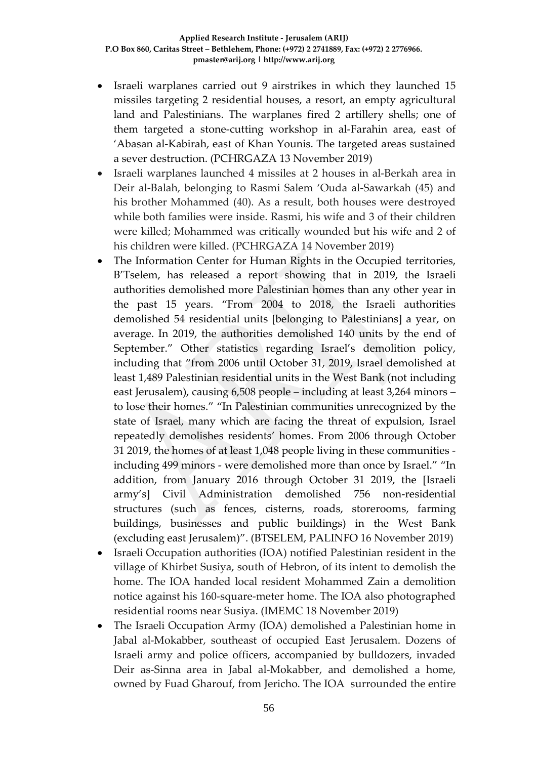- Israeli warplanes carried out 9 airstrikes in which they launched 15 missiles targeting 2 residential houses, a resort, an empty agricultural land and Palestinians. The warplanes fired 2 artillery shells; one of them targeted a stone-cutting workshop in al-Farahin area, east of 'Abasan al-Kabirah, east of Khan Younis. The targeted areas sustained a sever destruction. (PCHRGAZA 13 November 2019)
- Israeli warplanes launched 4 missiles at 2 houses in al-Berkah area in Deir al-Balah, belonging to Rasmi Salem 'Ouda al-Sawarkah (45) and his brother Mohammed (40). As a result, both houses were destroyed while both families were inside. Rasmi, his wife and 3 of their children were killed; Mohammed was critically wounded but his wife and 2 of his children were killed. (PCHRGAZA 14 November 2019)
- The Information Center for Human Rights in the Occupied territories, B'Tselem, has released a report showing that in 2019, the Israeli authorities demolished more Palestinian homes than any other year in the past 15 years. "From 2004 to 2018, the Israeli authorities demolished 54 residential units [belonging to Palestinians] a year, on average. In 2019, the authorities demolished 140 units by the end of September." Other statistics regarding Israel's demolition policy, including that "from 2006 until October 31, 2019, Israel demolished at least 1,489 Palestinian residential units in the West Bank (not including east Jerusalem), causing 6,508 people – including at least 3,264 minors – to lose their homes." "In Palestinian communities unrecognized by the state of Israel, many which are facing the threat of expulsion, Israel repeatedly demolishes residents' homes. From 2006 through October 31 2019, the homes of at least 1,048 people living in these communities including 499 minors - were demolished more than once by Israel." "In addition, from January 2016 through October 31 2019, the [Israeli army's] Civil Administration demolished 756 non-residential structures (such as fences, cisterns, roads, storerooms, farming buildings, businesses and public buildings) in the West Bank (excluding east Jerusalem)". (BTSELEM, PALINFO 16 November 2019)
- Israeli Occupation authorities (IOA) notified Palestinian resident in the village of Khirbet Susiya, south of Hebron, of its intent to demolish the home. The IOA handed local resident Mohammed Zain a demolition notice against his 160-square-meter home. The IOA also photographed residential rooms near Susiya. (IMEMC 18 November 2019)
- The Israeli Occupation Army (IOA) demolished a Palestinian home in Jabal al-Mokabber, southeast of occupied East Jerusalem. Dozens of Israeli army and police officers, accompanied by bulldozers, invaded Deir as-Sinna area in Jabal al-Mokabber, and demolished a home, owned by Fuad Gharouf, from Jericho. The IOA surrounded the entire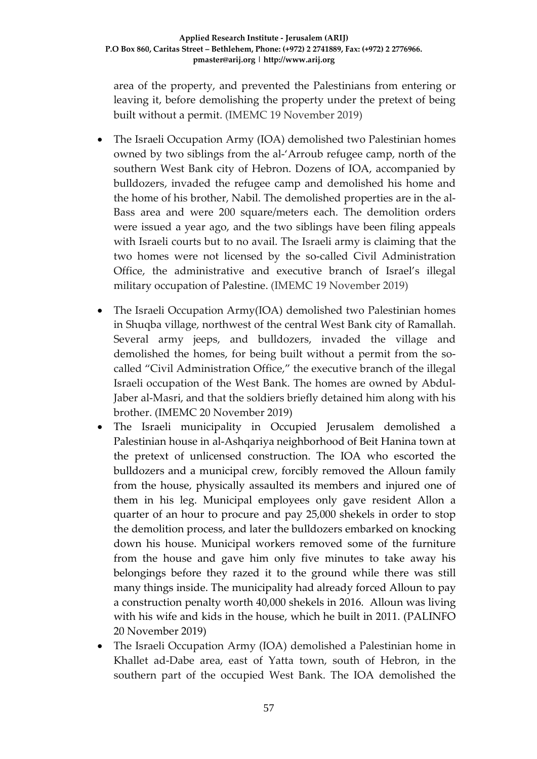area of the property, and prevented the Palestinians from entering or leaving it, before demolishing the property under the pretext of being built without a permit. (IMEMC 19 November 2019)

- The Israeli Occupation Army (IOA) demolished two Palestinian homes owned by two siblings from the al-'Arroub refugee camp, north of the southern West Bank city of Hebron. Dozens of IOA, accompanied by bulldozers, invaded the refugee camp and demolished his home and the home of his brother, Nabil. The demolished properties are in the al-Bass area and were 200 square/meters each. The demolition orders were issued a year ago, and the two siblings have been filing appeals with Israeli courts but to no avail. The Israeli army is claiming that the two homes were not licensed by the so-called Civil Administration Office, the administrative and executive branch of Israel's illegal military occupation of Palestine. (IMEMC 19 November 2019)
- The Israeli Occupation Army(IOA) demolished two Palestinian homes in Shuqba village, northwest of the central West Bank city of Ramallah. Several army jeeps, and bulldozers, invaded the village and demolished the homes, for being built without a permit from the socalled "Civil Administration Office," the executive branch of the illegal Israeli occupation of the West Bank. The homes are owned by Abdul-Jaber al-Masri, and that the soldiers briefly detained him along with his brother. (IMEMC 20 November 2019)
- The Israeli municipality in Occupied Jerusalem demolished a Palestinian house in al-Ashqariya neighborhood of Beit Hanina town at the pretext of unlicensed construction. The IOA who escorted the bulldozers and a municipal crew, forcibly removed the Alloun family from the house, physically assaulted its members and injured one of them in his leg. Municipal employees only gave resident Allon a quarter of an hour to procure and pay 25,000 shekels in order to stop the demolition process, and later the bulldozers embarked on knocking down his house. Municipal workers removed some of the furniture from the house and gave him only five minutes to take away his belongings before they razed it to the ground while there was still many things inside. The municipality had already forced Alloun to pay a construction penalty worth 40,000 shekels in 2016. Alloun was living with his wife and kids in the house, which he built in 2011. (PALINFO 20 November 2019)
- The Israeli Occupation Army (IOA) demolished a Palestinian home in Khallet ad-Dabe area, east of Yatta town, south of Hebron, in the southern part of the occupied West Bank. The IOA demolished the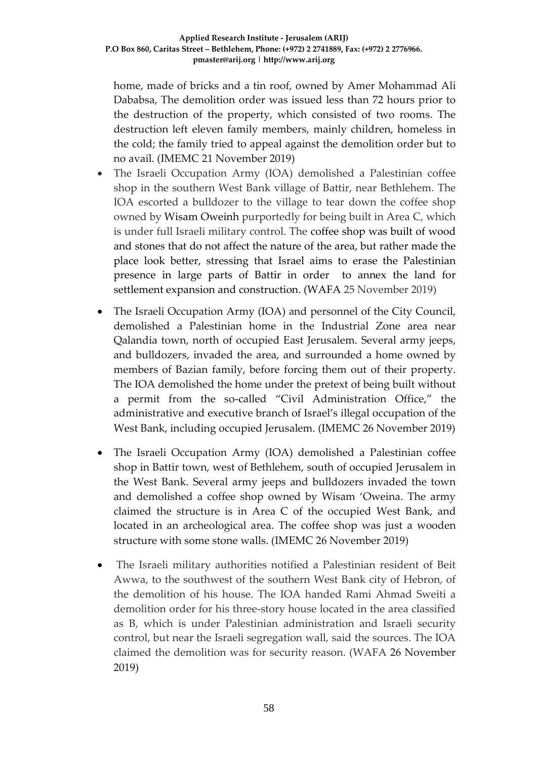home, made of bricks and a tin roof, owned by Amer Mohammad Ali Dababsa, The demolition order was issued less than 72 hours prior to the destruction of the property, which consisted of two rooms. The destruction left eleven family members, mainly children, homeless in the cold; the family tried to appeal against the demolition order but to no avail. (IMEMC 21 November 2019)

- The Israeli Occupation Army (IOA) demolished a Palestinian coffee shop in the southern West Bank village of Battir, near Bethlehem. The IOA escorted a bulldozer to the village to tear down the coffee shop owned by Wisam Oweinh purportedly for being built in Area C, which is under full Israeli military control. The coffee shop was built of wood and stones that do not affect the nature of the area, but rather made the place look better, stressing that Israel aims to erase the Palestinian presence in large parts of Battir in order to annex the land for settlement expansion and construction. (WAFA 25 November 2019)
- The Israeli Occupation Army (IOA) and personnel of the City Council, demolished a Palestinian home in the Industrial Zone area near Qalandia town, north of occupied East Jerusalem. Several army jeeps, and bulldozers, invaded the area, and surrounded a home owned by members of Bazian family, before forcing them out of their property. The IOA demolished the home under the pretext of being built without a permit from the so-called "Civil Administration Office," the administrative and executive branch of Israel's illegal occupation of the West Bank, including occupied Jerusalem. (IMEMC 26 November 2019)
- The Israeli Occupation Army (IOA) demolished a Palestinian coffee shop in Battir town, west of Bethlehem, south of occupied Jerusalem in the West Bank. Several army jeeps and bulldozers invaded the town and demolished a coffee shop owned by Wisam 'Oweina. The army claimed the structure is in Area C of the occupied West Bank, and located in an archeological area. The coffee shop was just a wooden structure with some stone walls. (IMEMC 26 November 2019)
- The Israeli military authorities notified a Palestinian resident of Beit Awwa, to the southwest of the southern West Bank city of Hebron, of the demolition of his house. The IOA handed Rami Ahmad Sweiti a demolition order for his three-story house located in the area classified as B, which is under Palestinian administration and Israeli security control, but near the Israeli segregation wall, said the sources. The IOA claimed the demolition was for security reason. (WAFA 26 November 2019)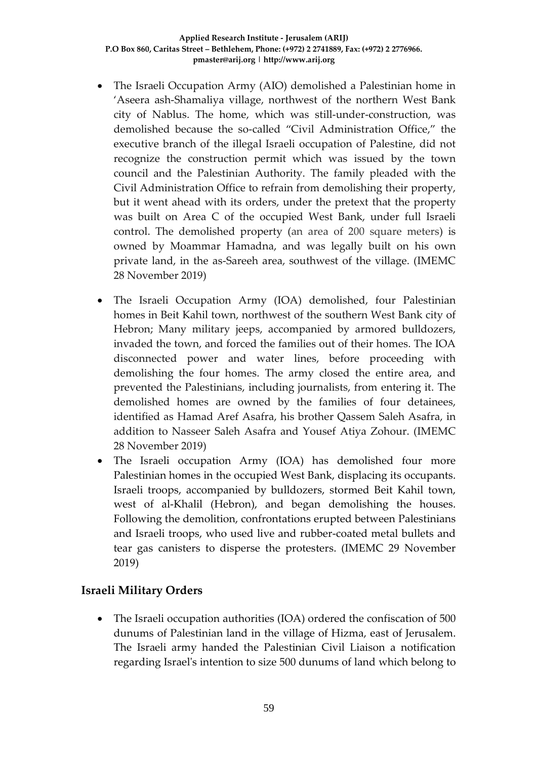- The Israeli Occupation Army (AIO) demolished a Palestinian home in 'Aseera ash-Shamaliya village, northwest of the northern West Bank city of Nablus. The home, which was still-under-construction, was demolished because the so-called "Civil Administration Office," the executive branch of the illegal Israeli occupation of Palestine, did not recognize the construction permit which was issued by the town council and the Palestinian Authority. The family pleaded with the Civil Administration Office to refrain from demolishing their property, but it went ahead with its orders, under the pretext that the property was built on Area C of the occupied West Bank, under full Israeli control. The demolished property (an area of 200 square meters) is owned by Moammar Hamadna, and was legally built on his own private land, in the as-Sareeh area, southwest of the village. (IMEMC 28 November 2019)
- The Israeli Occupation Army (IOA) demolished, four Palestinian homes in Beit Kahil town, northwest of the southern West Bank city of Hebron; Many military jeeps, accompanied by armored bulldozers, invaded the town, and forced the families out of their homes. The IOA disconnected power and water lines, before proceeding with demolishing the four homes. The army closed the entire area, and prevented the Palestinians, including journalists, from entering it. The demolished homes are owned by the families of four detainees, identified as Hamad Aref Asafra, his brother Qassem Saleh Asafra, in addition to Nasseer Saleh Asafra and Yousef Atiya Zohour. (IMEMC 28 November 2019)
- The Israeli occupation Army (IOA) has demolished four more Palestinian homes in the occupied West Bank, displacing its occupants. Israeli troops, accompanied by bulldozers, stormed Beit Kahil town, west of al-Khalil (Hebron), and began demolishing the houses. Following the demolition, confrontations erupted between Palestinians and Israeli troops, who used live and rubber-coated metal bullets and tear gas canisters to disperse the protesters. (IMEMC 29 November 2019)

## **Israeli Military Orders**

• The Israeli occupation authorities (IOA) ordered the confiscation of 500 dunums of Palestinian land in the village of Hizma, east of Jerusalem. The Israeli army handed the Palestinian Civil Liaison a notification regarding Israel's intention to size 500 dunums of land which belong to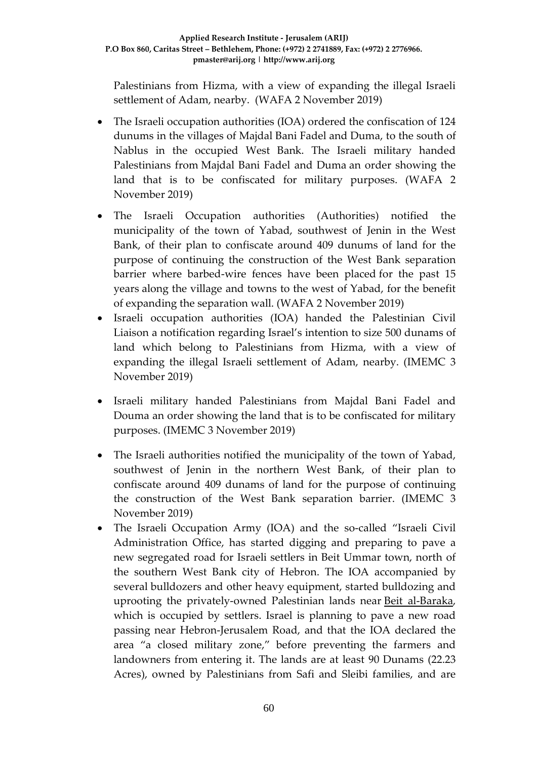Palestinians from Hizma, with a view of expanding the illegal Israeli settlement of Adam, nearby. (WAFA 2 November 2019)

- The Israeli occupation authorities (IOA) ordered the confiscation of 124 dunums in the villages of Majdal Bani Fadel and Duma, to the south of Nablus in the occupied West Bank. The Israeli military handed Palestinians from Majdal Bani Fadel and Duma an order showing the land that is to be confiscated for military purposes. (WAFA 2 November 2019)
- The Israeli Occupation authorities (Authorities) notified the municipality of the town of Yabad, southwest of Jenin in the West Bank, of their plan to confiscate around 409 dunums of land for the purpose of continuing the construction of the West Bank separation barrier where barbed-wire fences have been placed for the past 15 years along the village and towns to the west of Yabad, for the benefit of expanding the separation wall. (WAFA 2 November 2019)
- Israeli occupation authorities (IOA) handed the Palestinian Civil Liaison a notification regarding Israel's intention to size 500 dunams of land which belong to Palestinians from Hizma, with a view of expanding the illegal Israeli settlement of Adam, nearby. (IMEMC 3 November 2019)
- Israeli military handed Palestinians from Majdal Bani Fadel and Douma an order showing the land that is to be confiscated for military purposes. (IMEMC 3 November 2019)
- The Israeli authorities notified the municipality of the town of Yabad, southwest of Jenin in the northern West Bank, of their plan to confiscate around 409 dunams of land for the purpose of continuing the construction of the West Bank separation barrier. (IMEMC 3 November 2019)
- The Israeli Occupation Army (IOA) and the so-called "Israeli Civil Administration Office, has started digging and preparing to pave a new segregated road for Israeli settlers in Beit Ummar town, north of the southern West Bank city of Hebron. The IOA accompanied by several bulldozers and other heavy equipment, started bulldozing and uprooting the privately-owned Palestinian lands near [Beit al-Baraka,](https://imemc.org/article/part-of-one-of-biggest-colonialist-projects-israel-issues-orders-illegally-confiscating-401-dunams-of-lands-near-hebron/) which is occupied by settlers. Israel is planning to pave a new road passing near Hebron-Jerusalem Road, and that the IOA declared the area "a closed military zone," before preventing the farmers and landowners from entering it. The lands are at least 90 Dunams (22.23 Acres), owned by Palestinians from Safi and Sleibi families, and are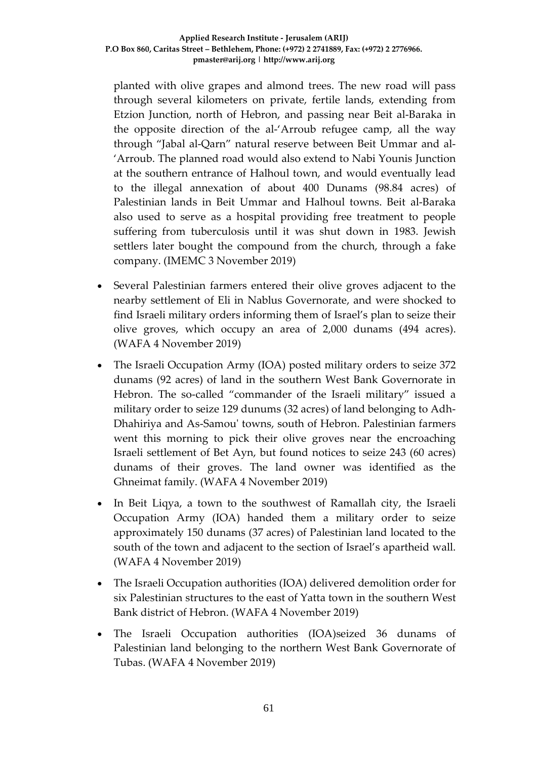planted with olive grapes and almond trees. The new road will pass through several kilometers on private, fertile lands, extending from Etzion Junction, north of Hebron, and passing near Beit al-Baraka in the opposite direction of the al-'Arroub refugee camp, all the way through "Jabal al-Qarn" natural reserve between Beit Ummar and al- 'Arroub. The planned road would also extend to Nabi Younis Junction at the southern entrance of Halhoul town, and would eventually lead to the illegal annexation of about 400 Dunams (98.84 acres) of Palestinian lands in Beit Ummar and Halhoul towns. Beit al-Baraka also used to serve as a hospital providing free treatment to people suffering from tuberculosis until it was shut down in 1983. Jewish settlers later bought the compound from the church, through a fake company. (IMEMC 3 November 2019)

- Several Palestinian farmers entered their olive groves adjacent to the nearby settlement of Eli in Nablus Governorate, and were shocked to find Israeli military orders informing them of Israel's plan to seize their olive groves, which occupy an area of 2,000 dunams (494 acres). (WAFA 4 November 2019)
- The Israeli Occupation Army (IOA) posted military orders to seize 372 dunams (92 acres) of land in the southern West Bank Governorate in Hebron. The so-called "commander of the Israeli military" issued a military order to seize 129 dunums (32 acres) of land belonging to Adh-Dhahiriya and As-Samou' towns, south of Hebron. Palestinian farmers went this morning to pick their olive groves near the encroaching Israeli settlement of Bet Ayn, but found notices to seize 243 (60 acres) dunams of their groves. The land owner was identified as the Ghneimat family. (WAFA 4 November 2019)
- In Beit Liqya, a town to the southwest of Ramallah city, the Israeli Occupation Army (IOA) handed them a military order to seize approximately 150 dunams (37 acres) of Palestinian land located to the south of the town and adjacent to the section of Israel's apartheid wall. (WAFA 4 November 2019)
- The Israeli Occupation authorities (IOA) delivered demolition order for six Palestinian structures to the east of Yatta town in the southern West Bank district of Hebron. (WAFA 4 November 2019)
- The Israeli Occupation authorities (IOA)seized 36 dunams of Palestinian land belonging to the northern West Bank Governorate of Tubas. (WAFA 4 November 2019)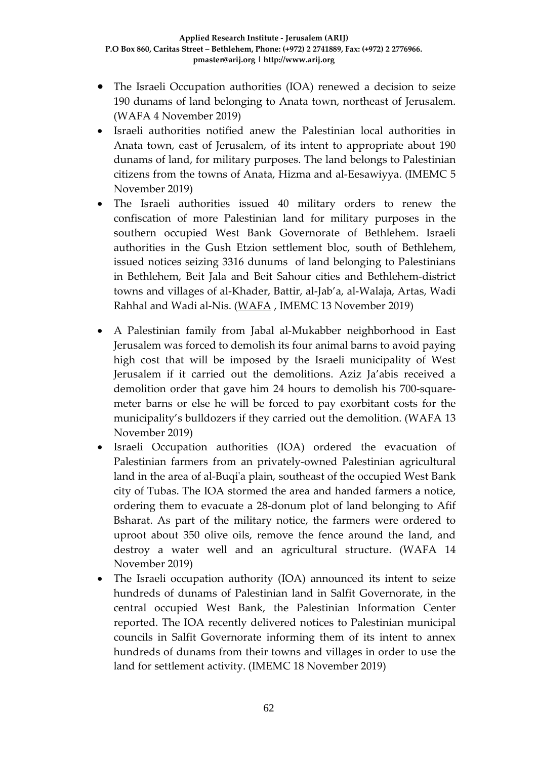- The Israeli Occupation authorities (IOA) renewed a decision to seize 190 dunams of land belonging to Anata town, northeast of Jerusalem. (WAFA 4 November 2019)
- Israeli authorities notified anew the Palestinian local authorities in Anata town, east of Jerusalem, of its intent to appropriate about 190 dunams of land, for military purposes. The land belongs to Palestinian citizens from the towns of Anata, Hizma and al-Eesawiyya. (IMEMC 5 November 2019)
- The Israeli authorities issued 40 military orders to renew the confiscation of more Palestinian land for military purposes in the southern occupied West Bank Governorate of Bethlehem. Israeli authorities in the Gush Etzion settlement bloc, south of Bethlehem, issued notices seizing 3316 dunums of land belonging to Palestinians in Bethlehem, Beit Jala and Beit Sahour cities and Bethlehem-district towns and villages of al-Khader, Battir, al-Jab'a, al-Walaja, Artas, Wadi Rahhal and Wadi al-Nis. [\(WAFA](http://english.wafa.ps/page.aspx?id=WvKVzGa114061886532aWvKVzG) , IMEMC 13 November 2019)
- A Palestinian family from Jabal al-Mukabber neighborhood in East Jerusalem was forced to demolish its four animal barns to avoid paying high cost that will be imposed by the Israeli municipality of West Jerusalem if it carried out the demolitions. Aziz Ja'abis received a demolition order that gave him 24 hours to demolish his 700-squaremeter barns or else he will be forced to pay exorbitant costs for the municipality's bulldozers if they carried out the demolition. (WAFA 13 November 2019)
- Israeli Occupation authorities (IOA) ordered the evacuation of Palestinian farmers from an privately-owned Palestinian agricultural land in the area of al-Buqi'a plain, southeast of the occupied West Bank city of Tubas. The IOA stormed the area and handed farmers a notice, ordering them to evacuate a 28-donum plot of land belonging to Afif Bsharat. As part of the military notice, the farmers were ordered to uproot about 350 olive oils, remove the fence around the land, and destroy a water well and an agricultural structure. (WAFA 14 November 2019)
- The Israeli occupation authority (IOA) announced its intent to seize hundreds of dunams of Palestinian land in Salfit Governorate, in the central occupied West Bank, the Palestinian Information Center reported. The IOA recently delivered notices to Palestinian municipal councils in Salfit Governorate informing them of its intent to annex hundreds of dunams from their towns and villages in order to use the land for settlement activity. (IMEMC 18 November 2019)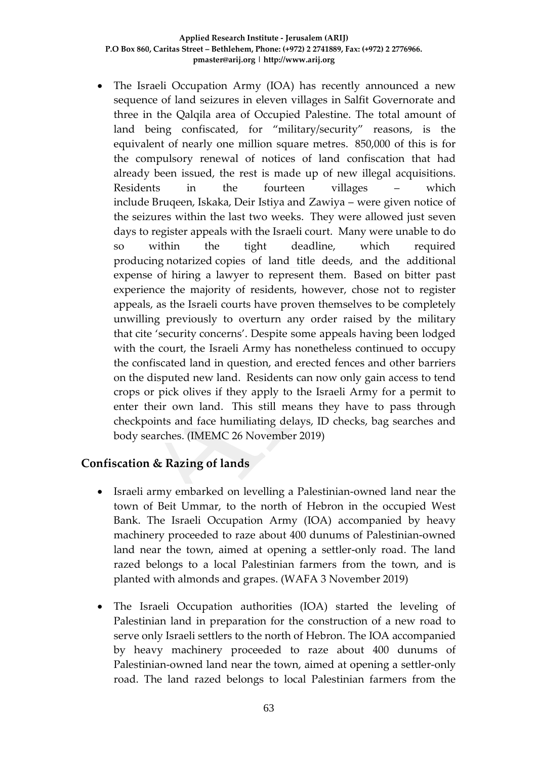• The Israeli Occupation Army (IOA) has recently announced a new sequence of land seizures in eleven villages in Salfit Governorate and three in the Qalqila area of Occupied Palestine. The total amount of land being confiscated, for "military/security" reasons, is the equivalent of nearly one million square metres. 850,000 of this is for the compulsory renewal of notices of land confiscation that had already been issued, the rest is made up of new illegal acquisitions. Residents in the fourteen villages – which include Bruqeen, Iskaka, Deir Istiya and Zawiya – were given notice of the seizures within the last two weeks. They were allowed just seven days to register appeals with the Israeli court. Many were unable to do so within the tight deadline, which required producing notarized copies of land title deeds, and the additional expense of hiring a lawyer to represent them. Based on bitter past experience the majority of residents, however, chose not to register appeals, as the Israeli courts have proven themselves to be completely unwilling previously to overturn any order raised by the military that cite 'security concerns'. Despite some appeals having been lodged with the court, the Israeli Army has nonetheless continued to occupy the confiscated land in question, and erected fences and other barriers on the disputed new land. Residents can now only gain access to tend crops or pick olives if they apply to the Israeli Army for a permit to enter their own land. This still means they have to pass through checkpoints and face humiliating delays, ID checks, bag searches and body searches. (IMEMC 26 November 2019)

# **Confiscation & Razing of lands**

- Israeli army embarked on levelling a Palestinian-owned land near the town of Beit Ummar, to the north of Hebron in the occupied West Bank. The Israeli Occupation Army (IOA) accompanied by heavy machinery proceeded to raze about 400 dunums of Palestinian-owned land near the town, aimed at opening a settler-only road. The land razed belongs to a local Palestinian farmers from the town, and is planted with almonds and grapes. (WAFA 3 November 2019)
- The Israeli Occupation authorities (IOA) started the leveling of Palestinian land in preparation for the construction of a new road to serve only Israeli settlers to the north of Hebron. The IOA accompanied by heavy machinery proceeded to raze about 400 dunums of Palestinian-owned land near the town, aimed at opening a settler-only road. The land razed belongs to local Palestinian farmers from the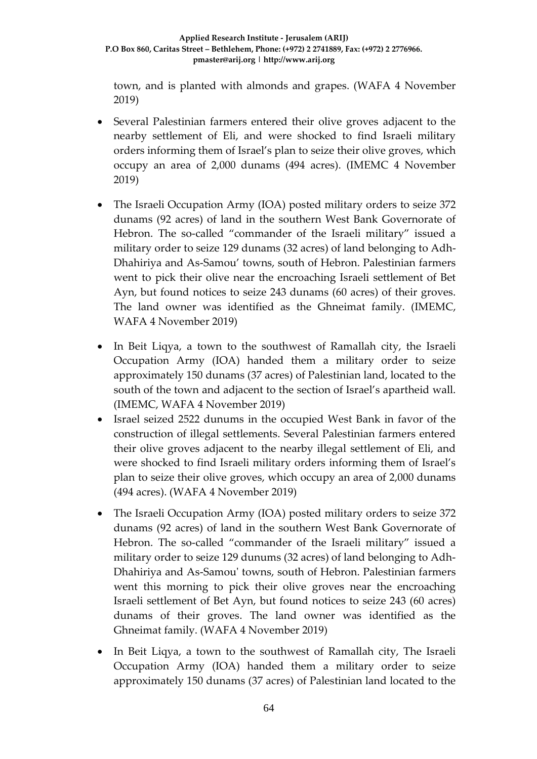town, and is planted with almonds and grapes. (WAFA 4 November 2019)

- Several Palestinian farmers entered their olive groves adjacent to the nearby settlement of Eli, and were shocked to find Israeli military orders informing them of Israel's plan to seize their olive groves, which occupy an area of 2,000 dunams (494 acres). (IMEMC 4 November 2019)
- The Israeli Occupation Army (IOA) posted military orders to seize 372 dunams (92 acres) of land in the southern West Bank Governorate of Hebron. The so-called "commander of the Israeli military" issued a military order to seize 129 dunams (32 acres) of land belonging to Adh-Dhahiriya and As-Samou' towns, south of Hebron. Palestinian farmers went to pick their olive near the encroaching Israeli settlement of Bet Ayn, but found notices to seize 243 dunams (60 acres) of their groves. The land owner was identified as the Ghneimat family. (IMEMC, WAFA 4 November 2019)
- In Beit Liqya, a town to the southwest of Ramallah city, the Israeli Occupation Army (IOA) handed them a military order to seize approximately 150 dunams (37 acres) of Palestinian land, located to the south of the town and adjacent to the section of Israel's apartheid wall. (IMEMC, WAFA 4 November 2019)
- Israel seized 2522 dunums in the occupied West Bank in favor of the construction of illegal settlements. Several Palestinian farmers entered their olive groves adjacent to the nearby illegal settlement of Eli, and were shocked to find Israeli military orders informing them of Israel's plan to seize their olive groves, which occupy an area of 2,000 dunams (494 acres). (WAFA 4 November 2019)
- The Israeli Occupation Army (IOA) posted military orders to seize 372 dunams (92 acres) of land in the southern West Bank Governorate of Hebron. The so-called "commander of the Israeli military" issued a military order to seize 129 dunums (32 acres) of land belonging to Adh-Dhahiriya and As-Samou' towns, south of Hebron. Palestinian farmers went this morning to pick their olive groves near the encroaching Israeli settlement of Bet Ayn, but found notices to seize 243 (60 acres) dunams of their groves. The land owner was identified as the Ghneimat family. (WAFA 4 November 2019)
- In Beit Liqya, a town to the southwest of Ramallah city, The Israeli Occupation Army (IOA) handed them a military order to seize approximately 150 dunams (37 acres) of Palestinian land located to the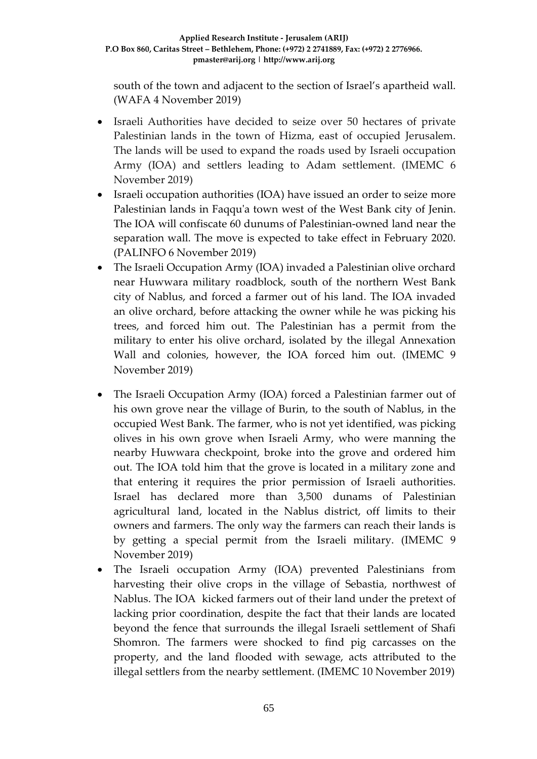south of the town and adjacent to the section of Israel's apartheid wall. (WAFA 4 November 2019)

- Israeli Authorities have decided to seize over 50 hectares of private Palestinian lands in the town of Hizma, east of occupied Jerusalem. The lands will be used to expand the roads used by Israeli occupation Army (IOA) and settlers leading to Adam settlement. (IMEMC 6 November 2019)
- Israeli occupation authorities (IOA) have issued an order to seize more Palestinian lands in Faqqu'a town west of the West Bank city of Jenin. The IOA will confiscate 60 dunums of Palestinian-owned land near the separation wall. The move is expected to take effect in February 2020. (PALINFO 6 November 2019)
- The Israeli Occupation Army (IOA) invaded a Palestinian olive orchard near Huwwara military roadblock, south of the northern West Bank city of Nablus, and forced a farmer out of his land. The IOA invaded an olive orchard, before attacking the owner while he was picking his trees, and forced him out. The Palestinian has a permit from the military to enter his olive orchard, isolated by the illegal Annexation Wall and colonies, however, the IOA forced him out. (IMEMC 9 November 2019)
- The Israeli Occupation Army (IOA) forced a Palestinian farmer out of his own grove near the village of Burin, to the south of Nablus, in the occupied West Bank. The farmer, who is not yet identified, was picking olives in his own grove when Israeli Army, who were manning the nearby Huwwara checkpoint, broke into the grove and ordered him out. The IOA told him that the grove is located in a military zone and that entering it requires the prior permission of Israeli authorities. Israel has declared more than 3,500 dunams of Palestinian agricultural land, located in the Nablus district, off limits to their owners and farmers. The only way the farmers can reach their lands is by getting a special permit from the Israeli military. (IMEMC 9 November 2019)
- The Israeli occupation Army (IOA) prevented Palestinians from harvesting their olive crops in the village of Sebastia, northwest of Nablus. The IOA kicked farmers out of their land under the pretext of lacking prior coordination, despite the fact that their lands are located beyond the fence that surrounds the illegal Israeli settlement of Shafi Shomron. The farmers were shocked to find pig carcasses on the property, and the land flooded with sewage, acts attributed to the illegal settlers from the nearby settlement. (IMEMC 10 November 2019)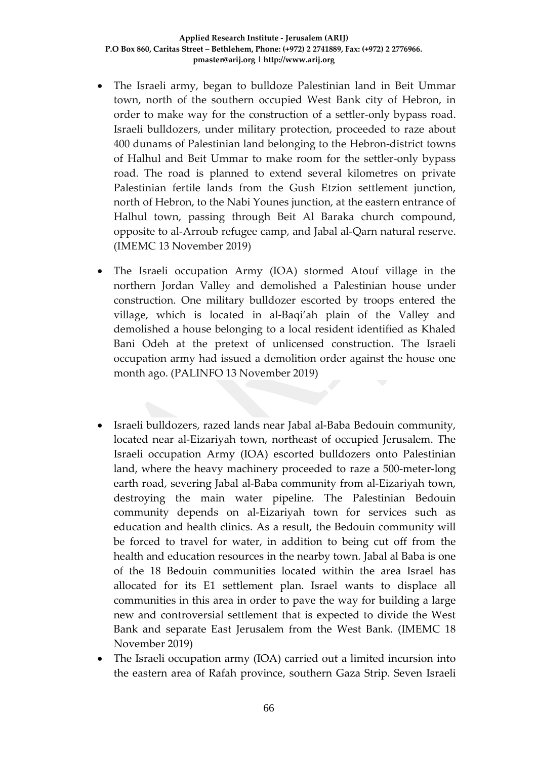- The Israeli army, began to bulldoze Palestinian land in Beit Ummar town, north of the southern occupied West Bank city of Hebron, in order to make way for the construction of a settler-only bypass road. Israeli bulldozers, under military protection, proceeded to raze about 400 dunams of Palestinian land belonging to the Hebron-district towns of Halhul and Beit Ummar to make room for the settler-only bypass road. The road is planned to extend several kilometres on private Palestinian fertile lands from the Gush Etzion settlement junction, north of Hebron, to the Nabi Younes junction, at the eastern entrance of Halhul town, passing through Beit Al Baraka church compound, opposite to al-Arroub refugee camp, and Jabal al-Qarn natural reserve. (IMEMC 13 November 2019)
- The Israeli occupation Army (IOA) stormed Atouf village in the northern Jordan Valley and demolished a Palestinian house under construction. One military bulldozer escorted by troops entered the village, which is located in al-Baqi'ah plain of the Valley and demolished a house belonging to a local resident identified as Khaled Bani Odeh at the pretext of unlicensed construction. The Israeli occupation army had issued a demolition order against the house one month ago. (PALINFO 13 November 2019)
- Israeli bulldozers, razed lands near Jabal al-Baba Bedouin community, located near al-Eizariyah town, northeast of occupied Jerusalem. The Israeli occupation Army (IOA) escorted bulldozers onto Palestinian land, where the heavy machinery proceeded to raze a 500-meter-long earth road, severing Jabal al-Baba community from al-Eizariyah town, destroying the main water pipeline. The Palestinian Bedouin community depends on al-Eizariyah town for services such as education and health clinics. As a result, the Bedouin community will be forced to travel for water, in addition to being cut off from the health and education resources in the nearby town. Jabal al Baba is one of the 18 Bedouin communities located within the area Israel has allocated for its E1 settlement plan. Israel wants to displace all communities in this area in order to pave the way for building a large new and controversial settlement that is expected to divide the West Bank and separate East Jerusalem from the West Bank. (IMEMC 18 November 2019)
- The Israeli occupation army (IOA) carried out a limited incursion into the eastern area of Rafah province, southern Gaza Strip. Seven Israeli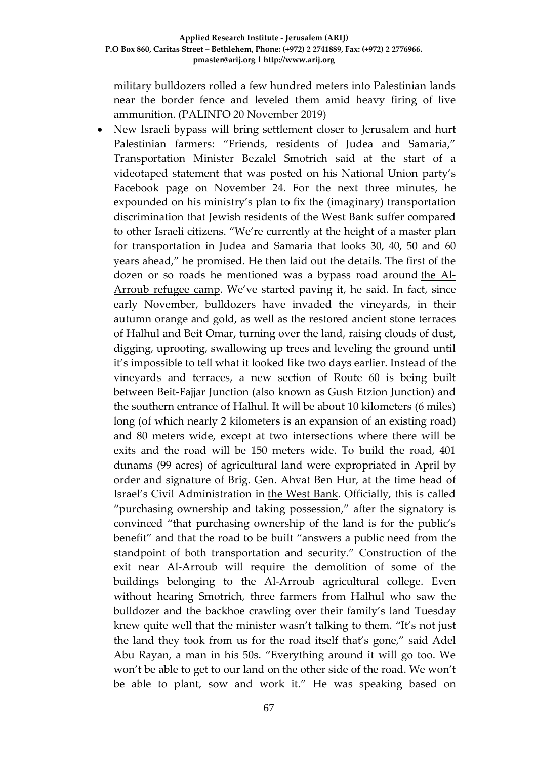military bulldozers rolled a few hundred meters into Palestinian lands near the border fence and leveled them amid heavy firing of live ammunition. (PALINFO 20 November 2019)

• New Israeli bypass will bring settlement closer to Jerusalem and hurt Palestinian farmers: "Friends, residents of Judea and Samaria," Transportation Minister Bezalel Smotrich said at the start of a videotaped statement that was posted on his National Union party's Facebook page on November 24. For the next three minutes, he expounded on his ministry's plan to fix the (imaginary) transportation discrimination that Jewish residents of the West Bank suffer compared to other Israeli citizens. "We're currently at the height of a master plan for transportation in Judea and Samaria that looks 30, 40, 50 and 60 years ahead," he promised. He then laid out the details. The first of the dozen or so roads he mentioned was a bypass road around [the Al-](https://www.haaretz.com/israel-news/.premium-palestinian-shot-dead-when-israeli-troops-mistake-his-towel-for-a-firebomb-1.8196711)[Arroub refugee camp.](https://www.haaretz.com/israel-news/.premium-palestinian-shot-dead-when-israeli-troops-mistake-his-towel-for-a-firebomb-1.8196711) We've started paving it, he said. In fact, since early November, bulldozers have invaded the vineyards, in their autumn orange and gold, as well as the restored ancient stone terraces of Halhul and Beit Omar, turning over the land, raising clouds of dust, digging, uprooting, swallowing up trees and leveling the ground until it's impossible to tell what it looked like two days earlier. Instead of the vineyards and terraces, a new section of Route 60 is being built between Beit-Fajjar Junction (also known as Gush Etzion Junction) and the southern entrance of Halhul. It will be about 10 kilometers (6 miles) long (of which nearly 2 kilometers is an expansion of an existing road) and 80 meters wide, except at two intersections where there will be exits and the road will be 150 meters wide. To build the road, 401 dunams (99 acres) of agricultural land were expropriated in April by order and signature of Brig. Gen. Ahvat Ben Hur, at the time head of Israel's Civil Administration in [the West Bank.](https://www.haaretz.com/misc/tags/TAG-west-bank-1.5598977) Officially, this is called "purchasing ownership and taking possession," after the signatory is convinced "that purchasing ownership of the land is for the public's benefit" and that the road to be built "answers a public need from the standpoint of both transportation and security." Construction of the exit near Al-Arroub will require the demolition of some of the buildings belonging to the Al-Arroub agricultural college. Even without hearing Smotrich, three farmers from Halhul who saw the bulldozer and the backhoe crawling over their family's land Tuesday knew quite well that the minister wasn't talking to them. "It's not just the land they took from us for the road itself that's gone," said Adel Abu Rayan, a man in his 50s. "Everything around it will go too. We won't be able to get to our land on the other side of the road. We won't be able to plant, sow and work it." He was speaking based on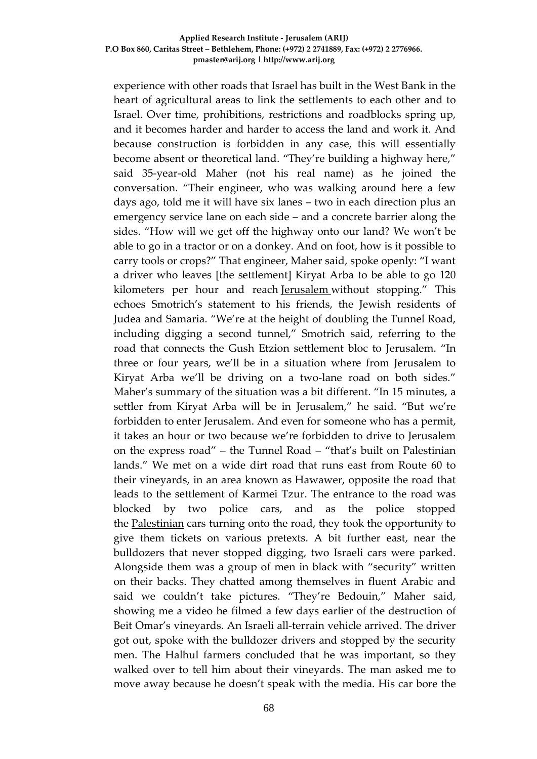#### **Applied Research Institute - Jerusalem (ARIJ) P.O Box 860, Caritas Street – Bethlehem, Phone: (+972) 2 2741889, Fax: (+972) 2 2776966. pmaster@arij.org | http://www.arij.org**

experience with other roads that Israel has built in the West Bank in the heart of agricultural areas to link the settlements to each other and to Israel. Over time, prohibitions, restrictions and roadblocks spring up, and it becomes harder and harder to access the land and work it. And because construction is forbidden in any case, this will essentially become absent or theoretical land. "They're building a highway here," said 35-year-old Maher (not his real name) as he joined the conversation. "Their engineer, who was walking around here a few days ago, told me it will have six lanes – two in each direction plus an emergency service lane on each side – and a concrete barrier along the sides. "How will we get off the highway onto our land? We won't be able to go in a tractor or on a donkey. And on foot, how is it possible to carry tools or crops?" That engineer, Maher said, spoke openly: "I want a driver who leaves [the settlement] Kiryat Arba to be able to go 120 kilometers per hour and reach [Jerusalem](https://www.haaretz.com/misc/tags/TAG-jerusalem-1.5598985) without stopping." This echoes Smotrich's statement to his friends, the Jewish residents of Judea and Samaria. "We're at the height of doubling the Tunnel Road, including digging a second tunnel," Smotrich said, referring to the road that connects the Gush Etzion settlement bloc to Jerusalem. "In three or four years, we'll be in a situation where from Jerusalem to Kiryat Arba we'll be driving on a two-lane road on both sides." Maher's summary of the situation was a bit different. "In 15 minutes, a settler from Kiryat Arba will be in Jerusalem," he said. "But we're forbidden to enter Jerusalem. And even for someone who has a permit, it takes an hour or two because we're forbidden to drive to Jerusalem on the express road" – the Tunnel Road – "that's built on Palestinian lands." We met on a wide dirt road that runs east from Route 60 to their vineyards, in an area known as Hawawer, opposite the road that leads to the settlement of Karmei Tzur. The entrance to the road was blocked by two police cars, and as the police stopped the [Palestinian](https://www.haaretz.com/middle-east-news/palestinians) cars turning onto the road, they took the opportunity to give them tickets on various pretexts. A bit further east, near the bulldozers that never stopped digging, two Israeli cars were parked. Alongside them was a group of men in black with "security" written on their backs. They chatted among themselves in fluent Arabic and said we couldn't take pictures. "They're Bedouin," Maher said, showing me a video he filmed a few days earlier of the destruction of Beit Omar's vineyards. An Israeli all-terrain vehicle arrived. The driver got out, spoke with the bulldozer drivers and stopped by the security men. The Halhul farmers concluded that he was important, so they walked over to tell him about their vineyards. The man asked me to move away because he doesn't speak with the media. His car bore the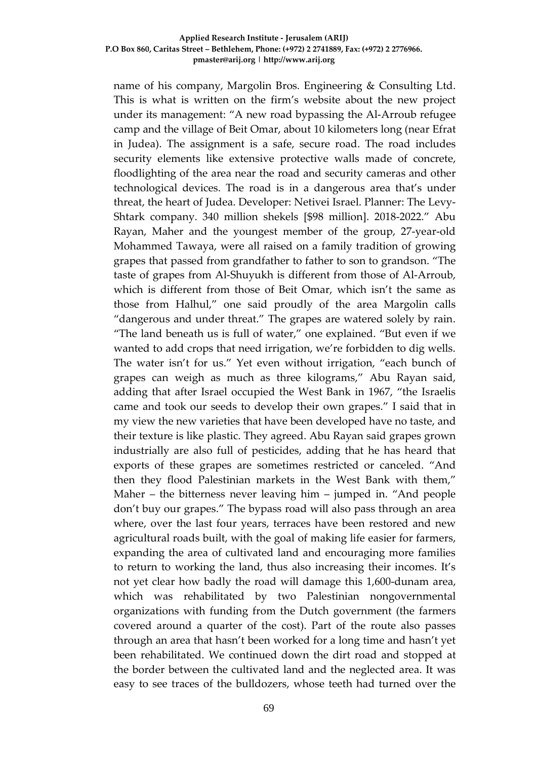### **Applied Research Institute - Jerusalem (ARIJ) P.O Box 860, Caritas Street – Bethlehem, Phone: (+972) 2 2741889, Fax: (+972) 2 2776966. pmaster@arij.org | http://www.arij.org**

name of his company, Margolin Bros. Engineering & Consulting Ltd. This is what is written on the firm's website about the new project under its management: "A new road bypassing the Al-Arroub refugee camp and the village of Beit Omar, about 10 kilometers long (near Efrat in Judea). The assignment is a safe, secure road. The road includes security elements like extensive protective walls made of concrete, floodlighting of the area near the road and security cameras and other technological devices. The road is in a dangerous area that's under threat, the heart of Judea. Developer: Netivei Israel. Planner: The Levy-Shtark company. 340 million shekels [\$98 million]. 2018-2022." Abu Rayan, Maher and the youngest member of the group, 27-year-old Mohammed Tawaya, were all raised on a family tradition of growing grapes that passed from grandfather to father to son to grandson. "The taste of grapes from Al-Shuyukh is different from those of Al-Arroub, which is different from those of Beit Omar, which isn't the same as those from Halhul," one said proudly of the area Margolin calls "dangerous and under threat." The grapes are watered solely by rain. "The land beneath us is full of water," one explained. "But even if we wanted to add crops that need irrigation, we're forbidden to dig wells. The water isn't for us." Yet even without irrigation, "each bunch of grapes can weigh as much as three kilograms," Abu Rayan said, adding that after Israel occupied the West Bank in 1967, "the Israelis came and took our seeds to develop their own grapes." I said that in my view the new varieties that have been developed have no taste, and their texture is like plastic. They agreed. Abu Rayan said grapes grown industrially are also full of pesticides, adding that he has heard that exports of these grapes are sometimes restricted or canceled. "And then they flood Palestinian markets in the West Bank with them," Maher – the bitterness never leaving him – jumped in. "And people don't buy our grapes." The bypass road will also pass through an area where, over the last four years, terraces have been restored and new agricultural roads built, with the goal of making life easier for farmers, expanding the area of cultivated land and encouraging more families to return to working the land, thus also increasing their incomes. It's not yet clear how badly the road will damage this 1,600-dunam area, which was rehabilitated by two Palestinian nongovernmental organizations with funding from the Dutch government (the farmers covered around a quarter of the cost). Part of the route also passes through an area that hasn't been worked for a long time and hasn't yet been rehabilitated. We continued down the dirt road and stopped at the border between the cultivated land and the neglected area. It was easy to see traces of the bulldozers, whose teeth had turned over the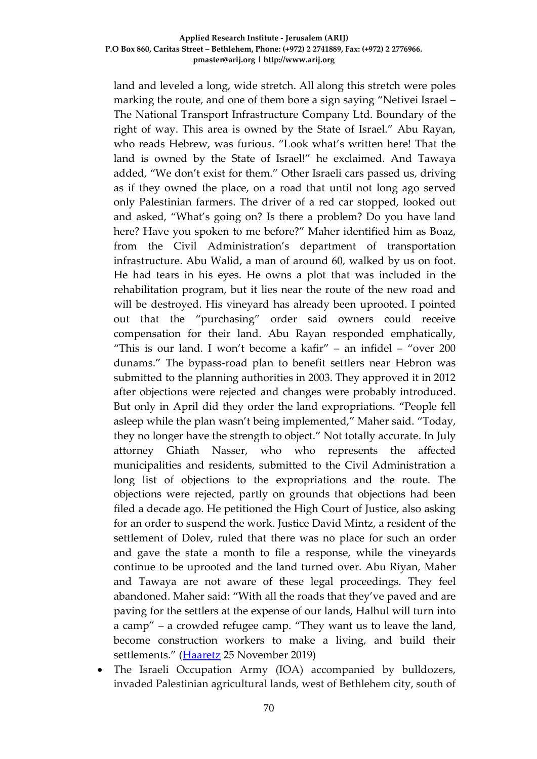### **Applied Research Institute - Jerusalem (ARIJ) P.O Box 860, Caritas Street – Bethlehem, Phone: (+972) 2 2741889, Fax: (+972) 2 2776966. pmaster@arij.org | http://www.arij.org**

land and leveled a long, wide stretch. All along this stretch were poles marking the route, and one of them bore a sign saying "Netivei Israel – The National Transport Infrastructure Company Ltd. Boundary of the right of way. This area is owned by the State of Israel." Abu Rayan, who reads Hebrew, was furious. "Look what's written here! That the land is owned by the State of Israel!" he exclaimed. And Tawaya added, "We don't exist for them." Other Israeli cars passed us, driving as if they owned the place, on a road that until not long ago served only Palestinian farmers. The driver of a red car stopped, looked out and asked, "What's going on? Is there a problem? Do you have land here? Have you spoken to me before?" Maher identified him as Boaz, from the Civil Administration's department of transportation infrastructure. Abu Walid, a man of around 60, walked by us on foot. He had tears in his eyes. He owns a plot that was included in the rehabilitation program, but it lies near the route of the new road and will be destroyed. His vineyard has already been uprooted. I pointed out that the "purchasing" order said owners could receive compensation for their land. Abu Rayan responded emphatically, "This is our land. I won't become a kafir" – an infidel – "over 200 dunams." The bypass-road plan to benefit settlers near Hebron was submitted to the planning authorities in 2003. They approved it in 2012 after objections were rejected and changes were probably introduced. But only in April did they order the land expropriations. "People fell asleep while the plan wasn't being implemented," Maher said. "Today, they no longer have the strength to object." Not totally accurate. In July attorney Ghiath Nasser, who who represents the affected municipalities and residents, submitted to the Civil Administration a long list of objections to the expropriations and the route. The objections were rejected, partly on grounds that objections had been filed a decade ago. He petitioned the High Court of Justice, also asking for an order to suspend the work. Justice David Mintz, a resident of the settlement of Dolev, ruled that there was no place for such an order and gave the state a month to file a response, while the vineyards continue to be uprooted and the land turned over. Abu Riyan, Maher and Tawaya are not aware of these legal proceedings. They feel abandoned. Maher said: "With all the roads that they've paved and are paving for the settlers at the expense of our lands, Halhul will turn into a camp" – a crowded refugee camp. "They want us to leave the land, become construction workers to make a living, and build their settlements." [\(Haaretz](https://www.haaretz.com/israel-news/.premium-new-israeli-bypass-will-bring-settlement-closer-to-j-lem-hurt-palestinian-farmers-1.8198271) 25 November 2019)

The Israeli Occupation Army (IOA) accompanied by bulldozers, invaded Palestinian agricultural lands, west of Bethlehem city, south of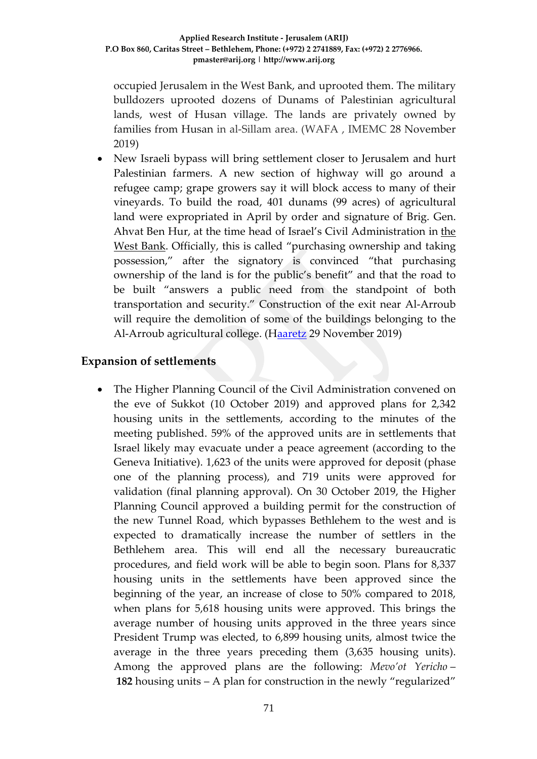occupied Jerusalem in the West Bank, and uprooted them. The military bulldozers uprooted dozens of Dunams of Palestinian agricultural lands, west of Husan village. The lands are privately owned by families from Husan in al-Sillam area. (WAFA , IMEMC 28 November 2019)

• New Israeli bypass will bring settlement closer to Jerusalem and hurt Palestinian farmers. A new section of highway will go around a refugee camp; grape growers say it will block access to many of their vineyards. To build the road, 401 dunams (99 acres) of agricultural land were expropriated in April by order and signature of Brig. Gen. Ahvat Ben Hur, at the time head of Israel's Civil Administration in [the](https://www.haaretz.com/misc/tags/TAG-west-bank-1.5598977)  [West Bank.](https://www.haaretz.com/misc/tags/TAG-west-bank-1.5598977) Officially, this is called "purchasing ownership and taking possession," after the signatory is convinced "that purchasing ownership of the land is for the public's benefit" and that the road to be built "answers a public need from the standpoint of both transportation and security." Construction of the exit near Al-Arroub will require the demolition of some of the buildings belonging to the Al-Arroub agricultural college. ([Haaretz](https://www.haaretz.com/israel-news/.premium-new-israeli-bypass-will-bring-settlement-closer-to-j-lem-hurt-palestinian-farmers-1.8198271) 29 November 2019)

## **Expansion of settlements**

• The Higher Planning Council of the Civil Administration convened on the eve of Sukkot (10 October 2019) and approved plans for 2,342 housing units in the settlements, according to the minutes of the meeting published. 59% of the approved units are in settlements that Israel likely may evacuate under a peace agreement (according to the Geneva Initiative). 1,623 of the units were approved for deposit (phase one of the planning process), and 719 units were approved for validation (final planning approval). On 30 October 2019, the Higher Planning Council approved a building permit for the construction of the new Tunnel Road, which bypasses Bethlehem to the west and is expected to dramatically increase the number of settlers in the Bethlehem area. This will end all the necessary bureaucratic procedures, and field work will be able to begin soon. Plans for 8,337 housing units in the settlements have been approved since the beginning of the year, an increase of close to 50% compared to 2018, when plans for 5,618 housing units were approved. This brings the average number of housing units approved in the three years since President Trump was elected, to 6,899 housing units, almost twice the average in the three years preceding them (3,635 housing units). Among the approved plans are the following: *Mevo'ot Yericho* – **182** housing units – A plan for construction in the newly "regularized"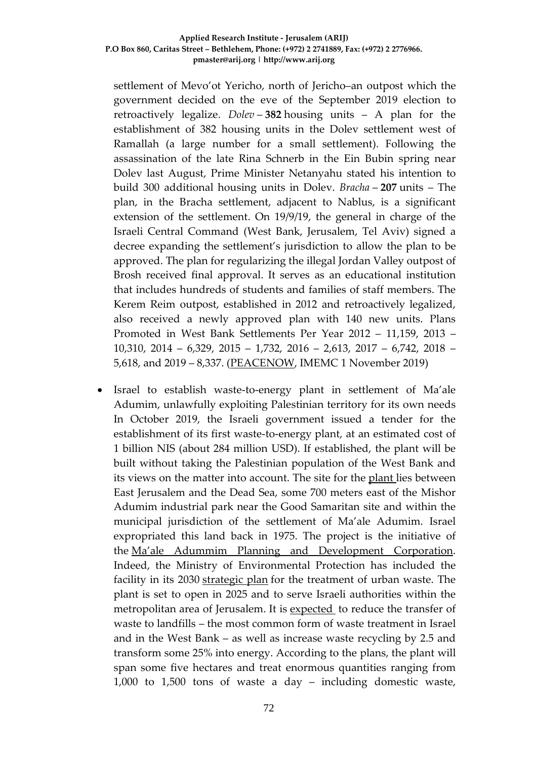settlement of Mevo'ot Yericho, north of Jericho–an outpost which the government decided on the eve of the September 2019 election to retroactively legalize. *Dolev* – **382** housing units – A plan for the establishment of 382 housing units in the Dolev settlement west of Ramallah (a large number for a small settlement). Following the assassination of the late Rina Schnerb in the Ein Bubin spring near Dolev last August, Prime Minister Netanyahu stated his intention to build 300 additional housing units in Dolev. *Bracha* – **207** units – The plan, in the Bracha settlement, adjacent to Nablus, is a significant extension of the settlement. On 19/9/19, the general in charge of the Israeli Central Command (West Bank, Jerusalem, Tel Aviv) signed a decree expanding the settlement's jurisdiction to allow the plan to be approved. The plan for regularizing the illegal Jordan Valley outpost of Brosh received final approval. It serves as an educational institution that includes hundreds of students and families of staff members. The Kerem Reim outpost, established in 2012 and retroactively legalized, also received a newly approved plan with 140 new units. Plans Promoted in West Bank Settlements Per Year 2012 – 11,159, 2013 – 10,310, 2014 – 6,329, 2015 – 1,732, 2016 – 2,613, 2017 – 6,742, 2018 – 5,618, and 2019 – 8,337. [\(PEACENOW,](https://peacenow.org.il/en/october-2019-approvals-2342-settlement-housing-units-advanced) IMEMC 1 November 2019)

• Israel to establish waste-to-energy plant in settlement of Ma'ale Adumim, unlawfully exploiting Palestinian territory for its own needs In October 2019, the Israeli government issued a tender for the establishment of its first waste-to-energy plant, at an estimated cost of 1 billion NIS (about 284 million USD). If established, the plant will be built without taking the Palestinian population of the West Bank and its views on the matter into account. The site for the [plant](https://www.jpost.com/Israel-News/Israel-to-construct-first-waste-to-energy-power-plant-604380) lies between East Jerusalem and the Dead Sea, some 700 meters east of the Mishor Adumim industrial park near the Good Samaritan site and within the municipal jurisdiction of the settlement of Ma'ale Adumim. Israel expropriated this land back in 1975. The project is the initiative of the [Ma'ale Adummim Planning and Development Corporation.](https://www.youtube.com/watch?v=zdhQeNa-LL4&feature=youtu.be) Indeed, the Ministry of Environmental Protection has included the facility in its 2030 [strategic plan](https://www.mr.gov.il/Files_Michrazim/303227.pdf) for the treatment of urban waste. The plant is set to open in 2025 and to serve Israeli authorities within the metropolitan area of Jerusalem. It is [expected](https://infospot.co.il/n/Two_tenders_were_published_for_the_construction_of_a_facility_to_reclaim_energy_from_waste) to reduce the transfer of waste to landfills – the most common form of waste treatment in Israel and in the West Bank – as well as increase waste recycling by 2.5 and transform some 25% into energy. According to the plans, the plant will span some five hectares and treat enormous quantities ranging from 1,000 to 1,500 tons of waste a day – including domestic waste,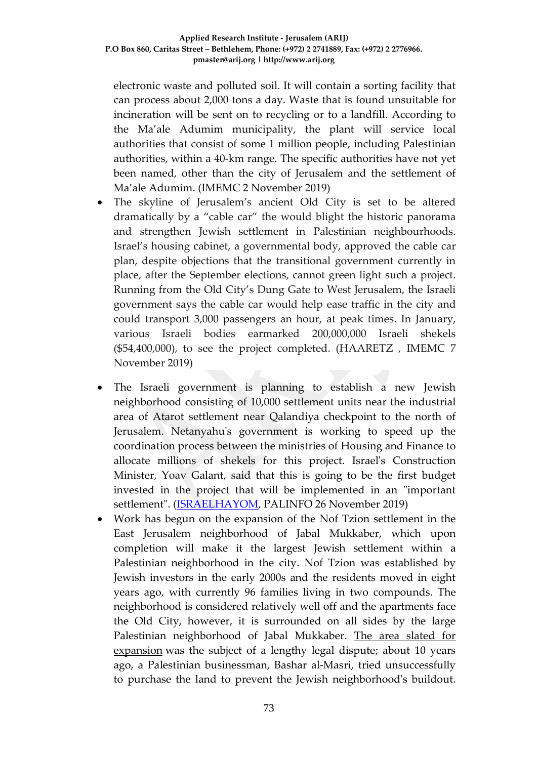electronic waste and polluted soil. It will contain a sorting facility that can process about 2,000 tons a day. Waste that is found unsuitable for incineration will be sent on to recycling or to a landfill. According to the Ma'ale Adumim municipality, the plant will service local authorities that consist of some 1 million people, including Palestinian authorities, within a 40-km range. The specific authorities have not yet been named, other than the city of Jerusalem and the settlement of Ma'ale Adumim. (IMEMC 2 November 2019)

- The skyline of Jerusalem's ancient Old City is set to be altered dramatically by a "cable car" the would blight the historic panorama and strengthen Jewish settlement in Palestinian neighbourhoods. Israel's housing cabinet, a governmental body, approved the cable car plan, despite objections that the transitional government currently in place, after the September elections, cannot green light such a project. Running from the Old City's Dung Gate to West Jerusalem, the Israeli government says the cable car would help ease traffic in the city and could transport 3,000 passengers an hour, at peak times. In January, various Israeli bodies earmarked 200,000,000 Israeli shekels (\$54,400,000), to see the project completed. (HAARETZ , IMEMC 7 November 2019)
- The Israeli government is planning to establish a new Jewish neighborhood consisting of 10,000 settlement units near the industrial area of Atarot settlement near Qalandiya checkpoint to the north of Jerusalem. Netanyahu's government is working to speed up the coordination process between the ministries of Housing and Finance to allocate millions of shekels for this project. Israel's Construction Minister, Yoav Galant, said that this is going to be the first budget invested in the project that will be implemented in an "important settlement". (**ISRAELHAYOM**, PALINFO 26 November 2019)
- Work has begun on the expansion of the Nof Tzion settlement in the East Jerusalem neighborhood of Jabal Mukkaber, which upon completion will make it the largest Jewish settlement within a Palestinian neighborhood in the city. Nof Tzion was established by Jewish investors in the early 2000s and the residents moved in eight years ago, with currently 96 families living in two compounds. The neighborhood is considered relatively well off and the apartments face the Old City, however, it is surrounded on all sides by the large Palestinian neighborhood of Jabal Mukkaber. [The area slated for](https://www.haaretz.com/israel-news/israel-approves-settlement-expansion-in-east-jerusalem-1.5460348)  [expansion](https://www.haaretz.com/israel-news/israel-approves-settlement-expansion-in-east-jerusalem-1.5460348) was the subject of a lengthy legal dispute; about 10 years ago, a Palestinian businessman, Bashar al-Masri, tried unsuccessfully to purchase the land to prevent the Jewish neighborhood's buildout.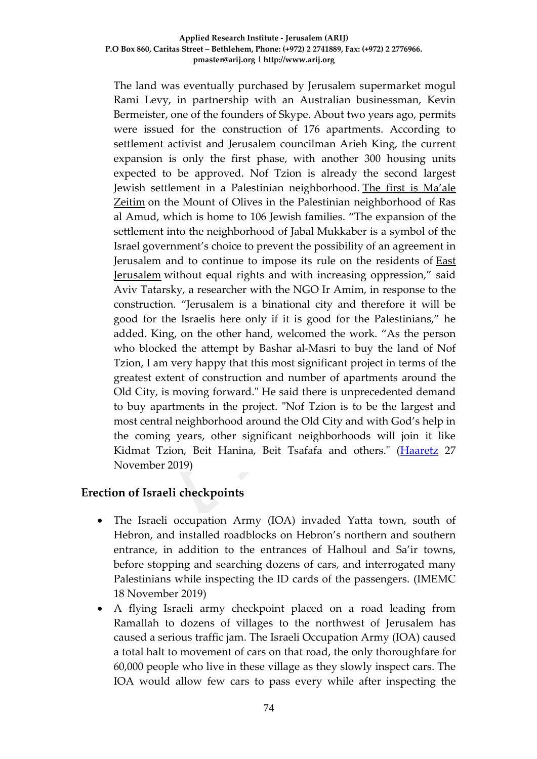The land was eventually purchased by Jerusalem supermarket mogul Rami Levy, in partnership with an Australian businessman, Kevin Bermeister, one of the founders of Skype. About two years ago, permits were issued for the construction of 176 apartments. According to settlement activist and Jerusalem councilman Arieh King, the current expansion is only the first phase, with another 300 housing units expected to be approved. Nof Tzion is already the second largest Jewish settlement in a Palestinian neighborhood. [The first is Ma'ale](https://www.haaretz.com/israel-news/.premium-jerusalem-okays-land-grab-from-palestinian-neighborhood-for-synagogue-1.5423241)  [Zeitim](https://www.haaretz.com/israel-news/.premium-jerusalem-okays-land-grab-from-palestinian-neighborhood-for-synagogue-1.5423241) on the Mount of Olives in the Palestinian neighborhood of Ras al Amud, which is home to 106 Jewish families. "The expansion of the settlement into the neighborhood of Jabal Mukkaber is a symbol of the Israel government's choice to prevent the possibility of an agreement in Jerusalem and to continue to impose its rule on the residents of [East](https://www.haaretz.com/misc/tags/TAG-east-jerusalem-1.5598917)  [Jerusalem](https://www.haaretz.com/misc/tags/TAG-east-jerusalem-1.5598917) without equal rights and with increasing oppression," said Aviv Tatarsky, a researcher with the NGO Ir Amim, in response to the construction. "Jerusalem is a binational city and therefore it will be good for the Israelis here only if it is good for the Palestinians," he added. King, on the other hand, welcomed the work. "As the person who blocked the attempt by Bashar al-Masri to buy the land of Nof Tzion, I am very happy that this most significant project in terms of the greatest extent of construction and number of apartments around the Old City, is moving forward." He said there is unprecedented demand to buy apartments in the project. "Nof Tzion is to be the largest and most central neighborhood around the Old City and with God's help in the coming years, other significant neighborhoods will join it like Kidmat Tzion, Beit Hanina, Beit Tsafafa and others." [\(Haaretz](https://www.haaretz.com/israel-news/.premium-israel-begins-work-on-what-will-become-largest-settlement-in-east-jerusalem-1.8192737) 27 November 2019)

## **Erection of Israeli checkpoints**

- The Israeli occupation Army (IOA) invaded Yatta town, south of Hebron, and installed roadblocks on Hebron's northern and southern entrance, in addition to the entrances of Halhoul and Sa'ir towns, before stopping and searching dozens of cars, and interrogated many Palestinians while inspecting the ID cards of the passengers. (IMEMC 18 November 2019)
- A flying Israeli army checkpoint placed on a road leading from Ramallah to dozens of villages to the northwest of Jerusalem has caused a serious traffic jam. The Israeli Occupation Army (IOA) caused a total halt to movement of cars on that road, the only thoroughfare for 60,000 people who live in these village as they slowly inspect cars. The IOA would allow few cars to pass every while after inspecting the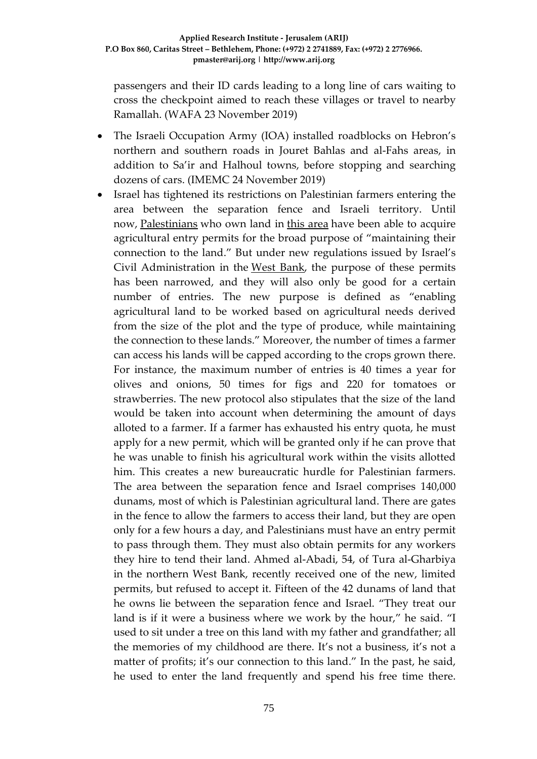passengers and their ID cards leading to a long line of cars waiting to cross the checkpoint aimed to reach these villages or travel to nearby Ramallah. (WAFA 23 November 2019)

- The Israeli Occupation Army (IOA) installed roadblocks on Hebron's northern and southern roads in Jouret Bahlas and al-Fahs areas, in addition to Sa'ir and Halhoul towns, before stopping and searching dozens of cars. (IMEMC 24 November 2019)
- Israel has tightened its restrictions on Palestinian farmers entering the area between the separation fence and Israeli territory. Until now, [Palestinians](https://www.haaretz.com/middle-east-news/palestinians) who own land in [this area](https://www.haaretz.com/israel-news/.premium-farming-permits-for-palestinians-in-west-bank-seam-zone-cut-drastically-1.6805980) have been able to acquire agricultural entry permits for the broad purpose of "maintaining their connection to the land." But under new regulations issued by Israel's Civil Administration in the [West Bank,](https://www.haaretz.com/misc/tags/TAG-west-bank-1.5598977) the purpose of these permits has been narrowed, and they will also only be good for a certain number of entries. The new purpose is defined as "enabling agricultural land to be worked based on agricultural needs derived from the size of the plot and the type of produce, while maintaining the connection to these lands." Moreover, the number of times a farmer can access his lands will be capped according to the crops grown there. For instance, the maximum number of entries is 40 times a year for olives and onions, 50 times for figs and 220 for tomatoes or strawberries. The new protocol also stipulates that the size of the land would be taken into account when determining the amount of days alloted to a farmer. If a farmer has exhausted his entry quota, he must apply for a new permit, which will be granted only if he can prove that he was unable to finish his agricultural work within the visits allotted him. This creates a new bureaucratic hurdle for Palestinian farmers. The area between the separation fence and Israel comprises 140,000 dunams, most of which is Palestinian agricultural land. There are gates in the fence to allow the farmers to access their land, but they are open only for a few hours a day, and Palestinians must have an entry permit to pass through them. They must also obtain permits for any workers they hire to tend their land. Ahmed al-Abadi, 54, of Tura al-Gharbiya in the northern West Bank, recently received one of the new, limited permits, but refused to accept it. Fifteen of the 42 dunams of land that he owns lie between the separation fence and Israel. "They treat our land is if it were a business where we work by the hour," he said. "I used to sit under a tree on this land with my father and grandfather; all the memories of my childhood are there. It's not a business, it's not a matter of profits; it's our connection to this land." In the past, he said, he used to enter the land frequently and spend his free time there.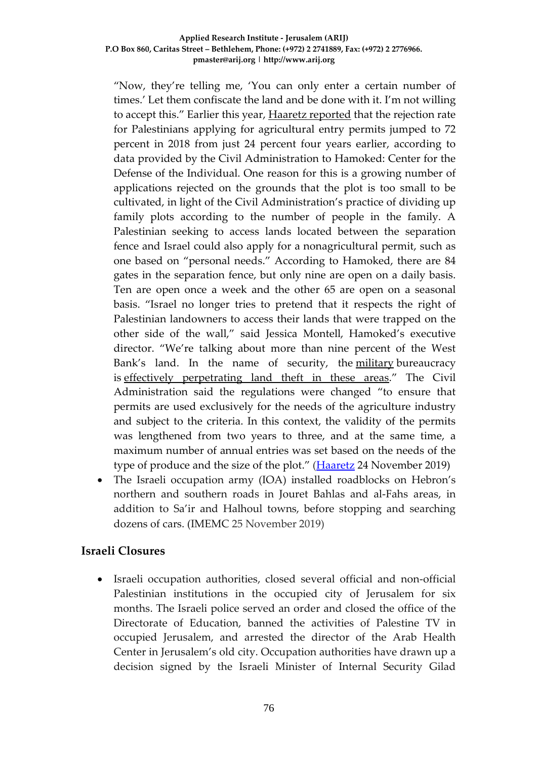"Now, they're telling me, 'You can only enter a certain number of times.' Let them confiscate the land and be done with it. I'm not willing to accept this." Earlier this year, [Haaretz reported](https://www.haaretz.com/israel-news/.premium-farming-permits-for-palestinians-in-west-bank-seam-zone-cut-drastically-1.6805980) that the rejection rate for Palestinians applying for agricultural entry permits jumped to 72 percent in 2018 from just 24 percent four years earlier, according to data provided by the Civil Administration to Hamoked: Center for the Defense of the Individual. One reason for this is a growing number of applications rejected on the grounds that the plot is too small to be cultivated, in light of the Civil Administration's practice of dividing up family plots according to the number of people in the family. A Palestinian seeking to access lands located between the separation fence and Israel could also apply for a nonagricultural permit, such as one based on "personal needs." According to Hamoked, there are 84 gates in the separation fence, but only nine are open on a daily basis. Ten are open once a week and the other 65 are open on a seasonal basis. "Israel no longer tries to pretend that it respects the right of Palestinian landowners to access their lands that were trapped on the other side of the wall," said Jessica Montell, Hamoked's executive director. "We're talking about more than nine percent of the West Bank's land. In the name of security, the [military](https://www.haaretz.com/misc/tags/TAG-idf-1.5598943) bureaucracy is [effectively perpetrating land theft in these areas.](https://www.haaretz.com/israel-news/.premium-too-small-how-the-idf-annexes-palestinians-plots-that-would-become-israeli-homes-1.6810984)" The Civil Administration said the regulations were changed "to ensure that permits are used exclusively for the needs of the agriculture industry and subject to the criteria. In this context, the validity of the permits was lengthened from two years to three, and at the same time, a maximum number of annual entries was set based on the needs of the type of produce and the size of the plot." [\(Haaretz](https://www.haaretz.com/israel-news/.premium-israel-limits-west-bank-farmers-access-to-lands-near-border-1.8166555) 24 November 2019)

• The Israeli occupation army (IOA) installed roadblocks on Hebron's northern and southern roads in Jouret Bahlas and al-Fahs areas, in addition to Sa'ir and Halhoul towns, before stopping and searching dozens of cars. (IMEMC 25 November 2019)

# **Israeli Closures**

• Israeli occupation authorities, closed several official and non-official Palestinian institutions in the occupied city of Jerusalem for six months. The Israeli police served an order and closed the office of the Directorate of Education, banned the activities of Palestine TV in occupied Jerusalem, and arrested the director of the Arab Health Center in Jerusalem's old city. Occupation authorities have drawn up a decision signed by the Israeli Minister of Internal Security Gilad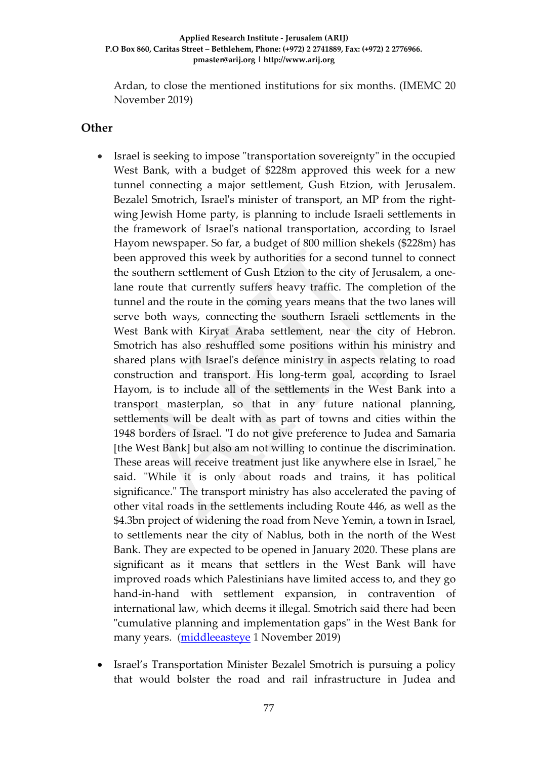Ardan, to close the mentioned institutions for six months. (IMEMC 20 November 2019)

### **Other**

- Israel is seeking to impose "transportation sovereignty" in the occupied West Bank, with a budget of \$228m approved this week for a new tunnel connecting a major settlement, Gush Etzion, with Jerusalem. Bezalel Smotrich, Israel's minister of transport, an MP from the rightwing Jewish Home party, is planning to include Israeli settlements in the framework of Israel's national transportation, according to Israel Hayom newspaper. So far, a budget of 800 million shekels (\$228m) has been approved this week by authorities for a second tunnel to connect the southern settlement of Gush Etzion to the city of Jerusalem, a onelane route that currently suffers heavy traffic. The completion of the tunnel and the route in the coming years means that the two lanes will serve both ways, connecting the southern Israeli settlements in the West Bank with Kiryat Araba settlement, near the city of Hebron. Smotrich has also reshuffled some positions within his ministry and shared plans with Israel's defence ministry in aspects relating to road construction and transport. His long-term goal, according to Israel Hayom, is to include all of the settlements in the West Bank into a transport masterplan, so that in any future national planning, settlements will be dealt with as part of towns and cities within the 1948 borders of Israel. "I do not give preference to Judea and Samaria [the West Bank] but also am not willing to continue the discrimination. These areas will receive treatment just like anywhere else in Israel," he said. "While it is only about roads and trains, it has political significance." The transport ministry has also accelerated the paving of other vital roads in the settlements including Route 446, as well as the \$4.3bn project of widening the road from Neve Yemin, a town in Israel, to settlements near the city of Nablus, both in the north of the West Bank. They are expected to be opened in January 2020. These plans are significant as it means that settlers in the West Bank will have improved roads which Palestinians have limited access to, and they go hand-in-hand with settlement expansion, in contravention of international law, which deems it illegal. Smotrich said there had been "cumulative planning and implementation gaps" in the West Bank for many years. [\(middleeasteye](https://www.middleeasteye.net/news/israels-transport-minister-extend-sovereignty-over-settlement-roads-west-bank) 1 November 2019)
- Israel's Transportation Minister Bezalel Smotrich is pursuing a policy that would bolster the road and rail infrastructure in Judea and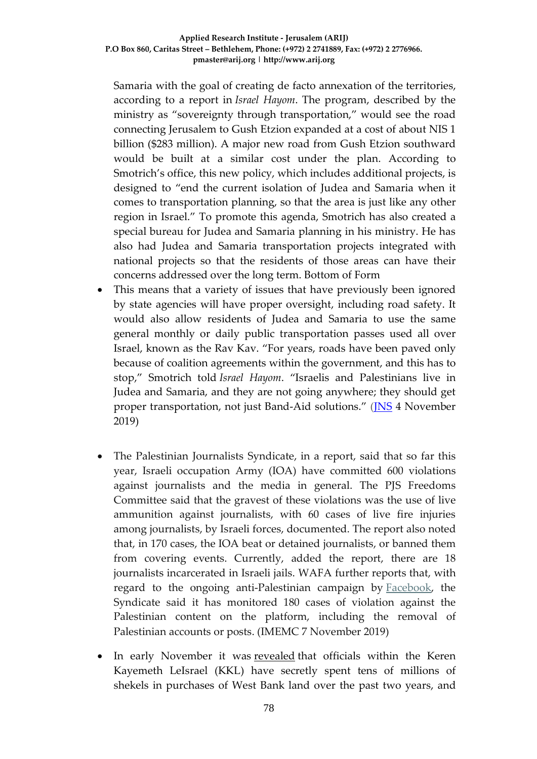Samaria with the goal of creating de facto annexation of the territories, according to a report in *Israel Hayom*. The program, described by the ministry as "sovereignty through transportation," would see the road connecting Jerusalem to Gush Etzion expanded at a cost of about NIS 1 billion (\$283 million). A major new road from Gush Etzion southward would be built at a similar cost under the plan. According to Smotrich's office, this new policy, which includes additional projects, is designed to "end the current isolation of Judea and Samaria when it comes to transportation planning, so that the area is just like any other region in Israel." To promote this agenda, Smotrich has also created a special bureau for Judea and Samaria planning in his ministry. He has also had Judea and Samaria transportation projects integrated with national projects so that the residents of those areas can have their concerns addressed over the long term. Bottom of Form

- This means that a variety of issues that have previously been ignored by state agencies will have proper oversight, including road safety. It would also allow residents of Judea and Samaria to use the same general monthly or daily public transportation passes used all over Israel, known as the Rav Kav. "For years, roads have been paved only because of coalition agreements within the government, and this has to stop," Smotrich told *Israel Hayom*. "Israelis and Palestinians live in Judea and Samaria, and they are not going anywhere; they should get proper transportation, not just Band-Aid solutions." (*JNS* 4 November 2019)
- The Palestinian Journalists Syndicate, in a report, said that so far this year, Israeli occupation Army (IOA) have committed 600 violations against journalists and the media in general. The PJS Freedoms Committee said that the gravest of these violations was the use of live ammunition against journalists, with 60 cases of live fire injuries among journalists, by Israeli forces, documented. The report also noted that, in 170 cases, the IOA beat or detained journalists, or banned them from covering events. Currently, added the report, there are 18 journalists incarcerated in Israeli jails. WAFA further reports that, with regard to the ongoing anti-Palestinian campaign by [Facebook,](https://imemc.org/?s=facebook) the Syndicate said it has monitored 180 cases of violation against the Palestinian content on the platform, including the removal of Palestinian accounts or posts. (IMEMC 7 November 2019)
- In early November it was [revealed](https://twitter.com/RavivDrucker/status/1189240487925993472) that officials within the Keren Kayemeth LeIsrael (KKL) have secretly spent tens of millions of shekels in purchases of West Bank land over the past two years, and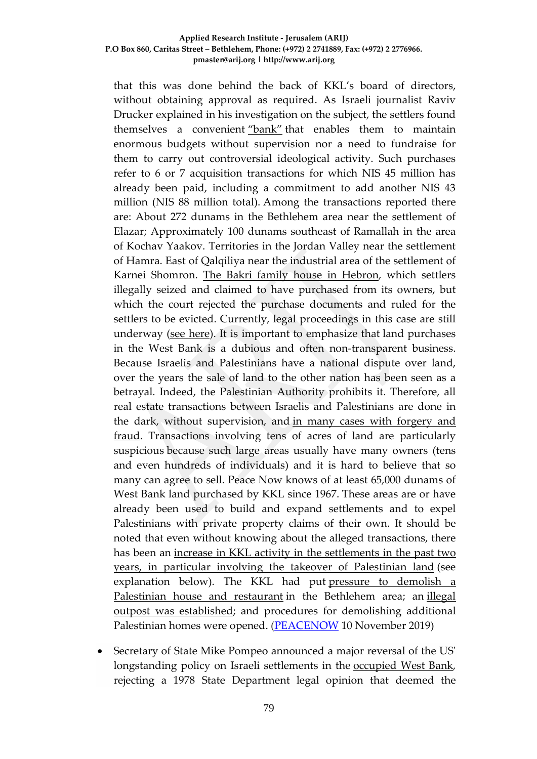that this was done behind the back of KKL's board of directors, without obtaining approval as required. As Israeli journalist Raviv Drucker explained in his investigation on the subject, the settlers found themselves a convenient ["bank"](https://www.haaretz.com/israel-news/.premium-israel-settlements-jewish-national-fund-kkl-jerusalem-buying-west-bank-1.8094953) that enables them to maintain enormous budgets without supervision nor a need to fundraise for them to carry out controversial ideological activity. Such purchases refer to 6 or 7 acquisition transactions for which NIS 45 million has already been paid, including a commitment to add another NIS 43 million (NIS 88 million total). Among the transactions reported there are: About 272 dunams in the Bethlehem area near the settlement of Elazar; Approximately 100 dunams southeast of Ramallah in the area of Kochav Yaakov. Territories in the Jordan Valley near the settlement of Hamra. East of Qalqiliya near the industrial area of the settlement of Karnei Shomron. [The Bakri family house in Hebron,](https://peacenow.org.il/en/court-orders-eviction-of-settlers-from-bakri-house-in-hebron) which settlers illegally seized and claimed to have purchased from its owners, but which the court rejected the purchase documents and ruled for the settlers to be evicted. Currently, legal proceedings in this case are still underway [\(see here\)](https://peacenow.org.il/en/court-orders-eviction-of-settlers-from-bakri-house-in-hebron). It is important to emphasize that land purchases in the West Bank is a dubious and often non-transparent business. Because Israelis and Palestinians have a national dispute over land, over the years the sale of land to the other nation has been seen as a betrayal. Indeed, the Palestinian Authority prohibits it. Therefore, all real estate transactions between Israelis and Palestinians are done in the dark, without supervision, and [in many cases with forgery and](https://www.haaretz.com/israel-news/.premium-probe-almost-all-palestinian-land-deals-for-illegal-outposts-forged-1.5398548)  [fraud.](https://www.haaretz.com/israel-news/.premium-probe-almost-all-palestinian-land-deals-for-illegal-outposts-forged-1.5398548) Transactions involving tens of acres of land are particularly suspicious because such large areas usually have many owners (tens and even hundreds of individuals) and it is hard to believe that so many can agree to sell. Peace Now knows of at least 65,000 dunams of West Bank land purchased by KKL since 1967. These areas are or have already been used to build and expand settlements and to expel Palestinians with private property claims of their own. It should be noted that even without knowing about the alleged transactions, there has been an [increase in KKL activity in the settlements in the past two](https://peacenow.org.il/en/new-outpost-on-land-where-the-jnf-evicted-palestinians-near-bethlehem)  [years, in particular involving the takeover of Palestinian land](https://peacenow.org.il/en/new-outpost-on-land-where-the-jnf-evicted-palestinians-near-bethlehem) (see explanation below). The KKL had put pressure to demolish a [Palestinian house and restaurant](https://peacenow.org.il/en/the-jewish-national-fund-against-palestinians-in-al-makhrour) in the Bethlehem area; an illegal [outpost was established;](https://peacenow.org.il/en/new-outpost-on-land-where-the-jnf-evicted-palestinians-near-bethlehem) and procedures for demolishing additional Palestinian homes were opened. [\(PEACENOW](https://peacenow.org.il/en/settler-national-fund-keren-kayemeth-leisraels-acquisition-of-west-bank-land) 10 November 2019)

• Secretary of State Mike Pompeo announced a major reversal of the US' longstanding policy on Israeli settlements in the [occupied West Bank,](https://www.cnn.com/2019/09/10/world/netanyahu-israel-west-bank-jordan-valley/index.html) rejecting a 1978 State Department legal opinion that deemed the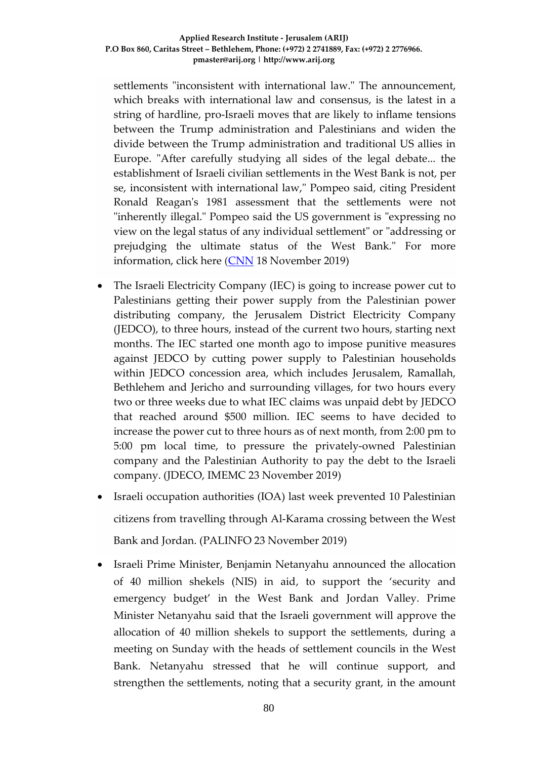settlements "inconsistent with international law." The announcement, which breaks with international law and consensus, is the latest in a string of hardline, pro-Israeli moves that are likely to inflame tensions between the Trump administration and Palestinians and widen the divide between the Trump administration and traditional US allies in Europe. "After carefully studying all sides of the legal debate... the establishment of Israeli civilian settlements in the West Bank is not, per se, inconsistent with international law," Pompeo said, citing President Ronald Reagan's 1981 assessment that the settlements were not "inherently illegal." Pompeo said the US government is "expressing no view on the legal status of any individual settlement" or "addressing or prejudging the ultimate status of the West Bank." For more information, click here [\(CNN](https://edition.cnn.com/2019/11/18/politics/pompeo-west-bank-settlements-announcement/index.html) 18 November 2019)

- The Israeli Electricity Company (IEC) is going to increase power cut to Palestinians getting their power supply from the Palestinian power distributing company, the Jerusalem District Electricity Company (JEDCO), to three hours, instead of the current two hours, starting next months. The IEC started one month ago to impose punitive measures against JEDCO by cutting power supply to Palestinian households within JEDCO concession area, which includes Jerusalem, Ramallah, Bethlehem and Jericho and surrounding villages, for two hours every two or three weeks due to what IEC claims was unpaid debt by JEDCO that reached around \$500 million. IEC seems to have decided to increase the power cut to three hours as of next month, from 2:00 pm to 5:00 pm local time, to pressure the privately-owned Palestinian company and the Palestinian Authority to pay the debt to the Israeli company. (JDECO, IMEMC 23 November 2019)
- Israeli occupation authorities (IOA) last week prevented 10 Palestinian citizens from travelling through Al-Karama crossing between the West Bank and Jordan. (PALINFO 23 November 2019)
- Israeli Prime Minister, Benjamin Netanyahu announced the allocation of 40 million shekels (NIS) in aid, to support the 'security and emergency budget' in the West Bank and Jordan Valley. Prime Minister Netanyahu said that the Israeli government will approve the allocation of 40 million shekels to support the settlements, during a meeting on Sunday with the heads of settlement councils in the West Bank. Netanyahu stressed that he will continue support, and strengthen the settlements, noting that a security grant, in the amount